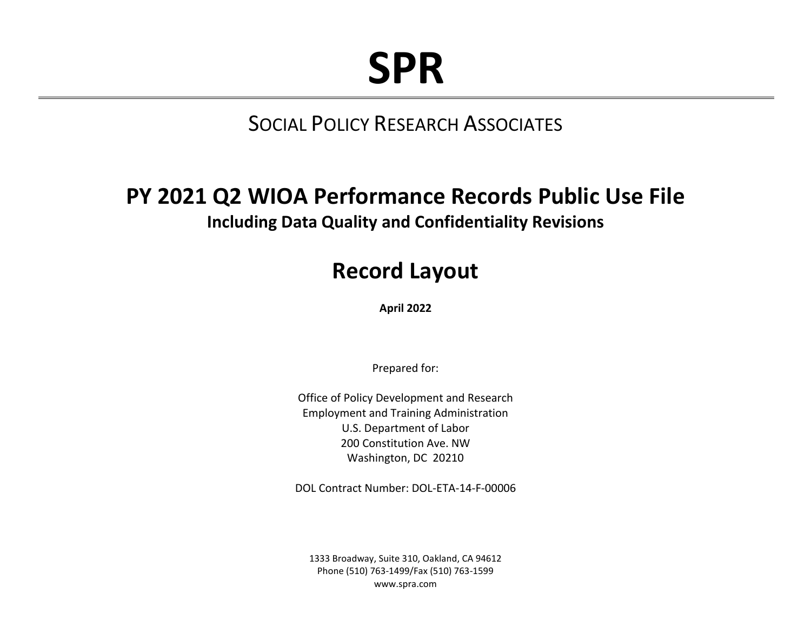# **SPR**

# SOCIAL POLICY RESEARCH ASSOCIATES

## <span id="page-0-0"></span>**PY 2021 Q2 WIOA Performance Records Public Use File Including Data Quality and Confidentiality Revisions**

# **Record Layout**

**April 2022**

Prepared for:

Office of Policy Development and Research Employment and Training Administration U.S. Department of Labor 200 Constitution Ave. NW Washington, DC 20210

DOL Contract Number: DOL-ETA-14-F-00006

1333 Broadway, Suite 310, Oakland, CA 94612 Phone (510) 763-1499/Fax (510) 763-1599 www.spra.com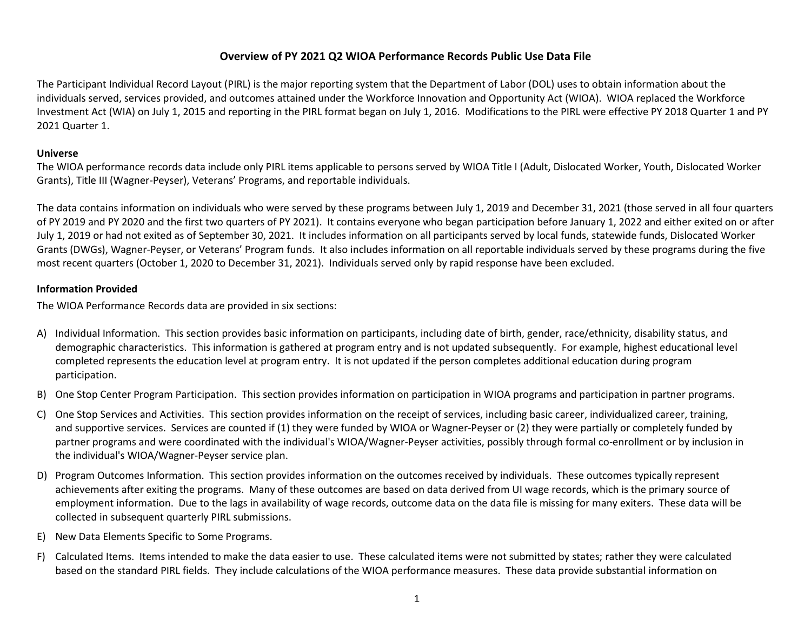### **Overview of PY [2021](#page-0-0) Q2 WIOA Performance Records Public Use Data File**

The Participant Individual Record Layout (PIRL) is the major reporting system that the Department of Labor (DOL) uses to obtain information about the individuals served, services provided, and outcomes attained under the Workforce Innovation and Opportunity Act (WIOA). WIOA replaced the Workforce Investment Act (WIA) on July 1, 2015 and reporting in the PIRL format began on July 1, 2016. Modifications to the PIRL were effective PY 2018 Quarter 1 and PY 2021 Quarter 1.

### **Universe**

The WIOA performance records data include only PIRL items applicable to persons served by WIOA Title I (Adult, Dislocated Worker, Youth, Dislocated Worker Grants), Title III (Wagner-Peyser), Veterans' Programs, and reportable individuals.

The data contains information on individuals who were served by these programs between July 1, 2019 and December 31, 2021 (those served in all four quarters of PY 2019 and PY 2020 and the first two quarters of PY 2021). It contains everyone who began participation before January 1, 2022 and either exited on or after July 1, 2019 or had not exited as of September 30, 2021. It includes information on all participants served by local funds, statewide funds, Dislocated Worker Grants (DWGs), Wagner-Peyser, or Veterans' Program funds. It also includes information on all reportable individuals served by these programs during the five most recent quarters (October 1, 2020 to December 31, 2021). Individuals served only by rapid response have been excluded.

### **Information Provided**

The WIOA Performance Records data are provided in six sections:

- A) Individual Information. This section provides basic information on participants, including date of birth, gender, race/ethnicity, disability status, and demographic characteristics. This information is gathered at program entry and is not updated subsequently. For example, highest educational level completed represents the education level at program entry. It is not updated if the person completes additional education during program participation.
- B) One Stop Center Program Participation. This section provides information on participation in WIOA programs and participation in partner programs.
- C) One Stop Services and Activities. This section provides information on the receipt of services, including basic career, individualized career, training, and supportive services. Services are counted if (1) they were funded by WIOA or Wagner-Peyser or (2) they were partially or completely funded by partner programs and were coordinated with the individual's WIOA/Wagner-Peyser activities, possibly through formal co-enrollment or by inclusion in the individual's WIOA/Wagner-Peyser service plan.
- D) Program Outcomes Information. This section provides information on the outcomes received by individuals. These outcomes typically represent achievements after exiting the programs. Many of these outcomes are based on data derived from UI wage records, which is the primary source of employment information. Due to the lags in availability of wage records, outcome data on the data file is missing for many exiters. These data will be collected in subsequent quarterly PIRL submissions.
- E) New Data Elements Specific to Some Programs.
- F) Calculated Items. Items intended to make the data easier to use. These calculated items were not submitted by states; rather they were calculated based on the standard PIRL fields. They include calculations of the WIOA performance measures. These data provide substantial information on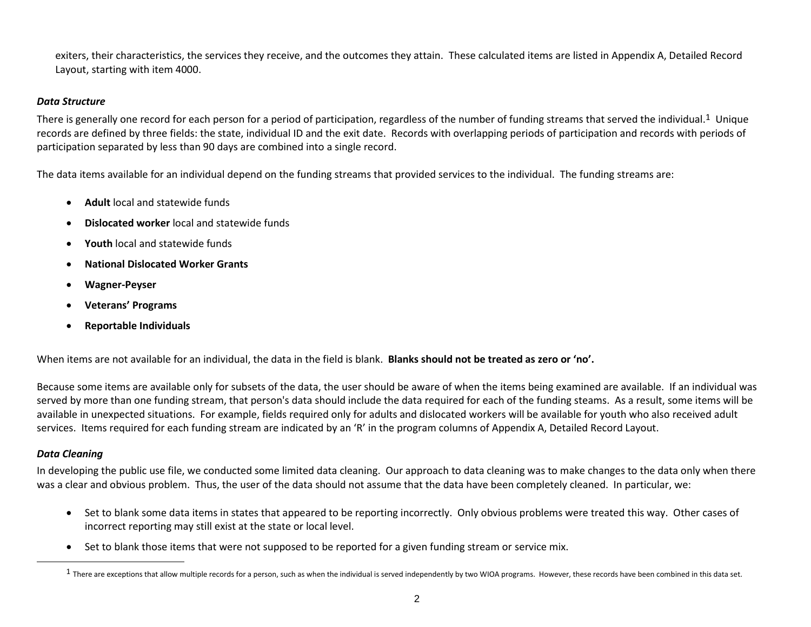exiters, their characteristics, the services they receive, and the outcomes they attain. These calculated items are listed in Appendix A, Detailed Record Layout, starting with item 4000.

### *Data Structure*

There is generally one record for each person for a period of participation, regardless of the number of funding streams that served the individual.<sup>1</sup> Unique records are defined by three fields: the state, individual ID and the exit date. Records with overlapping periods of participation and records with periods of participation separated by less than 90 days are combined into a single record.

The data items available for an individual depend on the funding streams that provided services to the individual. The funding streams are:

- **Adult** local and statewide funds
- **Dislocated worker** local and statewide funds
- **Youth** local and statewide funds
- **National Dislocated Worker Grants**
- **Wagner-Peyser**
- **Veterans' Programs**
- **Reportable Individuals**

When items are not available for an individual, the data in the field is blank. **Blanks should not be treated as zero or 'no'.**

Because some items are available only for subsets of the data, the user should be aware of when the items being examined are available. If an individual was served by more than one funding stream, that person's data should include the data required for each of the funding steams. As a result, some items will be available in unexpected situations. For example, fields required only for adults and dislocated workers will be available for youth who also received adult services. Items required for each funding stream are indicated by an 'R' in the program columns of Appendix A, Detailed Record Layout.

### *Data Cleaning*

In developing the public use file, we conducted some limited data cleaning. Our approach to data cleaning was to make changes to the data only when there was a clear and obvious problem. Thus, the user of the data should not assume that the data have been completely cleaned. In particular, we:

- Set to blank some data items in states that appeared to be reporting incorrectly. Only obvious problems were treated this way. Other cases of incorrect reporting may still exist at the state or local level.
- Set to blank those items that were not supposed to be reported for a given funding stream or service mix.

 $1$  There are exceptions that allow multiple records for a person, such as when the individual is served independently by two WIOA programs. However, these records have been combined in this data set.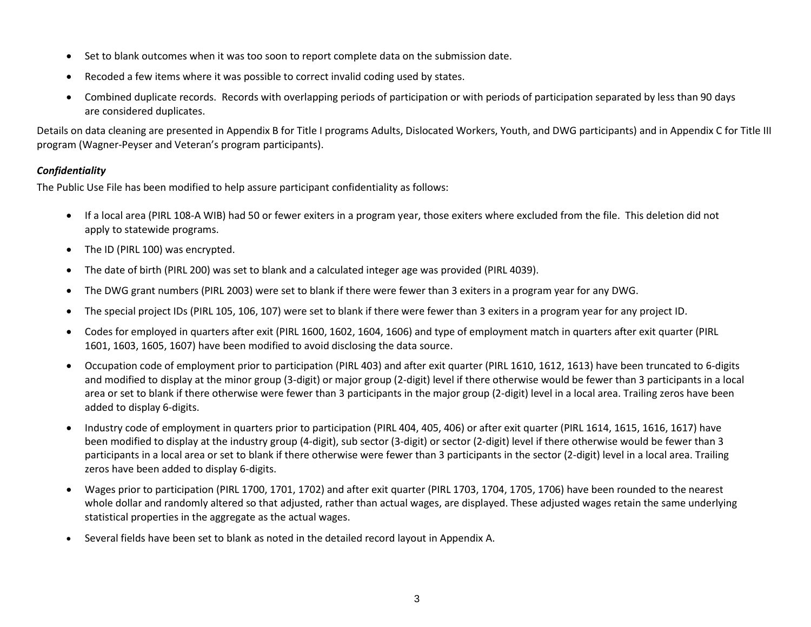- Set to blank outcomes when it was too soon to report complete data on the submission date.
- Recoded a few items where it was possible to correct invalid coding used by states.
- Combined duplicate records. Records with overlapping periods of participation or with periods of participation separated by less than 90 days are considered duplicates.

Details on data cleaning are presented in Appendix B for Title I programs Adults, Dislocated Workers, Youth, and DWG participants) and in Appendix C for Title III program (Wagner-Peyser and Veteran's program participants).

### *Confidentiality*

The Public Use File has been modified to help assure participant confidentiality as follows:

- If a local area (PIRL 108-A WIB) had 50 or fewer exiters in a program year, those exiters where excluded from the file. This deletion did not apply to statewide programs.
- The ID (PIRL 100) was encrypted.
- The date of birth (PIRL 200) was set to blank and a calculated integer age was provided (PIRL 4039).
- The DWG grant numbers (PIRL 2003) were set to blank if there were fewer than 3 exiters in a program year for any DWG.
- The special project IDs (PIRL 105, 106, 107) were set to blank if there were fewer than 3 exiters in a program year for any project ID.
- Codes for employed in quarters after exit (PIRL 1600, 1602, 1604, 1606) and type of employment match in quarters after exit quarter (PIRL 1601, 1603, 1605, 1607) have been modified to avoid disclosing the data source.
- Occupation code of employment prior to participation (PIRL 403) and after exit quarter (PIRL 1610, 1612, 1613) have been truncated to 6-digits and modified to display at the minor group (3-digit) or major group (2-digit) level if there otherwise would be fewer than 3 participants in a local area or set to blank if there otherwise were fewer than 3 participants in the major group (2-digit) level in a local area. Trailing zeros have been added to display 6-digits.
- Industry code of employment in quarters prior to participation (PIRL 404, 405, 406) or after exit quarter (PIRL 1614, 1615, 1616, 1617) have been modified to display at the industry group (4-digit), sub sector (3-digit) or sector (2-digit) level if there otherwise would be fewer than 3 participants in a local area or set to blank if there otherwise were fewer than 3 participants in the sector (2-digit) level in a local area. Trailing zeros have been added to display 6-digits.
- Wages prior to participation (PIRL 1700, 1701, 1702) and after exit quarter (PIRL 1703, 1704, 1705, 1706) have been rounded to the nearest whole dollar and randomly altered so that adjusted, rather than actual wages, are displayed. These adjusted wages retain the same underlying statistical properties in the aggregate as the actual wages.
- Several fields have been set to blank as noted in the detailed record layout in Appendix A.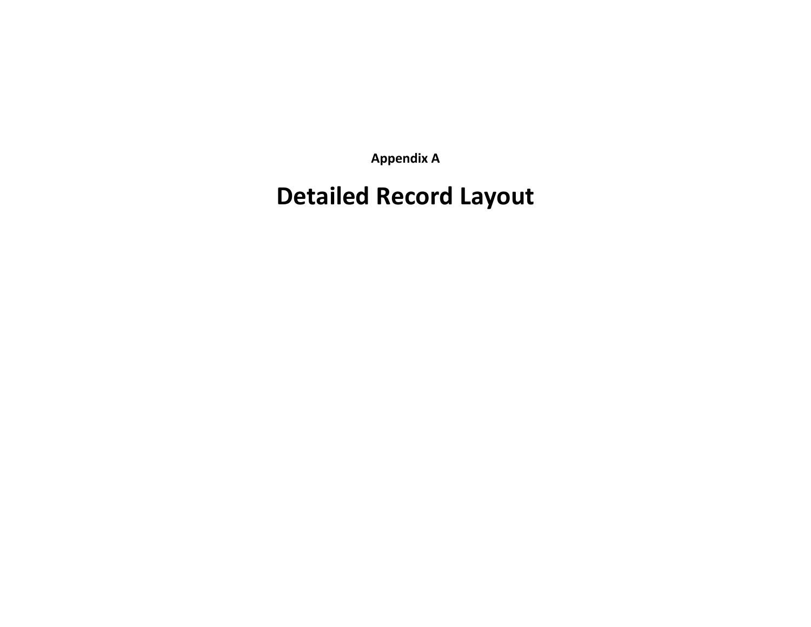**Appendix A**

# **Detailed Record Layout**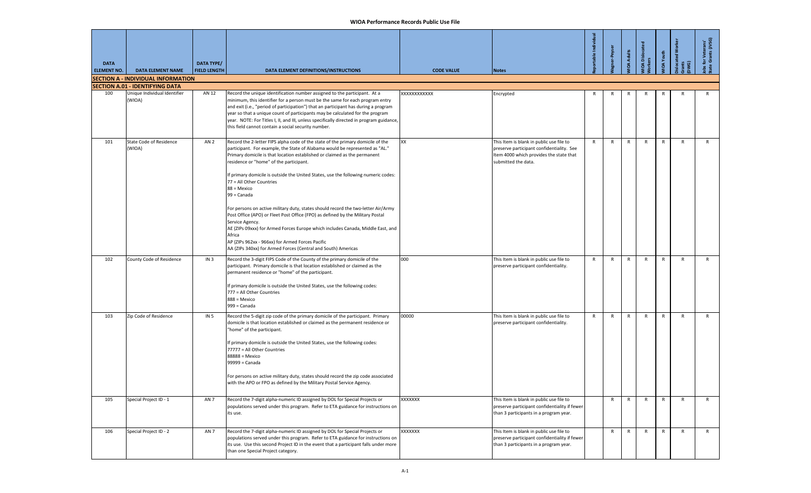| <b>DATA</b><br><b>ELEMENT NO.</b> | <b>DATA ELEMENT NAME</b>                  | <b>DATA TYPE/</b><br><b>FIELD LENGTH</b> | DATA ELEMENT DEFINITIONS/INSTRUCTIONS                                                                                                                                                                                                                                                                                                                                                                                                                                                                                                                                                                                                                                                                                                                                                                                                               | <b>CODE VALUE</b> | <b>Notes</b>                                                                                                                                            | rtable Individ | <b>her-Peyser</b> | <b>IOA Adults</b> | IOA Dislocated<br>kers | <b>IOA</b> Youth | <b>located Wor</b><br>ខ្ច | : for Veterans'<br>e Grants (JVSG) |
|-----------------------------------|-------------------------------------------|------------------------------------------|-----------------------------------------------------------------------------------------------------------------------------------------------------------------------------------------------------------------------------------------------------------------------------------------------------------------------------------------------------------------------------------------------------------------------------------------------------------------------------------------------------------------------------------------------------------------------------------------------------------------------------------------------------------------------------------------------------------------------------------------------------------------------------------------------------------------------------------------------------|-------------------|---------------------------------------------------------------------------------------------------------------------------------------------------------|----------------|-------------------|-------------------|------------------------|------------------|---------------------------|------------------------------------|
|                                   | <b>SECTION A - INDIVIDUAL INFORMATION</b> |                                          |                                                                                                                                                                                                                                                                                                                                                                                                                                                                                                                                                                                                                                                                                                                                                                                                                                                     |                   |                                                                                                                                                         |                |                   |                   |                        |                  |                           |                                    |
|                                   | <b>SECTION A.01 - IDENTIFYING DATA</b>    |                                          |                                                                                                                                                                                                                                                                                                                                                                                                                                                                                                                                                                                                                                                                                                                                                                                                                                                     |                   |                                                                                                                                                         |                |                   |                   |                        |                  |                           |                                    |
| 100                               | Unique Individual Identifier<br>(WIOA)    | AN 12                                    | Record the unique identification number assigned to the participant. At a<br>minimum, this identifier for a person must be the same for each program entry<br>and exit (i.e., "period of participation") that an participant has during a program<br>year so that a unique count of participants may be calculated for the program<br>year. NOTE: For Titles I, II, and III, unless specifically directed in program guidance,<br>this field cannot contain a social security number.                                                                                                                                                                                                                                                                                                                                                               | XXXXXXXXXXX       | Encrypted                                                                                                                                               | R              | R                 | R                 | R                      | R                | R                         | R                                  |
| 101                               | State Code of Residence<br>(WIOA)         | AN <sub>2</sub>                          | Record the 2-letter FIPS alpha code of the state of the primary domicile of the<br>participant. For example, the State of Alabama would be represented as "AL."<br>Primary domicile is that location established or claimed as the permanent<br>residence or "home" of the participant.<br>If primary domicile is outside the United States, use the following numeric codes:<br>77 = All Other Countries<br>88 = Mexico<br>99 = Canada<br>For persons on active military duty, states should record the two-letter Air/Army<br>Post Office (APO) or Fleet Post Office (FPO) as defined by the Military Postal<br>Service Agency.<br>AE (ZIPs 09xxx) for Armed Forces Europe which includes Canada, Middle East, and<br>Africa<br>AP (ZIPs 962xx - 966xx) for Armed Forces Pacific<br>AA (ZIPs 340xx) for Armed Forces (Central and South) Americas | XX                | This Item is blank in public use file to<br>preserve participant confidentiality. See<br>Item 4000 which provides the state that<br>submitted the data. | R              | R                 | R                 | $\mathsf{R}$           | R                | $\mathsf{R}$              | R                                  |
| 102                               | County Code of Residence                  | IN <sub>3</sub>                          | Record the 3-digit FIPS Code of the County of the primary domicile of the<br>participant. Primary domicile is that location established or claimed as the<br>permanent residence or "home" of the participant.<br>If primary domicile is outside the United States, use the following codes:<br>777 = All Other Countries<br>888 = Mexico<br>999 = Canada                                                                                                                                                                                                                                                                                                                                                                                                                                                                                           | 000               | This Item is blank in public use file to<br>preserve participant confidentiality.                                                                       | R              | R                 | R                 | R                      | R                | R                         | R                                  |
| 103                               | Zip Code of Residence                     | IN <sub>5</sub>                          | Record the 5-digit zip code of the primary domicile of the participant. Primary<br>domicile is that location established or claimed as the permanent residence or<br>"home" of the participant.<br>f primary domicile is outside the United States, use the following codes:<br>77777 = All Other Countries<br>88888 = Mexico<br>99999 = Canada<br>For persons on active military duty, states should record the zip code associated<br>with the APO or FPO as defined by the Military Postal Service Agency.                                                                                                                                                                                                                                                                                                                                       | 00000             | This Item is blank in public use file to<br>preserve participant confidentiality.                                                                       | R              | R                 | R                 | R                      | R                | R                         | R                                  |
| 105                               | Special Project ID - 1                    | AN <sub>7</sub>                          | Record the 7-digit alpha-numeric ID assigned by DOL for Special Projects or<br>populations served under this program. Refer to ETA guidance for instructions on<br>its use.                                                                                                                                                                                                                                                                                                                                                                                                                                                                                                                                                                                                                                                                         | XXXXXXX           | This Item is blank in public use file to<br>preserve participant confidentiality if fewer<br>than 3 participants in a program year.                     |                | R                 | R                 | $\mathsf{R}$           | $\mathsf{R}$     | R                         | R                                  |
| 106                               | Special Project ID - 2                    | AN <sub>7</sub>                          | Record the 7-digit alpha-numeric ID assigned by DOL for Special Projects or<br>populations served under this program. Refer to ETA guidance for instructions on<br>its use. Use this second Project ID in the event that a participant falls under more<br>than one Special Project category.                                                                                                                                                                                                                                                                                                                                                                                                                                                                                                                                                       | XXXXXXX           | This Item is blank in public use file to<br>preserve participant confidentiality if fewer<br>than 3 participants in a program year.                     |                | $\mathsf{R}$      | $\mathsf{R}$      | $\mathsf{R}$           | $\mathsf{R}$     | $\mathsf{R}$              | R                                  |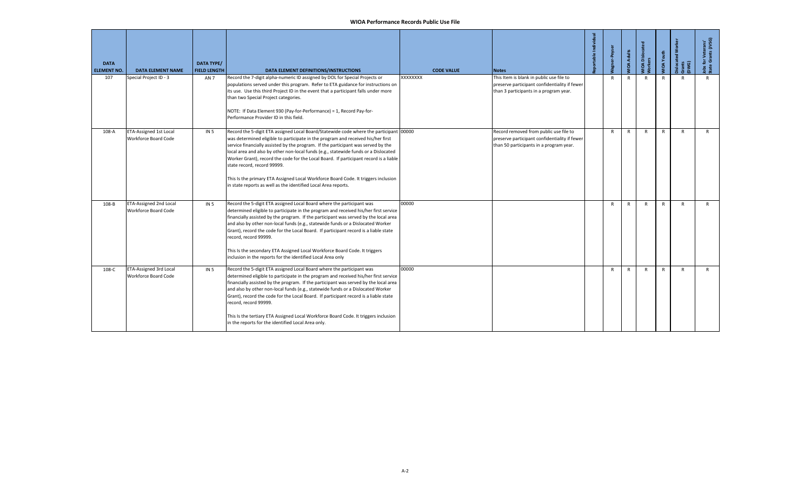| <b>DATA</b><br><b>ELEMENT NO.</b> | <b>DATA ELEMENT NAME</b>                                     | <b>DATA TYPE/</b><br><b>FIELD LENGTH</b> | DATA ELEMENT DEFINITIONS/INSTRUCTIONS                                                                                                                                                                                                                                                                                                                                                                                                                                                                                                                                                                                                  | <b>CODE VALUE</b> | <b>Notes</b>                                                                                                                        | portable Individual | <b>Vagner-Peyser</b> | <b>JIDA Adults</b> | <b>MOA Dislocat</b> | MIOA Youth   | <b>Dislocated Worke</b><br>Grants<br>DWG) | Jobs for Veterans'<br>State Grants (JVSG) |
|-----------------------------------|--------------------------------------------------------------|------------------------------------------|----------------------------------------------------------------------------------------------------------------------------------------------------------------------------------------------------------------------------------------------------------------------------------------------------------------------------------------------------------------------------------------------------------------------------------------------------------------------------------------------------------------------------------------------------------------------------------------------------------------------------------------|-------------------|-------------------------------------------------------------------------------------------------------------------------------------|---------------------|----------------------|--------------------|---------------------|--------------|-------------------------------------------|-------------------------------------------|
| 107                               | Special Project ID - 3                                       | AN 7                                     | Record the 7-digit alpha-numeric ID assigned by DOL for Special Projects or<br>populations served under this program. Refer to ETA guidance for instructions on<br>its use. Use this third Project ID in the event that a participant falls under more<br>than two Special Project categories.<br>NOTE: If Data Element 930 (Pay-for-Performance) = 1, Record Pay-for-<br>Performance Provider ID in this field.                                                                                                                                                                                                                       | XXXXXXX           | This Item is blank in public use file to<br>preserve participant confidentiality if fewer<br>than 3 participants in a program year. |                     | R                    | $\mathsf{R}$       | $\mathsf{R}$        | $\mathsf{R}$ | R                                         | R                                         |
| 108-A                             | ETA-Assigned 1st Local<br>Workforce Board Code               | IN <sub>5</sub>                          | Record the 5-digit ETA assigned Local Board/Statewide code where the participant 00000<br>was determined eligible to participate in the program and received his/her first<br>service financially assisted by the program. If the participant was served by the<br>local area and also by other non-local funds (e.g., statewide funds or a Dislocated<br>Worker Grant), record the code for the Local Board. If participant record is a liable<br>state record, record 99999.<br>This Is the primary ETA Assigned Local Workforce Board Code. It triggers inclusion<br>in state reports as well as the identified Local Area reports. |                   | Record removed from public use file to<br>preserve participant confidentiality if fewer<br>than 50 participants in a program year.  |                     | $\mathsf{R}$         | $\mathsf{R}$       | $\mathsf{R}$        | $\mathsf{R}$ | $\mathsf{R}$                              | $\mathsf{R}$                              |
| 108-B                             | <b>ETA-Assigned 2nd Local</b><br><b>Workforce Board Code</b> | <b>IN 5</b>                              | Record the 5-digit ETA assigned Local Board where the participant was<br>determined eligible to participate in the program and received his/her first service<br>financially assisted by the program. If the participant was served by the local area<br>and also by other non-local funds (e.g., statewide funds or a Dislocated Worker<br>Grant), record the code for the Local Board. If participant record is a liable state<br>record, record 99999.<br>This Is the secondary ETA Assigned Local Workforce Board Code. It triggers<br>inclusion in the reports for the identified Local Area only                                 | 00000             |                                                                                                                                     |                     | $\mathsf{R}$         | R                  | $\mathsf{R}$        | $\mathsf{R}$ | $\mathsf{R}$                              | $\mathsf{R}$                              |
| 108-C                             | <b>ETA-Assigned 3rd Local</b><br>Workforce Board Code        | <b>IN 5</b>                              | Record the 5-digit ETA assigned Local Board where the participant was<br>determined eligible to participate in the program and received his/her first service<br>financially assisted by the program. If the participant was served by the local area<br>and also by other non-local funds (e.g., statewide funds or a Dislocated Worker<br>Grant), record the code for the Local Board. If participant record is a liable state<br>record, record 99999.<br>This Is the tertiary ETA Assigned Local Workforce Board Code. It triggers inclusion<br>in the reports for the identified Local Area only.                                 | 00000             |                                                                                                                                     |                     | $\mathsf{R}$         | $\mathsf{R}$       | $\mathsf{R}$        | $\mathsf{R}$ | $\mathsf{R}$                              | $\mathsf{R}$                              |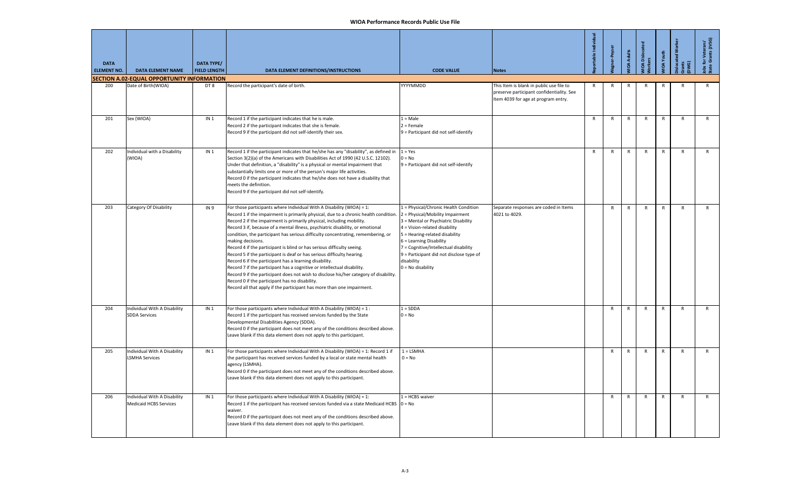| <b>DATA</b><br><b>ELEMENT NO.</b> | <b>DATA ELEMENT NAME</b>                                          | <b>DATA TYPE/</b><br><b>FIELD LENGTH</b> | DATA ELEMENT DEFINITIONS/INSTRUCTIONS                                                                                                                                                                                                                                                                                                                                                                                                                                                                                                                                                                                                                                                                                                                                                                                                                                                                                                           | <b>CODE VALUE</b>                                                                                                                                                                                                                                                                                                                         | <b>Notes</b>                                                                          | rtable Individu | er-Peyser    | <b>IOA Adults</b> | 공<br>IOA Dislocate<br>ers | IOA Youth    | slocated Wor<br>끝 후 | for Veterans'<br><b>a</b> Grants (JVSG) |
|-----------------------------------|-------------------------------------------------------------------|------------------------------------------|-------------------------------------------------------------------------------------------------------------------------------------------------------------------------------------------------------------------------------------------------------------------------------------------------------------------------------------------------------------------------------------------------------------------------------------------------------------------------------------------------------------------------------------------------------------------------------------------------------------------------------------------------------------------------------------------------------------------------------------------------------------------------------------------------------------------------------------------------------------------------------------------------------------------------------------------------|-------------------------------------------------------------------------------------------------------------------------------------------------------------------------------------------------------------------------------------------------------------------------------------------------------------------------------------------|---------------------------------------------------------------------------------------|-----------------|--------------|-------------------|---------------------------|--------------|---------------------|-----------------------------------------|
| 200                               | SECTION A.02-EQUAL OPPORTUNITY INFORMATION<br>Date of Birth(WIOA) | DT8                                      | Record the participant's date of birth.                                                                                                                                                                                                                                                                                                                                                                                                                                                                                                                                                                                                                                                                                                                                                                                                                                                                                                         | YYYYMMDD                                                                                                                                                                                                                                                                                                                                  | This Item is blank in public use file to<br>preserve participant confidentiality. See | $\mathsf{R}$    | R            | R                 | R                         | R            | $\mathsf{R}$        | R                                       |
|                                   |                                                                   |                                          |                                                                                                                                                                                                                                                                                                                                                                                                                                                                                                                                                                                                                                                                                                                                                                                                                                                                                                                                                 |                                                                                                                                                                                                                                                                                                                                           | Item 4039 for age at program entry.                                                   |                 |              |                   |                           |              |                     |                                         |
| 201                               | Sex (WIOA)                                                        | IN <sub>1</sub>                          | Record 1 if the participant indicates that he is male.<br>Record 2 if the participant indicates that she is female.<br>Record 9 if the participant did not self-identify their sex.                                                                                                                                                                                                                                                                                                                                                                                                                                                                                                                                                                                                                                                                                                                                                             | $1 = Male$<br>$2$ = Female<br>9 = Participant did not self-identify                                                                                                                                                                                                                                                                       |                                                                                       | $\mathsf{R}$    | $\mathsf{R}$ | $\mathsf{R}$      | $\mathsf{R}$              | $\mathsf{R}$ | $\mathsf{R}$        | R                                       |
| 202                               | Individual with a Disability<br>(WIOA)                            | IN <sub>1</sub>                          | Record 1 if the participant indicates that he/she has any "disability", as defined in<br>Section 3(2)(a) of the Americans with Disabilities Act of 1990 (42 U.S.C. 12102).<br>Under that definition, a "disability" is a physical or mental impairment that<br>substantially limits one or more of the person's major life activities.<br>Record 0 if the participant indicates that he/she does not have a disability that<br>meets the definition.<br>Record 9 if the participant did not self-identify.                                                                                                                                                                                                                                                                                                                                                                                                                                      | $1 = Yes$<br>$0 = No$<br>9 = Participant did not self-identify                                                                                                                                                                                                                                                                            |                                                                                       | $\mathsf{R}$    | $\mathsf{R}$ | $\mathsf{R}$      | $\mathsf{R}$              | $\mathsf{R}$ | $\mathsf{R}$        | R                                       |
| 203                               | Category Of Disability                                            | <b>IN9</b>                               | For those participants where Individual With A Disability (WIOA) = 1:<br>Record 1 if the impairment is primarily physical, due to a chronic health condition.<br>Record 2 if the impairment is primarily physical, including mobility.<br>Record 3 if, because of a mental illness, psychiatric disability, or emotional<br>condition, the participant has serious difficulty concentrating, remembering, or<br>making decisions.<br>Record 4 if the participant is blind or has serious difficulty seeing.<br>Record 5 if the participant is deaf or has serious difficulty hearing.<br>Record 6 if the participant has a learning disability.<br>Record 7 if the participant has a cognitive or intellectual disability.<br>Record 9 if the participant does not wish to disclose his/her category of disability.<br>Record 0 if the participant has no disability.<br>Record all that apply if the participant has more than one impairment. | 1 = Physical/Chronic Health Condition<br>2 = Physical/Mobility Impairment<br>3 = Mental or Psychiatric Disability<br>4 = Vision-related disability<br>5 = Hearing-related disability<br>6 = Learning Disability<br>7 = Cognitive/Intellectual disability<br>9 = Participant did not disclose type of<br>disability<br>$0 = No$ disability | Separate responses are coded in Items<br>4021 to 4029.                                |                 | $\mathsf{R}$ | $\mathsf{R}$      | $\mathsf{R}$              | $\mathsf{R}$ | $\mathsf{R}$        | $\mathsf{R}$                            |
| 204                               | Individual With A Disability<br><b>SDDA Services</b>              | IN <sub>1</sub>                          | For those participants where Individual With A Disability (WIOA) = $1:$<br>Record 1 if the participant has received services funded by the State<br>Developmental Disabilities Agency (SDDA).<br>Record 0 if the participant does not meet any of the conditions described above.<br>Leave blank if this data element does not apply to this participant.                                                                                                                                                                                                                                                                                                                                                                                                                                                                                                                                                                                       | $1 = SDDA$<br>$0 = No$                                                                                                                                                                                                                                                                                                                    |                                                                                       |                 | $\mathsf{R}$ | $\mathsf{R}$      | $\mathsf{R}$              | $\mathsf{R}$ | $\mathsf{R}$        | R                                       |
| 205                               | Individual With A Disability<br>LSMHA Services                    | IN <sub>1</sub>                          | For those participants where Individual With A Disability (WIOA) = 1: Record 1 if<br>the participant has received services funded by a local or state mental health<br>agency (LSMHA).<br>Record 0 if the participant does not meet any of the conditions described above.<br>Leave blank if this data element does not apply to this participant.                                                                                                                                                                                                                                                                                                                                                                                                                                                                                                                                                                                              | $1 =$ LSMHA<br>$0 = No$                                                                                                                                                                                                                                                                                                                   |                                                                                       |                 | $\mathsf{R}$ | $\mathsf{R}$      | $\mathsf{R}$              | $\mathsf{R}$ | $\mathsf{R}$        | R                                       |
| 206                               | Individual With A Disability<br><b>Medicaid HCBS Services</b>     | IN <sub>1</sub>                          | For those participants where Individual With A Disability (WIOA) = 1:<br>Record 1 if the participant has received services funded via a state Medicaid HCBS $ 0 = No$<br>waiver.<br>Record 0 if the participant does not meet any of the conditions described above.<br>Leave blank if this data element does not apply to this participant.                                                                                                                                                                                                                                                                                                                                                                                                                                                                                                                                                                                                    | $1 = HCBS$ waiver                                                                                                                                                                                                                                                                                                                         |                                                                                       |                 | $\mathsf{R}$ | $\mathsf{R}$      | $\mathsf{R}$              | $\mathsf{R}$ | $\mathsf{R}$        | $\mathsf{R}$                            |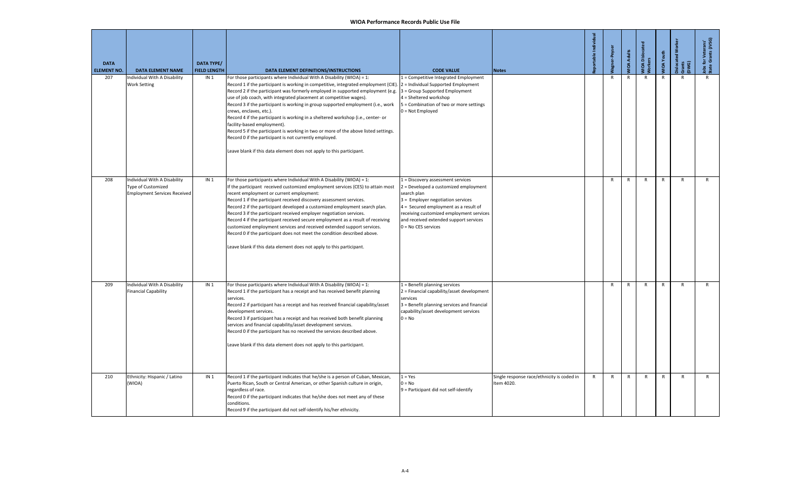| <b>DATA</b><br><b>ELEMENT NO.</b> | <b>DATA ELEMENT NAME</b>                                                                         | <b>DATA TYPE/</b><br><b>FIELD LENGTH</b> | <b>DATA ELEMENT DEFINITIONS/INSTRUCTIONS</b>                                                                                                                                                                                                                                                                                                                                                                                                                                                                                                                                                                                                                                                                                                                                                                         | <b>CODE VALUE</b>                                                                                                                                                                                                                                                                      | <b>Notes</b>                                             | rtable Individua | lagner-Peyse | <b>JIDA Adults</b> | MIOA Dislocate<br>Morkers | VIOA Youth   | <b>Dislocated Wo</b><br>Gwa<br>D | lobs for Veterans'<br>State Grants (JVSG) |
|-----------------------------------|--------------------------------------------------------------------------------------------------|------------------------------------------|----------------------------------------------------------------------------------------------------------------------------------------------------------------------------------------------------------------------------------------------------------------------------------------------------------------------------------------------------------------------------------------------------------------------------------------------------------------------------------------------------------------------------------------------------------------------------------------------------------------------------------------------------------------------------------------------------------------------------------------------------------------------------------------------------------------------|----------------------------------------------------------------------------------------------------------------------------------------------------------------------------------------------------------------------------------------------------------------------------------------|----------------------------------------------------------|------------------|--------------|--------------------|---------------------------|--------------|----------------------------------|-------------------------------------------|
| 207                               | Individual With A Disability<br><b>Work Setting</b>                                              | IN <sub>1</sub>                          | For those participants where Individual With A Disability (WIOA) = 1:<br>Record 1 if the participant is working in competitive, integrated employment (CIE). 2 = Individual Supported Employment<br>Record 2 if the participant was formerly employed in supported employment (e.g.<br>use of job coach, with integrated placement at competitive wages).<br>Record 3 if the participant is working in group supported employment (i.e., work<br>crews, enclaves, etc.).<br>Record 4 if the participant is working in a sheltered workshop (i.e., center- or<br>facility-based employment).<br>Record 5 if the participant is working in two or more of the above listed settings.<br>Record 0 if the participant is not currently employed.<br>Leave blank if this data element does not apply to this participant. | 1 = Competitive Integrated Employment<br>3 = Group Supported Employment<br>$4 =$ Sheltered workshop<br>5 = Combination of two or more settings<br>$0 = Not$ Employed                                                                                                                   |                                                          |                  | $\mathsf{R}$ | $\mathsf{R}$       | $\mathsf{R}$              | $\mathsf{R}$ | $\mathsf{R}$                     | $\mathsf{R}$                              |
| 208                               | Individual With A Disability<br><b>Type of Customized</b><br><b>Employment Services Received</b> | IN <sub>1</sub>                          | For those participants where Individual With A Disability (WIOA) = 1:<br>If the participant received customized employment services (CES) to attain most<br>recent employment or current employment:<br>Record 1 if the participant received discovery assessment services.<br>Record 2 if the participant developed a customized employment search plan.<br>Record 3 if the participant received employer negotiation services.<br>Record 4 if the participant received secure employment as a result of receiving<br>customized employment services and received extended support services.<br>Record 0 if the participant does not meet the condition described above.<br>Leave blank if this data element does not apply to this participant.                                                                    | 1 = Discovery assessment services<br>2 = Developed a customized employment<br>search plan<br>3 = Employer negotiation services<br>4 = Secured employment as a result of<br>receiving customized employment services<br>and received extended support services<br>$0 = No CES$ services |                                                          |                  | $\mathsf{R}$ | R                  | $\mathsf{R}$              | $\mathsf{R}$ | $\mathsf{R}$                     | $\mathsf{R}$                              |
| 209                               | Individual With A Disability<br><b>Financial Capability</b>                                      | IN <sub>1</sub>                          | For those participants where Individual With A Disability (WIOA) = 1:<br>Record 1 if the participant has a receipt and has received benefit planning<br>services.<br>Record 2 if participant has a receipt and has received financial capability/asset<br>development services.<br>Record 3 if participant has a receipt and has received both benefit planning<br>services and financial capability/asset development services.<br>Record 0 if the participant has no received the services described above.<br>Leave blank if this data element does not apply to this participant.                                                                                                                                                                                                                                | 1 = Benefit planning services<br>2 = Financial capability/asset development<br>services<br>3 = Benefit planning services and financial<br>capability/asset development services<br>$0 = No$                                                                                            |                                                          |                  | $\mathsf{R}$ | R                  | $\mathsf{R}$              | R            | R                                | R                                         |
| 210                               | Ethnicity: Hispanic / Latino<br>(WIOA)                                                           | IN <sub>1</sub>                          | Record 1 if the participant indicates that he/she is a person of Cuban, Mexican,<br>Puerto Rican, South or Central American, or other Spanish culture in origin,<br>regardless of race.<br>Record 0 if the participant indicates that he/she does not meet any of these<br>conditions.<br>Record 9 if the participant did not self-identify his/her ethnicity.                                                                                                                                                                                                                                                                                                                                                                                                                                                       | $1 = Yes$<br>$0 = No$<br>9 = Participant did not self-identify                                                                                                                                                                                                                         | Single response race/ethnicity is coded in<br>Item 4020. | $\mathsf{R}$     | $\mathsf{R}$ | $\mathsf{R}$       | $\mathsf{R}$              | $\mathsf{R}$ | $\mathsf{R}$                     | R                                         |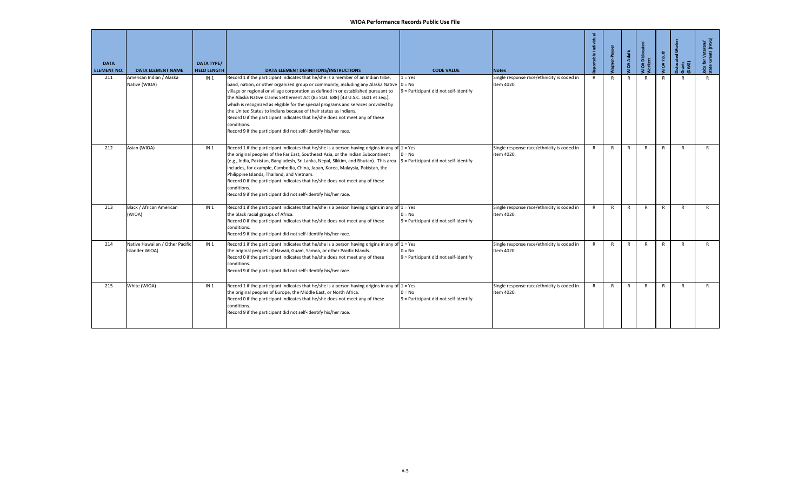| <b>DATA</b><br><b>ELEMENT NO.</b> | <b>DATA ELEMENT NAME</b>                          | <b>DATA TYPE/</b><br><b>FIELD LENGTH</b> | DATA ELEMENT DEFINITIONS/INSTRUCTIONS                                                                                                                                                                                                                                                                                                                                                                                                                                                                                                                                                                                                                                                 | <b>CODE VALUE</b>                                  | <b>Notes</b>                                             | portable Individua | gner-Peyser  | <b>VIOA Adults</b> | VIOA Dislocat<br><b>Vorkers</b> | <b>MIOA Youth</b> | <b>Dislocated</b><br>Grants<br>(DWG) | Jobs for Veterans'<br>State Grants (JVSG) |
|-----------------------------------|---------------------------------------------------|------------------------------------------|---------------------------------------------------------------------------------------------------------------------------------------------------------------------------------------------------------------------------------------------------------------------------------------------------------------------------------------------------------------------------------------------------------------------------------------------------------------------------------------------------------------------------------------------------------------------------------------------------------------------------------------------------------------------------------------|----------------------------------------------------|----------------------------------------------------------|--------------------|--------------|--------------------|---------------------------------|-------------------|--------------------------------------|-------------------------------------------|
| 211                               | American Indian / Alaska<br>Native (WIOA)         | IN <sub>1</sub>                          | Record 1 if the participant indicates that he/she is a member of an Indian tribe,<br>band, nation, or other organized group or community, including any Alaska Native $ 0 = No$<br>village or regional or village corporation as defined in or established pursuant to<br>the Alaska Native Claims Settlement Act (85 Stat. 688) [43 U.S.C. 1601 et seq.],<br>which is recognized as eligible for the special programs and services provided by<br>the United States to Indians because of their status as Indians.<br>Record 0 if the participant indicates that he/she does not meet any of these<br>conditions.<br>Record 9 if the participant did not self-identify his/her race. | $1 = Yes$<br>9 = Participant did not self-identify | Single response race/ethnicity is coded in<br>Item 4020. | $\mathsf{R}$       | $\mathsf{R}$ | $\mathsf{R}$       | $\mathsf{R}$                    | R                 | R                                    | $\mathsf{R}$                              |
| 212                               | Asian (WIOA)                                      | IN <sub>1</sub>                          | Record 1 if the participant indicates that he/she is a person having origins in any of $1 = Yes$<br>the original peoples of the Far East, Southeast Asia, or the Indian Subcontinent<br>(e.g., India, Pakistan, Bangladesh, Sri Lanka, Nepal, Sikkim, and Bhutan). This area<br>includes, for example, Cambodia, China, Japan, Korea, Malaysia, Pakistan, the<br>Philippine Islands, Thailand, and Vietnam.<br>Record 0 if the participant indicates that he/she does not meet any of these<br>conditions.<br>Record 9 if the participant did not self-identify his/her race.                                                                                                         | $0 = No$<br>9 = Participant did not self-identify  | Single response race/ethnicity is coded in<br>Item 4020. | $\mathsf{R}$       | $\mathsf{R}$ | R                  | R                               | R                 | R                                    | $\mathsf{R}$                              |
| 213                               | Black / African American<br>(WIOA)                | IN <sub>1</sub>                          | Record 1 if the participant indicates that he/she is a person having origins in any of $1 = Yes$<br>the black racial groups of Africa.<br>Record 0 if the participant indicates that he/she does not meet any of these<br>conditions.<br>Record 9 if the participant did not self-identify his/her race.                                                                                                                                                                                                                                                                                                                                                                              | $0 = No$<br>9 = Participant did not self-identify  | Single response race/ethnicity is coded in<br>Item 4020. | R                  | $\mathsf{R}$ | $\mathsf{R}$       | $\mathsf{R}$                    | R                 | R                                    | $\mathsf{R}$                              |
| 214                               | Native Hawaiian / Other Pacific<br>Islander WIOA) | IN <sub>1</sub>                          | Record 1 if the participant indicates that he/she is a person having origins in any of $1 = Yes$<br>the original peoples of Hawaii, Guam, Samoa, or other Pacific Islands.<br>Record 0 if the participant indicates that he/she does not meet any of these<br>conditions.<br>Record 9 if the participant did not self-identify his/her race.                                                                                                                                                                                                                                                                                                                                          | $0 = No$<br>9 = Participant did not self-identify  | Single response race/ethnicity is coded in<br>Item 4020. | $\mathsf{R}$       | $\mathsf{R}$ | R                  | R                               | $\mathsf{R}$      | R                                    | $\mathsf{R}$                              |
| 215                               | White (WIOA)                                      | IN <sub>1</sub>                          | Record 1 if the participant indicates that he/she is a person having origins in any of $1 = Yes$<br>the original peoples of Europe, the Middle East, or North Africa.<br>Record 0 if the participant indicates that he/she does not meet any of these<br>conditions.<br>Record 9 if the participant did not self-identify his/her race.                                                                                                                                                                                                                                                                                                                                               | $0 = No$<br>9 = Participant did not self-identify  | Single response race/ethnicity is coded in<br>Item 4020. | $\mathsf{R}$       | $\mathsf{R}$ | $\mathsf{R}$       | $\mathsf{R}$                    | $\mathsf{R}$      | R                                    | $\mathsf{R}$                              |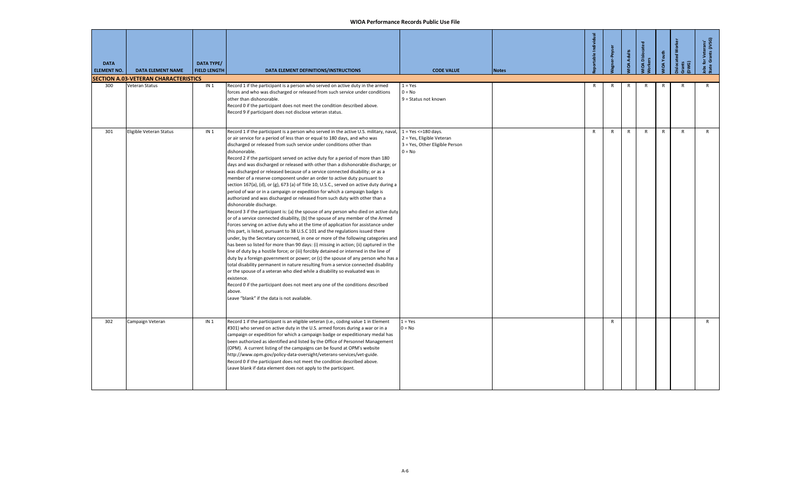| <b>DATA</b><br><b>ELEMENT NO.</b> | <b>DATA ELEMENT NAME</b>                                      | <b>DATA TYPE/</b><br><b>FIELD LENGTH</b> | DATA ELEMENT DEFINITIONS/INSTRUCTIONS                                                                                                                                                                                                                                                                                                                                                                                                                                                                                                                                                                                                                                                                                                                                                                                                                                                                                                                                                                                                                                                                                                                                                                                                                                                                                                                                                                                                                                                                                                                                                                                                                                                                                                                                                                                                                                                                                          | <b>CODE VALUE</b>                                                                                          | <b>Notes</b> | oortable Individual | er-Peyser    | <b>OA Adults</b> | <b>IOA</b> Dislocated<br>kers | <b>IOA</b> Youth | slocated Wo<br>ants<br>WG) | for Veterans'<br>e Grants (JVSG) |
|-----------------------------------|---------------------------------------------------------------|------------------------------------------|--------------------------------------------------------------------------------------------------------------------------------------------------------------------------------------------------------------------------------------------------------------------------------------------------------------------------------------------------------------------------------------------------------------------------------------------------------------------------------------------------------------------------------------------------------------------------------------------------------------------------------------------------------------------------------------------------------------------------------------------------------------------------------------------------------------------------------------------------------------------------------------------------------------------------------------------------------------------------------------------------------------------------------------------------------------------------------------------------------------------------------------------------------------------------------------------------------------------------------------------------------------------------------------------------------------------------------------------------------------------------------------------------------------------------------------------------------------------------------------------------------------------------------------------------------------------------------------------------------------------------------------------------------------------------------------------------------------------------------------------------------------------------------------------------------------------------------------------------------------------------------------------------------------------------------|------------------------------------------------------------------------------------------------------------|--------------|---------------------|--------------|------------------|-------------------------------|------------------|----------------------------|----------------------------------|
| 300                               | <b>SECTION A.03-VETERAN CHARACTERISTICS</b><br>Veteran Status | IN <sub>1</sub>                          | Record 1 if the participant is a person who served on active duty in the armed                                                                                                                                                                                                                                                                                                                                                                                                                                                                                                                                                                                                                                                                                                                                                                                                                                                                                                                                                                                                                                                                                                                                                                                                                                                                                                                                                                                                                                                                                                                                                                                                                                                                                                                                                                                                                                                 | $1 = Yes$                                                                                                  |              | $\mathsf{R}$        | $\mathsf{R}$ | R                | $\mathsf{R}$                  | $\mathsf{R}$     | $\mathsf{R}$               | R                                |
|                                   |                                                               |                                          | forces and who was discharged or released from such service under conditions<br>other than dishonorable.<br>Record 0 if the participant does not meet the condition described above.<br>Record 9 if participant does not disclose veteran status.                                                                                                                                                                                                                                                                                                                                                                                                                                                                                                                                                                                                                                                                                                                                                                                                                                                                                                                                                                                                                                                                                                                                                                                                                                                                                                                                                                                                                                                                                                                                                                                                                                                                              | $0 = No$<br>9 = Status not known                                                                           |              |                     |              |                  |                               |                  |                            |                                  |
| 301                               | Eligible Veteran Status                                       | IN <sub>1</sub>                          | Record 1 if the participant is a person who served in the active U.S. military, naval,<br>or air service for a period of less than or equal to 180 days, and who was<br>discharged or released from such service under conditions other than<br>dishonorable.<br>Record 2 if the participant served on active duty for a period of more than 180<br>days and was discharged or released with other than a dishonorable discharge; or<br>was discharged or released because of a service connected disability; or as a<br>member of a reserve component under an order to active duty pursuant to<br>section 167(a), (d), or (g), 673 (a) of Title 10, U.S.C., served on active duty during a<br>period of war or in a campaign or expedition for which a campaign badge is<br>authorized and was discharged or released from such duty with other than a<br>dishonorable discharge.<br>Record 3 if the participant is: (a) the spouse of any person who died on active duty<br>or of a service connected disability, (b) the spouse of any member of the Armed<br>Forces serving on active duty who at the time of application for assistance under<br>this part, is listed, pursuant to 38 U.S.C 101 and the regulations issued there<br>under, by the Secretary concerned, in one or more of the following categories and<br>has been so listed for more than 90 days: (i) missing in action; (ii) captured in the<br>line of duty by a hostile force; or (iii) forcibly detained or interned in the line of<br>duty by a foreign government or power; or (c) the spouse of any person who has a<br>total disability permanent in nature resulting from a service connected disability<br>or the spouse of a veteran who died while a disability so evaluated was in<br>existence.<br>Record 0 if the participant does not meet any one of the conditions described<br>above.<br>Leave "blank" if the data is not available. | $1 = Yes \le 180 \text{ days}.$<br>2 = Yes, Eligible Veteran<br>3 = Yes, Other Eligible Person<br>$0 = No$ |              | $\mathsf{R}$        | R            | $\mathsf{R}$     | $\mathsf{R}$                  | $\mathsf{R}$     | $\mathsf{R}$               | $\mathsf{R}$                     |
| 302                               | Campaign Veteran                                              | IN <sub>1</sub>                          | Record 1 if the participant is an eligible veteran (i.e., coding value 1 in Element<br>#301) who served on active duty in the U.S. armed forces during a war or in a<br>campaign or expedition for which a campaign badge or expeditionary medal has<br>been authorized as identified and listed by the Office of Personnel Management<br>(OPM). A current listing of the campaigns can be found at OPM's website<br>http://www.opm.gov/policy-data-oversight/veterans-services/vet-guide.<br>Record 0 if the participant does not meet the condition described above.<br>Leave blank if data element does not apply to the participant.                                                                                                                                                                                                                                                                                                                                                                                                                                                                                                                                                                                                                                                                                                                                                                                                                                                                                                                                                                                                                                                                                                                                                                                                                                                                                       | $1 = Yes$<br>$0 = No$                                                                                      |              |                     | R            |                  |                               |                  |                            | R                                |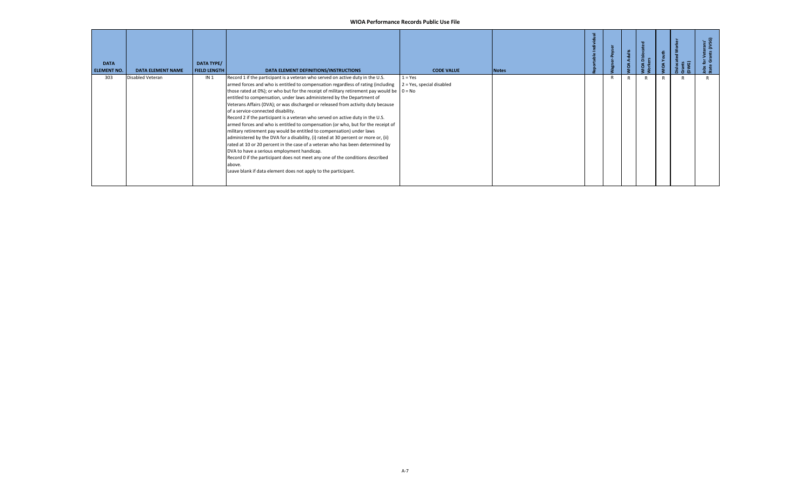| <b>DATA</b><br><b>ELEMENT NO.</b> | <b>DATA ELEMENT NAME</b> | DATA TYPE/<br><b>FIELD LENGTH</b> | DATA ELEMENT DEFINITIONS/INSTRUCTIONS                                                                                                                                                                                                                                                                                                                                                                                                                                                                                                                                                                                                                                                                                                                                                                                                                                                                                                                                                                                                                                                                                                | <b>CODE VALUE</b>                      | <b>Notes</b> |   | Adults<br>ă | គ័ |  |  |
|-----------------------------------|--------------------------|-----------------------------------|--------------------------------------------------------------------------------------------------------------------------------------------------------------------------------------------------------------------------------------------------------------------------------------------------------------------------------------------------------------------------------------------------------------------------------------------------------------------------------------------------------------------------------------------------------------------------------------------------------------------------------------------------------------------------------------------------------------------------------------------------------------------------------------------------------------------------------------------------------------------------------------------------------------------------------------------------------------------------------------------------------------------------------------------------------------------------------------------------------------------------------------|----------------------------------------|--------------|---|-------------|----|--|--|
| 303                               | Disabled Veteran         | IN <sub>1</sub>                   | Record 1 if the participant is a veteran who served on active duty in the U.S.<br>armed forces and who is entitled to compensation regardless of rating (including<br>those rated at 0%); or who but for the receipt of military retirement pay would be $\begin{bmatrix} 0 = No \end{bmatrix}$<br>entitled to compensation, under laws administered by the Department of<br>Veterans Affairs (DVA); or was discharged or released from activity duty because<br>of a service-connected disability.<br>Record 2 if the participant is a veteran who served on active duty in the U.S.<br>armed forces and who is entitled to compensation (or who, but for the receipt of<br>military retirement pay would be entitled to compensation) under laws<br>administered by the DVA for a disability, (i) rated at 30 percent or more or, (ii)<br>rated at 10 or 20 percent in the case of a veteran who has been determined by<br>DVA to have a serious employment handicap.<br>Record 0 if the participant does not meet any one of the conditions described<br>above.<br>Leave blank if data element does not apply to the participant. | $1 = Yes$<br>2 = Yes, special disabled |              | R |             |    |  |  |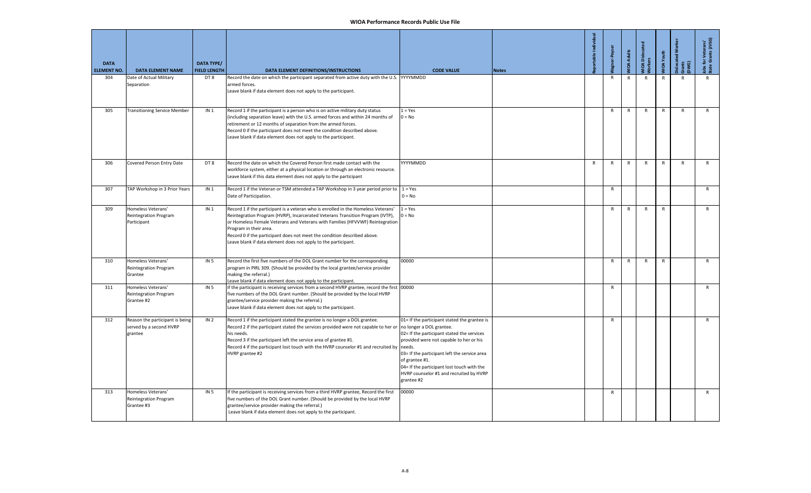| <b>DATA</b><br><b>ELEMENT NO.</b> | <b>DATA ELEMENT NAME</b>                                              | <b>DATA TYPE/</b><br><b>FIELD LENGTH</b> | DATA ELEMENT DEFINITIONS/INSTRUCTIONS                                                                                                                                                                                                                                                                                                                                                                                         | <b>CODE VALUE</b>                                                                                                                                                                                                                                                                                              | <b>Notes</b> | portable Indiv | Vagner-Peyse | <b>VIOA Adults</b> | VIOA Dislocat<br><b>Vorkers</b> | <b>JIOA</b> Youth | Dislocated Wo<br>Grants<br>DWG) | Jobs for Veterans'<br>State Grants (JVSG) |
|-----------------------------------|-----------------------------------------------------------------------|------------------------------------------|-------------------------------------------------------------------------------------------------------------------------------------------------------------------------------------------------------------------------------------------------------------------------------------------------------------------------------------------------------------------------------------------------------------------------------|----------------------------------------------------------------------------------------------------------------------------------------------------------------------------------------------------------------------------------------------------------------------------------------------------------------|--------------|----------------|--------------|--------------------|---------------------------------|-------------------|---------------------------------|-------------------------------------------|
| 304                               | Date of Actual Military<br>Separation                                 | DT8                                      | Record the date on which the participant separated from active duty with the U.S. YYYYMMDD<br>armed forces.<br>Leave blank if data element does not apply to the participant.                                                                                                                                                                                                                                                 |                                                                                                                                                                                                                                                                                                                |              |                | R            | R                  | $\mathsf{R}$                    | $\mathsf{R}$      | $\mathsf{R}$                    | $\mathsf{R}$                              |
| 305                               | <b>Transitioning Service Member</b>                                   | IN <sub>1</sub>                          | Record 1 if the participant is a person who is on active military duty status<br>(including separation leave) with the U.S. armed forces and within 24 months of<br>retirement or 12 months of separation from the armed forces.<br>Record 0 if the participant does not meet the condition described above.<br>Leave blank if data element does not apply to the participant.                                                | $1 = Yes$<br>$0 = No$                                                                                                                                                                                                                                                                                          |              |                | $\mathsf{R}$ | R                  | R                               | $\mathsf{R}$      | $\mathsf{R}$                    | $\mathsf{R}$                              |
| 306                               | Covered Person Entry Date                                             | DT8                                      | Record the date on which the Covered Person first made contact with the<br>workforce system, either at a physical location or through an electronic resource.<br>Leave blank if this data element does not apply to the participant                                                                                                                                                                                           | YYYYMMDD                                                                                                                                                                                                                                                                                                       |              | R              | $\mathsf{R}$ | R                  | $\mathsf{R}$                    | $\mathsf{R}$      | $\mathsf{R}$                    | $\mathsf{R}$                              |
| 307                               | TAP Workshop in 3 Prior Years                                         | IN <sub>1</sub>                          | Record 1 if the Veteran or TSM attended a TAP Workshop in 3 year period prior to $1 = Yes$<br>Date of Participation.                                                                                                                                                                                                                                                                                                          | $0 = No$                                                                                                                                                                                                                                                                                                       |              |                | $\mathsf{R}$ |                    |                                 |                   |                                 | $\mathsf{R}$                              |
| 309                               | Homeless Veterans'<br>Reintegration Program<br>Participant            | IN <sub>1</sub>                          | Record 1 if the participant is a veteran who is enrolled in the Homeless Veterans'<br>Reintegration Program (HVRP), Incarcerated Veterans Transition Program (IVTP),<br>or Homeless Female Veterans and Veterans with Families (HFVVWF) Reintegration<br>Program in their area.<br>Record 0 if the participant does not meet the condition described above.<br>Leave blank if data element does not apply to the participant. | $1 = Yes$<br>$0 = No$                                                                                                                                                                                                                                                                                          |              |                | R            | R                  | R                               | ${\sf R}$         |                                 | ${\sf R}$                                 |
| 310                               | Homeless Veterans'<br>Reintegration Program<br>Grantee                | IN <sub>5</sub>                          | Record the first five numbers of the DOL Grant number for the corresponding<br>program in PIRL 309. (Should be provided by the local grantee/service provider<br>making the referral.)<br>Leave blank if data element does not apply to the participant.                                                                                                                                                                      | 00000                                                                                                                                                                                                                                                                                                          |              |                | $\mathsf{R}$ | $\mathsf{R}$       | $\mathsf{R}$                    | $\mathsf{R}$      |                                 | $\mathsf{R}$                              |
| 311                               | Homeless Veterans'<br>Reintegration Program<br>Grantee #2             | IN <sub>5</sub>                          | If the participant is receiving services from a second HVRP grantee, record the first 00000<br>five numbers of the DOL Grant number. (Should be provided by the local HVRP<br>grantee/service provider making the referral.)<br>Leave blank if data element does not apply to the participant.                                                                                                                                |                                                                                                                                                                                                                                                                                                                |              |                | $\mathsf{R}$ |                    |                                 |                   |                                 | $\mathsf{R}$                              |
| 312                               | Reason the participant is being<br>served by a second HVRP<br>grantee | IN <sub>2</sub>                          | Record 1 if the participant stated the grantee is no longer a DOL grantee.<br>Record 2 if the participant stated the services provided were not capable to her or no longer a DOL grantee.<br>his needs.<br>Record 3 if the participant left the service area of grantee #1.<br>Record 4 if the participant lost touch with the HVRP counselor #1 and recruited by needs.<br>HVRP grantee #2                                  | 01= If the participant stated the grantee is<br>02= If the participant stated the services<br>provided were not capable to her or his<br>03= If the participant left the service area<br>of grantee #1.<br>04= If the participant lost touch with the<br>HVRP counselor #1 and recruited by HVRP<br>grantee #2 |              |                | $\mathsf{R}$ |                    |                                 |                   |                                 | R                                         |
| 313                               | Homeless Veterans'<br><b>Reintegration Program</b><br>Grantee #3      | IN <sub>5</sub>                          | If the participant is receiving services from a third HVRP grantee, Record the first<br>five numbers of the DOL Grant number. (Should be provided by the local HVRP<br>grantee/service provider making the referral.)<br>Leave blank if data element does not apply to the participant.                                                                                                                                       | 00000                                                                                                                                                                                                                                                                                                          |              |                | $\mathsf{R}$ |                    |                                 |                   |                                 | $\mathsf{R}$                              |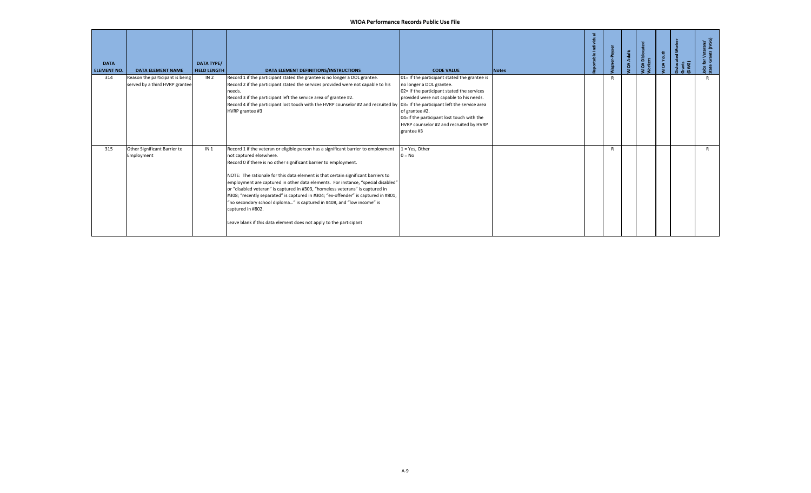| <b>DATA</b><br><b>ELEMENT NO.</b> | <b>DATA ELEMENT NAME</b>                                          | <b>DATA TYPE/</b><br><b>FIELD LENGTH</b> | DATA ELEMENT DEFINITIONS/INSTRUCTIONS                                                                                                                                                                                                                                                                                                                                                                                                                                                                                                                                                                                                                                                                  | <b>CODE VALUE</b>                                                                                                                                                                                                                                                                         | <b>Notes</b> | ÷ |   | <b>OA Adults</b> | <b>JOA</b> Disloc | IOA Youth | irants<br>DWG) | ٩            |
|-----------------------------------|-------------------------------------------------------------------|------------------------------------------|--------------------------------------------------------------------------------------------------------------------------------------------------------------------------------------------------------------------------------------------------------------------------------------------------------------------------------------------------------------------------------------------------------------------------------------------------------------------------------------------------------------------------------------------------------------------------------------------------------------------------------------------------------------------------------------------------------|-------------------------------------------------------------------------------------------------------------------------------------------------------------------------------------------------------------------------------------------------------------------------------------------|--------------|---|---|------------------|-------------------|-----------|----------------|--------------|
| 314                               | Reason the participant is being<br>served by a third HVRP grantee | IN <sub>2</sub>                          | Record 1 if the participant stated the grantee is no longer a DOL grantee.<br>Record 2 if the participant stated the services provided were not capable to his<br>needs.<br>Record 3 if the participant left the service area of grantee #2.<br>Record 4 if the participant lost touch with the HVRP counselor #2 and recruited by 03= If the participant left the service area<br>HVRP grantee #3                                                                                                                                                                                                                                                                                                     | 01= If the participant stated the grantee is<br>no longer a DOL grantee.<br>02= If the participant stated the services<br>provided were not capable to his needs.<br>of grantee #2.<br>04=If the participant lost touch with the<br>HVRP counselor #2 and recruited by HVRP<br>grantee #3 |              |   |   |                  |                   |           |                |              |
| 315                               | Other Significant Barrier to<br>Employment                        | IN <sub>1</sub>                          | Record 1 if the veteran or eligible person has a significant barrier to employment<br>not captured elsewhere.<br>Record 0 if there is no other significant barrier to employment.<br>NOTE: The rationale for this data element is that certain significant barriers to<br>employment are captured in other data elements. For instance, "special disabled"<br>or "disabled veteran" is captured in #303, "homeless veterans" is captured in<br>#308; "recently separated" is captured in #304; "ex-offender" is captured in #801,<br>"no secondary school diploma" is captured in #408, and "low income" is<br>captured in #802.<br>Leave blank if this data element does not apply to the participant | $1 = Yes$ , Other<br>$0 = No$                                                                                                                                                                                                                                                             |              |   | R |                  |                   |           |                | $\mathsf{R}$ |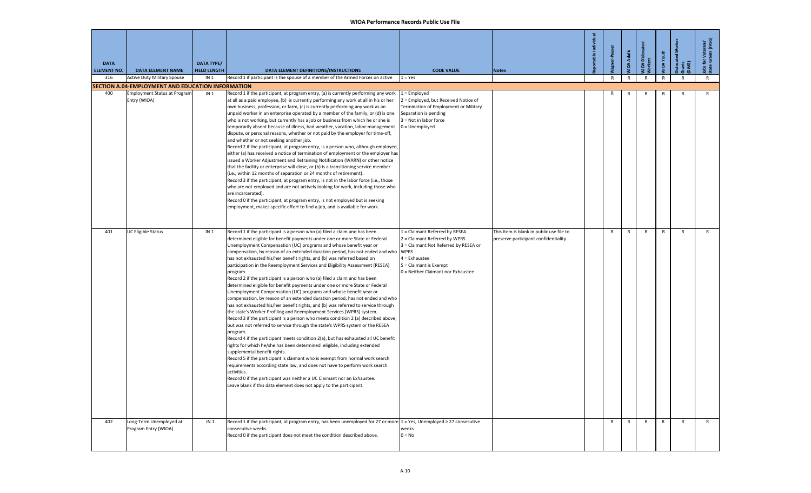| <b>DATA</b><br><b>ELEMENT NO.</b> | <b>DATA ELEMENT NAME</b>                            | <b>DATA TYPE/</b><br><b>FIELD LENGTH</b> | DATA ELEMENT DEFINITIONS/INSTRUCTIONS                                                                                                                                                                                                                                                                                                                                                                                                                                                                                                                                                                                                                                                                                                                                                                                                                                                                                                                                                                                                                                                                                                                                                                                                                                                                                                                                                                                                                                                                                                                                                                                                                                                        | <b>CODE VALUE</b>                                                                                                                                                                                        | <b>Notes</b>                                                                      | able Individe | er-Peyser    | <b>VIOA Adults</b> | VIOA Dislocated<br><b>Jorkers</b> | <b>VIOA</b> Youth | slocated Wo<br>irants<br>JWG) | Jobs for Veterans'<br>State Grants (JVSG) |
|-----------------------------------|-----------------------------------------------------|------------------------------------------|----------------------------------------------------------------------------------------------------------------------------------------------------------------------------------------------------------------------------------------------------------------------------------------------------------------------------------------------------------------------------------------------------------------------------------------------------------------------------------------------------------------------------------------------------------------------------------------------------------------------------------------------------------------------------------------------------------------------------------------------------------------------------------------------------------------------------------------------------------------------------------------------------------------------------------------------------------------------------------------------------------------------------------------------------------------------------------------------------------------------------------------------------------------------------------------------------------------------------------------------------------------------------------------------------------------------------------------------------------------------------------------------------------------------------------------------------------------------------------------------------------------------------------------------------------------------------------------------------------------------------------------------------------------------------------------------|----------------------------------------------------------------------------------------------------------------------------------------------------------------------------------------------------------|-----------------------------------------------------------------------------------|---------------|--------------|--------------------|-----------------------------------|-------------------|-------------------------------|-------------------------------------------|
| 316                               | <b>Active Duty Military Spouse</b>                  | IN <sub>1</sub>                          | Record 1 if participant is the spouse of a member of the Armed Forces on active                                                                                                                                                                                                                                                                                                                                                                                                                                                                                                                                                                                                                                                                                                                                                                                                                                                                                                                                                                                                                                                                                                                                                                                                                                                                                                                                                                                                                                                                                                                                                                                                              | $1 = Yes$                                                                                                                                                                                                |                                                                                   |               | $\mathsf{R}$ | R                  | $\mathsf{R}$                      | R                 | R                             | R                                         |
|                                   | SECTION A.04-EMPLOYMENT AND EDUCATION INFORMATION   |                                          |                                                                                                                                                                                                                                                                                                                                                                                                                                                                                                                                                                                                                                                                                                                                                                                                                                                                                                                                                                                                                                                                                                                                                                                                                                                                                                                                                                                                                                                                                                                                                                                                                                                                                              |                                                                                                                                                                                                          |                                                                                   |               |              |                    |                                   |                   |                               |                                           |
| 400                               | <b>Employment Status at Program</b><br>Entry (WIOA) | IN <sub>1</sub>                          | Record 1 if the participant, at program entry, (a) is currently performing any work<br>at all as a paid employee, (b) is currently performing any work at all in his or her<br>own business, profession, or farm, (c) is currently performing any work as an<br>unpaid worker in an enterprise operated by a member of the family, or (d) is one<br>who is not working, but currently has a job or business from which he or she is<br>temporarily absent because of illness, bad weather, vacation, labor-management<br>dispute, or personal reasons, whether or not paid by the employer for time-off,<br>and whether or not seeking another job.<br>Record 2 if the participant, at program entry, is a person who, although employed,<br>either (a) has received a notice of termination of employment or the employer has<br>issued a Worker Adjustment and Retraining Notification (WARN) or other notice<br>that the facility or enterprise will close, or (b) is a transitioning service member<br>(i.e., within 12 months of separation or 24 months of retirement).<br>Record 3 if the participant, at program entry, is not in the labor force (i.e., those<br>who are not employed and are not actively looking for work, including those who<br>are incarcerated).<br>Record 0 if the participant, at program entry, is not employed but is seeking<br>employment, makes specific effort to find a job, and is available for work.                                                                                                                                                                                                                                              | $1 =$ Employed<br>2 = Employed, but Received Notice of<br>Termination of Employment or Military<br>Separation is pending<br>3 = Not in labor force<br>$0 =$ Unemployed                                   |                                                                                   |               | R            | R                  |                                   | R                 | R                             | $\mathsf{R}$                              |
| 401                               | UC Eligible Status                                  | IN <sub>1</sub>                          | Record 1 if the participant is a person who (a) filed a claim and has been<br>determined eligible for benefit payments under one or more State or Federal<br>Unemployment Compensation (UC) programs and whose benefit year or<br>compensation, by reason of an extended duration period, has not ended and who<br>has not exhausted his/her benefit rights, and (b) was referred based on<br>participation in the Reemployment Services and Eligibility Assessment (RESEA)<br>program.<br>Record 2 if the participant is a person who (a) filed a claim and has been<br>determined eligible for benefit payments under one or more State or Federal<br>Unemployment Compensation (UC) programs and whose benefit year or<br>compensation, by reason of an extended duration period, has not ended and who<br>has not exhausted his/her benefit rights, and (b) was referred to service through<br>the state's Worker Profiling and Reemployment Services (WPRS) system.<br>Record 3 if the participant is a person who meets condition 2 (a) described above,<br>but was not referred to service through the state's WPRS system or the RESEA<br>program.<br>Record 4 if the participant meets condition 2(a), but has exhausted all UC benefit<br>rights for which he/she has been determined eligible, including extended<br>supplemental benefit rights.<br>Record 5 if the participant is claimant who is exempt from normal work search<br>requirements according state law, and does not have to perform work search<br>activities.<br>Record 0 if the participant was neither a UC Claimant nor an Exhaustee.<br>Leave blank if this data element does not apply to the participant. | 1 = Claimant Referred by RESEA<br>2 = Claimant Referred by WPRS<br>3 = Claimant Not Referred by RESEA or<br><b>WPRS</b><br>4 = Exhaustee<br>5 = Claimant is Exempt<br>0 = Neither Claimant nor Exhaustee | This Item is blank in public use file to<br>preserve participant confidentiality. |               | R            | R                  | R                                 | R                 | $\mathsf{R}$                  | R                                         |
| 402                               | Long-Term Unemployed at<br>Program Entry (WIOA)     | IN <sub>1</sub>                          | Record 1 if the participant, at program entry, has been unemployed for 27 or more 1 = Yes, Unemployed ≥ 27 consecutive<br>consecutive weeks.<br>Record 0 if the participant does not meet the condition described above.                                                                                                                                                                                                                                                                                                                                                                                                                                                                                                                                                                                                                                                                                                                                                                                                                                                                                                                                                                                                                                                                                                                                                                                                                                                                                                                                                                                                                                                                     | weeks<br>$0 = No$                                                                                                                                                                                        |                                                                                   |               | R            | R                  | R                                 | R                 | R                             | R                                         |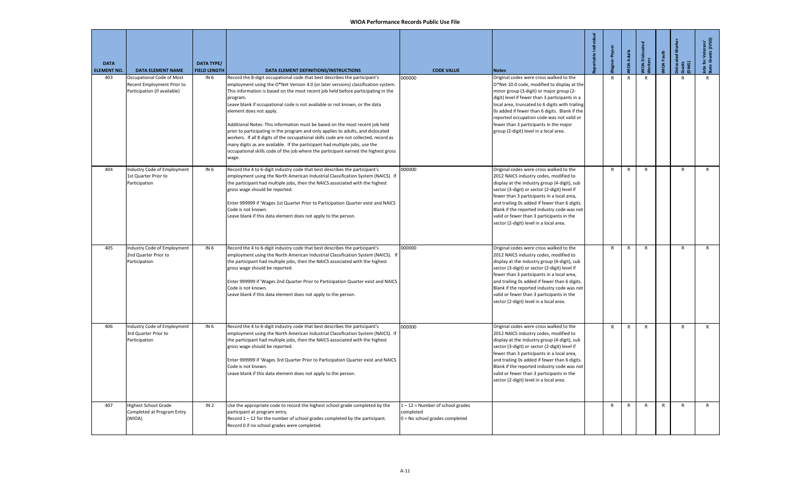| <b>DATA</b><br><b>ELEMENT NO.</b> | <b>DATA ELEMENT NAME</b>                                                                | DATA TYPE/<br><b>FIELD LENGTH</b> | DATA ELEMENT DEFINITIONS/INSTRUCTIONS                                                                                                                                                                                                                                                                                                                                                                                                                                                                                                                                                                                                                                                                                                                                                                                 | <b>CODE VALUE</b>                                                                 | <b>Notes</b>                                                                                                                                                                                                                                                                                                                                                                                                              | portable Individua | Vagner-Peyse | <b>VIOA Adults</b> | VIOA Disloca<br><b>Norkers</b> | <b>MIOA Youth</b> | <b>Dislocated Worker</b><br>Grants<br>DWG) | Jobs for Veterans'<br>State Grants (JVSG) |
|-----------------------------------|-----------------------------------------------------------------------------------------|-----------------------------------|-----------------------------------------------------------------------------------------------------------------------------------------------------------------------------------------------------------------------------------------------------------------------------------------------------------------------------------------------------------------------------------------------------------------------------------------------------------------------------------------------------------------------------------------------------------------------------------------------------------------------------------------------------------------------------------------------------------------------------------------------------------------------------------------------------------------------|-----------------------------------------------------------------------------------|---------------------------------------------------------------------------------------------------------------------------------------------------------------------------------------------------------------------------------------------------------------------------------------------------------------------------------------------------------------------------------------------------------------------------|--------------------|--------------|--------------------|--------------------------------|-------------------|--------------------------------------------|-------------------------------------------|
| 403                               | Occupational Code of Most<br>Recent Employment Prior to<br>Participation (if available) | IN 6                              | Record the 8-digit occupational code that best describes the participant's<br>employment using the O*Net Version 4.0 (or later versions) classification system.<br>This information is based on the most recent job held before participating in the<br>program.<br>Leave blank if occupational code is not available or not known, or the data<br>element does not apply.<br>Additional Notes: This information must be based on the most recent job held<br>prior to participating in the program and only applies to adults, and dislocated<br>workers. If all 8 digits of the occupational skills code are not collected, record as<br>many digits as are available. If the participant had multiple jobs, use the<br>occupational skills code of the job where the participant earned the highest gross<br>wage. | 000000                                                                            | Original codes were cross walked to the<br>O*Net 10.0 code, modified to display at the<br>minor group (3-digit) or major group (2-<br>digit) level if fewer than 3 participants in a<br>local area, truncated to 6 digits with trailing<br>Os added if fewer than 6 digits. Blank if the<br>reported occupation code was not valid or<br>fewer than 3 participants in the major<br>group (2-digit) level in a local area. |                    | $\mathsf{R}$ | $\mathsf{R}$       | $\mathsf{R}$                   |                   | $\mathsf{R}$                               |                                           |
| 404                               | Industry Code of Employment<br>1st Quarter Prior to<br>Participation                    | IN 6                              | Record the 4 to 6-digit industry code that best describes the participant's<br>employment using the North American Industrial Classification System (NAICS). If<br>the participant had multiple jobs, then the NAICS associated with the highest<br>gross wage should be reported.<br>Enter 999999 if 'Wages 1st Quarter Prior to Participation Quarter exist and NAICS<br>Code is not known.<br>Leave blank if this data element does not apply to the person.                                                                                                                                                                                                                                                                                                                                                       | 000000                                                                            | Original codes were cross walked to the<br>2012 NAICS industry codes, modified to<br>display at the industry group (4-digit), sub<br>sector (3-digit) or sector (2-digit) level if<br>fewer than 3 participants in a local area,<br>and trailing 0s added if fewer than 6 digits.<br>Blank if the reported industry code was not<br>valid or fewer than 3 participants in the<br>sector (2-digit) level in a local area.  |                    | R            | $\mathsf{R}$       | $\mathsf{R}$                   |                   | $\mathsf{R}$                               | $\mathsf{R}$                              |
| 405                               | Industry Code of Employment<br>2nd Quarter Prior to<br>Participation                    | IN 6                              | Record the 4 to 6-digit industry code that best describes the participant's<br>employment using the North American Industrial Classification System (NAICS). If<br>the participant had multiple jobs, then the NAICS associated with the highest<br>gross wage should be reported.<br>Enter 999999 if 'Wages 2nd Quarter Prior to Participation Quarter exist and NAICS<br>Code is not known.<br>Leave blank if this data element does not apply to the person.                                                                                                                                                                                                                                                                                                                                                       | 000000                                                                            | Original codes were cross walked to the<br>2012 NAICS industry codes, modified to<br>display at the industry group (4-digit), sub<br>sector (3-digit) or sector (2-digit) level if<br>fewer than 3 participants in a local area,<br>and trailing 0s added if fewer than 6 digits.<br>Blank if the reported industry code was not<br>valid or fewer than 3 participants in the<br>sector (2-digit) level in a local area.  |                    | R            | $\mathsf{R}$       | R                              |                   | $\mathsf{R}$                               | $\mathsf{R}$                              |
| 406                               | Industry Code of Employment<br>3rd Quarter Prior to<br>Participation                    | IN 6                              | Record the 4 to 6-digit industry code that best describes the participant's<br>employment using the North American Industrial Classification System (NAICS). If<br>the participant had multiple jobs, then the NAICS associated with the highest<br>gross wage should be reported.<br>Enter 999999 if 'Wages 3rd Quarter Prior to Participation Quarter exist and NAICS<br>Code is not known.<br>Leave blank if this data element does not apply to the person.                                                                                                                                                                                                                                                                                                                                                       | 000000                                                                            | Original codes were cross walked to the<br>2012 NAICS industry codes, modified to<br>display at the industry group (4-digit), sub<br>sector (3-digit) or sector (2-digit) level if<br>fewer than 3 participants in a local area,<br>and trailing Os added if fewer than 6 digits.<br>Blank if the reported industry code was not<br>valid or fewer than 3 participants in the<br>sector (2-digit) level in a local area.  |                    | R            | $\mathsf{R}$       | R                              |                   | $\mathsf{R}$                               | ${\sf R}$                                 |
| 407                               | Highest School Grade<br>Completed at Program Entry<br>(WIOA)                            | IN <sub>2</sub>                   | Use the appropriate code to record the highest school grade completed by the<br>participant at program entry.<br>Record $1 - 12$ for the number of school grades completed by the participant.<br>Record 0 if no school grades were completed.                                                                                                                                                                                                                                                                                                                                                                                                                                                                                                                                                                        | $1 - 12$ = Number of school grades<br>completed<br>0 = No school grades completed |                                                                                                                                                                                                                                                                                                                                                                                                                           |                    | $\mathsf{R}$ | R                  | R                              | R                 | $\mathsf{R}$                               | $\mathsf{R}$                              |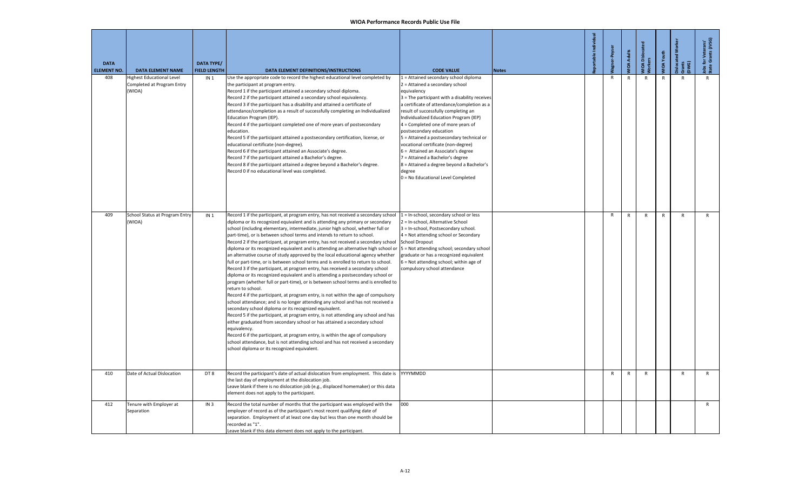| <b>DATA</b><br><b>ELEMENT NO.</b> | <b>DATA ELEMENT NAME</b>                                          | <b>DATA TYPE/</b><br><b>FIELD LENGTH</b> | DATA ELEMENT DEFINITIONS/INSTRUCTIONS                                                                                                                                                                                                                                                                                                                                                                                                                                                                                                                                                                                                                                                                                                                                                                                                                                                                                                                                                                                                                                                                                                                                                                                                                                                                                                                                                                                                                                                                                                                                                                               | <b>CODE VALUE</b>                                                                                                                                                                                                                                                                                                                                                                                                                                                                                                                                                                                      | <b>Notes</b> | portable Individual | lagner-Peyse | <b>JOA Adults</b> | MIOA Dislocate<br>Norkers | VIOA Youth | islocated Wo<br>Gwants<br>DWG) | lobs for Veterans'<br>State Grants (JVSG) |
|-----------------------------------|-------------------------------------------------------------------|------------------------------------------|---------------------------------------------------------------------------------------------------------------------------------------------------------------------------------------------------------------------------------------------------------------------------------------------------------------------------------------------------------------------------------------------------------------------------------------------------------------------------------------------------------------------------------------------------------------------------------------------------------------------------------------------------------------------------------------------------------------------------------------------------------------------------------------------------------------------------------------------------------------------------------------------------------------------------------------------------------------------------------------------------------------------------------------------------------------------------------------------------------------------------------------------------------------------------------------------------------------------------------------------------------------------------------------------------------------------------------------------------------------------------------------------------------------------------------------------------------------------------------------------------------------------------------------------------------------------------------------------------------------------|--------------------------------------------------------------------------------------------------------------------------------------------------------------------------------------------------------------------------------------------------------------------------------------------------------------------------------------------------------------------------------------------------------------------------------------------------------------------------------------------------------------------------------------------------------------------------------------------------------|--------------|---------------------|--------------|-------------------|---------------------------|------------|--------------------------------|-------------------------------------------|
| 408                               | lighest Educational Level<br>Completed at Program Entry<br>(WIOA) | IN <sub>1</sub>                          | Jse the appropriate code to record the highest educational level completed by<br>the participant at program entry.<br>Record 1 if the participant attained a secondary school diploma.<br>Record 2 if the participant attained a secondary school equivalency.<br>Record 3 if the participant has a disability and attained a certificate of<br>attendance/completion as a result of successfully completing an Individualized<br>Education Program (IEP).<br>Record 4 if the participant completed one of more years of postsecondary<br>education.<br>Record 5 if the participant attained a postsecondary certification, license, or<br>educational certificate (non-degree).<br>Record 6 if the participant attained an Associate's degree.<br>Record 7 if the participant attained a Bachelor's degree.<br>Record 8 if the participant attained a degree beyond a Bachelor's degree.<br>Record 0 if no educational level was completed.                                                                                                                                                                                                                                                                                                                                                                                                                                                                                                                                                                                                                                                                        | 1 = Attained secondary school diploma<br>2 = Attained a secondary school<br>equivalency<br>3 = The participant with a disability receives<br>a certificate of attendance/completion as a<br>result of successfully completing an<br>Individualized Education Program (IEP)<br>4 = Completed one of more years of<br>postsecondary education<br>5 = Attained a postsecondary technical or<br>vocational certificate (non-degree)<br>6 = Attained an Associate's degree<br>7 = Attained a Bachelor's degree<br>8 = Attained a degree beyond a Bachelor's<br>degree<br>0 = No Educational Level Completed |              |                     | $\mathsf{R}$ | $\mathsf{R}$      | $\mathsf{R}$              | R          | R                              | $\mathsf{R}$                              |
| 409                               | School Status at Program Entry<br>(WIOA)                          | IN <sub>1</sub>                          | Record 1 if the participant, at program entry, has not received a secondary school<br>diploma or its recognized equivalent and is attending any primary or secondary<br>school (including elementary, intermediate, junior high school, whether full or<br>part-time), or is between school terms and intends to return to school.<br>Record 2 if the participant, at program entry, has not received a secondary school<br>diploma or its recognized equivalent and is attending an alternative high school or<br>an alternative course of study approved by the local educational agency whether<br>full or part-time, or is between school terms and is enrolled to return to school.<br>Record 3 if the participant, at program entry, has received a secondary school<br>diploma or its recognized equivalent and is attending a postsecondary school or<br>program (whether full or part-time), or is between school terms and is enrolled to<br>return to school.<br>Record 4 if the participant, at program entry, is not within the age of compulsory<br>school attendance; and is no longer attending any school and has not received a<br>secondary school diploma or its recognized equivalent.<br>Record 5 if the participant, at program entry, is not attending any school and has<br>either graduated from secondary school or has attained a secondary school<br>equivalency.<br>Record 6 if the participant, at program entry, is within the age of compulsory<br>school attendance, but is not attending school and has not received a secondary<br>school diploma or its recognized equivalent. | 1 = In-school, secondary school or less<br>2 = In-school, Alternative School<br>3 = In-school, Postsecondary school.<br>4 = Not attending school or Secondary<br><b>School Dropout</b><br>5 = Not attending school; secondary school<br>graduate or has a recognized equivalent<br>6 = Not attending school; within age of<br>compulsory school attendance                                                                                                                                                                                                                                             |              |                     | $\mathsf{R}$ | $\mathsf{R}$      | ${\sf R}$                 | ${\sf R}$  | $\mathsf{R}$                   | $\mathsf{R}$                              |
| 410                               | Date of Actual Dislocation                                        | DT8                                      | Record the participant's date of actual dislocation from employment. This date is<br>the last day of employment at the dislocation job.<br>Leave blank if there is no dislocation job (e.g., displaced homemaker) or this data<br>element does not apply to the participant.                                                                                                                                                                                                                                                                                                                                                                                                                                                                                                                                                                                                                                                                                                                                                                                                                                                                                                                                                                                                                                                                                                                                                                                                                                                                                                                                        | YYYYMMDD                                                                                                                                                                                                                                                                                                                                                                                                                                                                                                                                                                                               |              |                     | R            | $\mathsf{R}$      | R                         |            | $\mathsf{R}$                   | $\mathsf{R}$                              |
| 412                               | Tenure with Employer at<br>Separation                             | IN <sub>3</sub>                          | Record the total number of months that the participant was employed with the<br>employer of record as of the participant's most recent qualifying date of<br>separation. Employment of at least one day but less than one month should be<br>recorded as "1".<br>eave blank if this data element does not apply to the participant.                                                                                                                                                                                                                                                                                                                                                                                                                                                                                                                                                                                                                                                                                                                                                                                                                                                                                                                                                                                                                                                                                                                                                                                                                                                                                 | 000                                                                                                                                                                                                                                                                                                                                                                                                                                                                                                                                                                                                    |              |                     |              |                   |                           |            |                                | R                                         |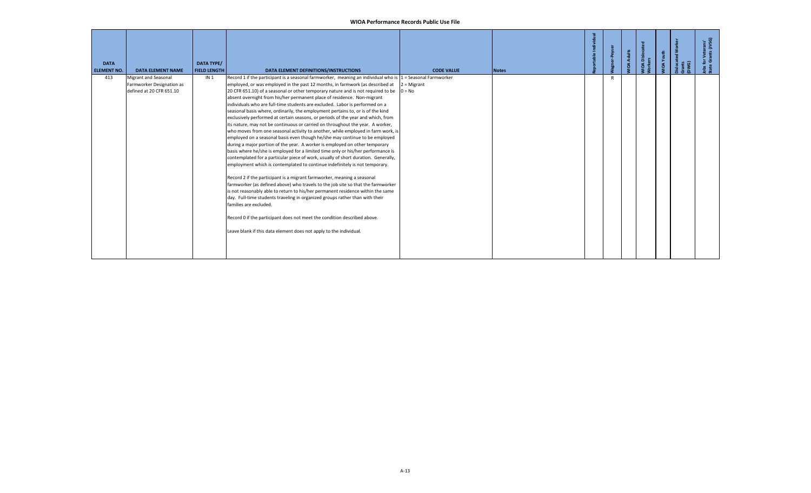| Jobs for Veterans'<br>State Grants (JVSG) |
|-------------------------------------------|
|                                           |
|                                           |
|                                           |
|                                           |
|                                           |
|                                           |
|                                           |
|                                           |
|                                           |
|                                           |
|                                           |
|                                           |
|                                           |
|                                           |
|                                           |
|                                           |
|                                           |
|                                           |
|                                           |
|                                           |
|                                           |
|                                           |
|                                           |
|                                           |
|                                           |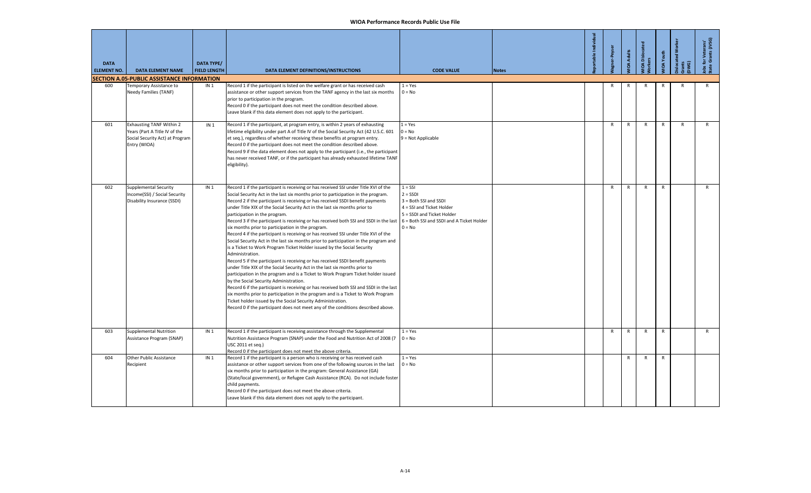| <b>DATA</b><br><b>ELEMENT NO.</b> | <b>DATA ELEMENT NAME</b>                                                                                            | <b>DATA TYPE/</b><br><b>FIELD LENGTH</b> | DATA ELEMENT DEFINITIONS/INSTRUCTIONS                                                                                                                                                                                                                                                                                                                                                                                                                                                                                                                                                                                                                                                                                                                                                                                                                                                                                                                                                                                                                                                                                                                                                                                                                                                                                                                                                                                                                                             | <b>CODE VALUE</b>                                                                                                       | <b>Notes</b> | table Indi | ler-Peyser   | <b>IOA Adults</b> | <b>OA</b> Dislocat | <b>IOA</b> Youth | ିତ           | obs for Veterans'<br>tate Grants (JVSG) |
|-----------------------------------|---------------------------------------------------------------------------------------------------------------------|------------------------------------------|-----------------------------------------------------------------------------------------------------------------------------------------------------------------------------------------------------------------------------------------------------------------------------------------------------------------------------------------------------------------------------------------------------------------------------------------------------------------------------------------------------------------------------------------------------------------------------------------------------------------------------------------------------------------------------------------------------------------------------------------------------------------------------------------------------------------------------------------------------------------------------------------------------------------------------------------------------------------------------------------------------------------------------------------------------------------------------------------------------------------------------------------------------------------------------------------------------------------------------------------------------------------------------------------------------------------------------------------------------------------------------------------------------------------------------------------------------------------------------------|-------------------------------------------------------------------------------------------------------------------------|--------------|------------|--------------|-------------------|--------------------|------------------|--------------|-----------------------------------------|
|                                   | <b>SECTION A.05-PUBLIC ASSISTANCE INFORMATION</b>                                                                   |                                          |                                                                                                                                                                                                                                                                                                                                                                                                                                                                                                                                                                                                                                                                                                                                                                                                                                                                                                                                                                                                                                                                                                                                                                                                                                                                                                                                                                                                                                                                                   |                                                                                                                         |              |            |              |                   |                    |                  |              |                                         |
| 600                               | Temporary Assistance to<br>Needy Families (TANF)                                                                    | IN <sub>1</sub>                          | Record 1 if the participant is listed on the welfare grant or has received cash<br>assistance or other support services from the TANF agency in the last six months<br>prior to participation in the program.<br>Record 0 if the participant does not meet the condition described above.<br>Leave blank if this data element does not apply to the participant.                                                                                                                                                                                                                                                                                                                                                                                                                                                                                                                                                                                                                                                                                                                                                                                                                                                                                                                                                                                                                                                                                                                  | $1 = Yes$<br>$0 = No$                                                                                                   |              |            | R            |                   | R                  |                  |              | R                                       |
| 601                               | <b>Exhausting TANF Within 2</b><br>Years (Part A Title IV of the<br>Social Security Act) at Program<br>Entry (WIOA) | IN <sub>1</sub>                          | Record 1 if the participant, at program entry, is within 2 years of exhausting<br>lifetime eligibility under part A of Title IV of the Social Security Act (42 U.S.C. 601<br>et seq.), regardless of whether receiving these benefits at program entry.<br>Record 0 if the participant does not meet the condition described above.<br>Record 9 if the data element does not apply to the participant (i.e., the participant<br>has never received TANF, or if the participant has already exhausted lifetime TANF<br>eligibility).                                                                                                                                                                                                                                                                                                                                                                                                                                                                                                                                                                                                                                                                                                                                                                                                                                                                                                                                               | $1 = Yes$<br>$0 = No$<br>9 = Not Applicable                                                                             |              |            | $\mathsf{R}$ | $\mathsf{R}$      | $\mathsf{R}$       | $\mathsf{R}$     | $\mathsf{R}$ | R                                       |
| 602                               | Supplemental Security<br>Income(SSI) / Social Security<br>Disability Insurance (SSDI)                               | IN <sub>1</sub>                          | Record 1 if the participant is receiving or has received SSI under Title XVI of the<br>Social Security Act in the last six months prior to participation in the program.<br>Record 2 if the participant is receiving or has received SSDI benefit payments<br>under Title XIX of the Social Security Act in the last six months prior to<br>participation in the program.<br>Record 3 if the participant is receiving or has received both SSI and SSDI in the last $6 =$ Both SSI and SSDI and A Ticket Holder<br>six months prior to participation in the program.<br>Record 4 if the participant is receiving or has received SSI under Title XVI of the<br>Social Security Act in the last six months prior to participation in the program and<br>is a Ticket to Work Program Ticket Holder issued by the Social Security<br>Administration.<br>Record 5 if the participant is receiving or has received SSDI benefit payments<br>under Title XIX of the Social Security Act in the last six months prior to<br>participation in the program and is a Ticket to Work Program Ticket holder issued<br>by the Social Security Administration.<br>Record 6 if the participant is receiving or has received both SSI and SSDI in the last<br>six months prior to participation in the program and is a Ticket to Work Program<br>Ticket holder issued by the Social Security Administration.<br>Record 0 if the participant does not meet any of the conditions described above. | $1 = SSI$<br>$2 = SSDI$<br>3 = Both SSI and SSDI<br>4 = SSI and Ticket Holder<br>5 = SSDI and Ticket Holder<br>$0 = No$ |              |            | $\mathsf{R}$ | $\mathsf{R}$      | $\mathsf{R}$       | $\mathsf{R}$     |              | $\mathsf{R}$                            |
| 603                               | Supplemental Nutrition<br>Assistance Program (SNAP)                                                                 | IN <sub>1</sub>                          | Record 1 if the participant is receiving assistance through the Supplemental<br>Nutrition Assistance Program (SNAP) under the Food and Nutrition Act of 2008 (7<br>USC 2011 et sea.)<br>Record 0 if the participant does not meet the above criteria.                                                                                                                                                                                                                                                                                                                                                                                                                                                                                                                                                                                                                                                                                                                                                                                                                                                                                                                                                                                                                                                                                                                                                                                                                             | $1 = Yes$<br>$0 = No$                                                                                                   |              |            | $\mathsf{R}$ | $\mathsf{R}$      | $\mathsf{R}$       | $\mathsf{R}$     |              | R                                       |
| 604                               | Other Public Assistance<br>Recipient                                                                                | IN <sub>1</sub>                          | Record 1 if the participant is a person who is receiving or has received cash<br>assistance or other support services from one of the following sources in the last<br>six months prior to participation in the program: General Assistance (GA)<br>(State/local government), or Refugee Cash Assistance (RCA). Do not include foster<br>child payments.<br>Record 0 if the participant does not meet the above criteria.<br>Leave blank if this data element does not apply to the participant.                                                                                                                                                                                                                                                                                                                                                                                                                                                                                                                                                                                                                                                                                                                                                                                                                                                                                                                                                                                  | $1 = Yes$<br>$0 = No$                                                                                                   |              |            |              | R                 | $\mathsf{R}$       | $\mathsf{R}$     |              |                                         |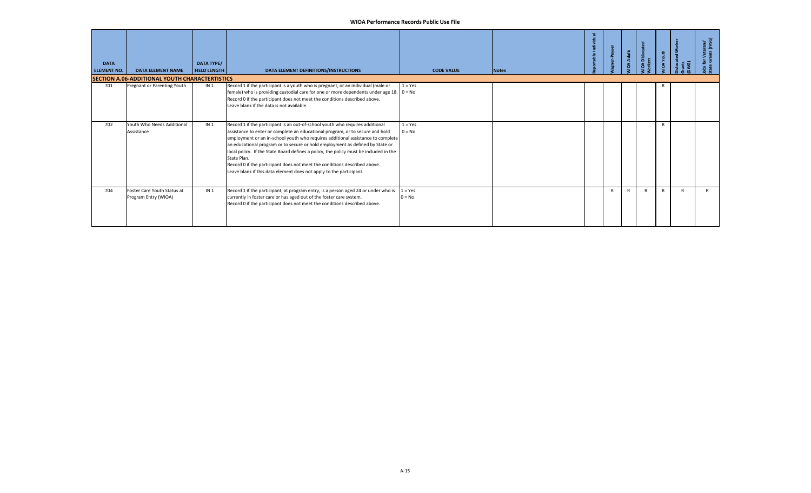| <b>DATA</b><br><b>ELEMENT NO.</b> | <b>DATA ELEMENT NAME</b><br><b>SECTION A.06-ADDITIONAL YOUTH CHARACTERTISTICS</b> | DATA TYPE/<br><b>FIELD LENGTH</b> | DATA ELEMENT DEFINITIONS/INSTRUCTIONS                                                                                                                                                                                                                                                                                                                                                                                                                                                                                                                                                          | <b>CODE VALUE</b>     | <b>Notes</b> |  | Adults | <b>A</b> Disloc | قح<br>ă      | $\widehat{\sigma}$ | Veterans<br>ants (JVSG)<br>$\frac{1}{2}$<br>ಕ ಠ |
|-----------------------------------|-----------------------------------------------------------------------------------|-----------------------------------|------------------------------------------------------------------------------------------------------------------------------------------------------------------------------------------------------------------------------------------------------------------------------------------------------------------------------------------------------------------------------------------------------------------------------------------------------------------------------------------------------------------------------------------------------------------------------------------------|-----------------------|--------------|--|--------|-----------------|--------------|--------------------|-------------------------------------------------|
| 701                               | Pregnant or Parenting Youth                                                       | IN <sub>1</sub>                   | Record 1 if the participant is a youth who is pregnant, or an individual (male or<br>female) who is providing custodial care for one or more dependents under age 18. $0 = No$<br>Record 0 if the participant does not meet the conditions described above.<br>Leave blank if the data is not available.                                                                                                                                                                                                                                                                                       | $1 = Yes$             |              |  |        |                 | к            |                    |                                                 |
| 702                               | Youth Who Needs Additional<br>Assistance                                          | IN <sub>1</sub>                   | Record 1 if the participant is an out-of-school youth who requires additional<br>assistance to enter or complete an educational program, or to secure and hold<br>employment or an in-school youth who requires additional assistance to complete<br>an educational program or to secure or hold employment as defined by State or<br>local policy. If the State Board defines a policy, the policy must be included in the<br>State Plan.<br>Record 0 if the participant does not meet the conditions described above.<br>Leave blank if this data element does not apply to the participant. | $1 = Yes$<br>$0 = No$ |              |  |        |                 | $\mathsf{R}$ |                    |                                                 |
| 704                               | Foster Care Youth Status at<br>Program Entry (WIOA)                               | IN <sub>1</sub>                   | Record 1 if the participant, at program entry, is a person aged 24 or under who is<br>currently in foster care or has aged out of the foster care system.<br>Record 0 if the participant does not meet the conditions described above.                                                                                                                                                                                                                                                                                                                                                         | $1 = Yes$<br>$0 = No$ |              |  |        |                 | R            |                    |                                                 |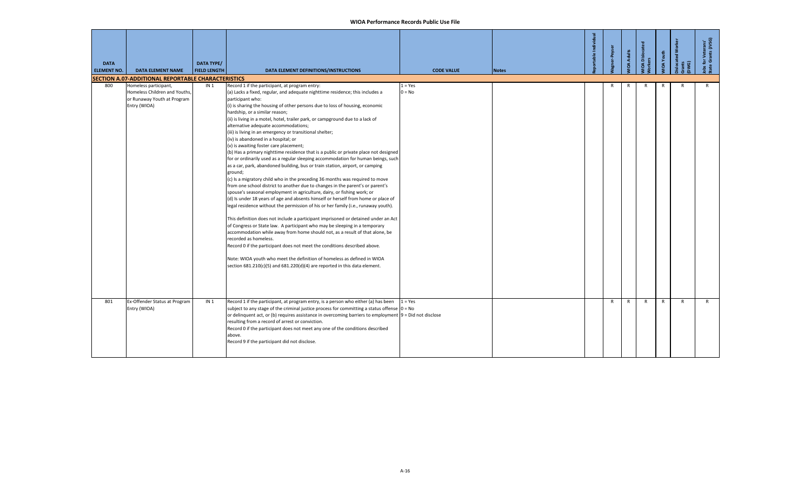| <b>DATA</b><br><b>ELEMENT NO.</b> | <b>DATA ELEMENT NAME</b>                                                                              | <b>DATA TYPE/</b><br><b>FIELD LENGTH</b> | DATA ELEMENT DEFINITIONS/INSTRUCTIONS                                                                                                                                                                                                                                                                                                                                                                                                                                                                                                                                                                                                                                                                                                                                                                                                                                                                                                                                                                                                                                                                                                                                                                                                                                                                                                                                                                                                                                                                                                                                                                                                                                                                                                                                | <b>CODE VALUE</b>     | <b>Notes</b> | table Indiv | ar-Peyse | <b>VIOA Adults</b> | 10A Disloca <sup>.</sup><br>forkers | <b>VIOA</b> Youth | Gwa<br>E     | obs for Veterans'<br>state Grants (JVSG) |
|-----------------------------------|-------------------------------------------------------------------------------------------------------|------------------------------------------|----------------------------------------------------------------------------------------------------------------------------------------------------------------------------------------------------------------------------------------------------------------------------------------------------------------------------------------------------------------------------------------------------------------------------------------------------------------------------------------------------------------------------------------------------------------------------------------------------------------------------------------------------------------------------------------------------------------------------------------------------------------------------------------------------------------------------------------------------------------------------------------------------------------------------------------------------------------------------------------------------------------------------------------------------------------------------------------------------------------------------------------------------------------------------------------------------------------------------------------------------------------------------------------------------------------------------------------------------------------------------------------------------------------------------------------------------------------------------------------------------------------------------------------------------------------------------------------------------------------------------------------------------------------------------------------------------------------------------------------------------------------------|-----------------------|--------------|-------------|----------|--------------------|-------------------------------------|-------------------|--------------|------------------------------------------|
|                                   | SECTION A.07-ADDITIONAL REPORTABLE CHARACTERISTICS                                                    |                                          |                                                                                                                                                                                                                                                                                                                                                                                                                                                                                                                                                                                                                                                                                                                                                                                                                                                                                                                                                                                                                                                                                                                                                                                                                                                                                                                                                                                                                                                                                                                                                                                                                                                                                                                                                                      |                       |              |             |          |                    |                                     |                   |              |                                          |
| 800                               | Homeless participant,<br>Homeless Children and Youths,<br>or Runaway Youth at Program<br>Entry (WIOA) | IN <sub>1</sub>                          | Record 1 if the participant, at program entry:<br>(a) Lacks a fixed, regular, and adequate nighttime residence; this includes a<br>participant who:<br>(i) is sharing the housing of other persons due to loss of housing, economic<br>hardship, or a similar reason;<br>(ii) is living in a motel, hotel, trailer park, or campground due to a lack of<br>alternative adequate accommodations;<br>(iii) is living in an emergency or transitional shelter;<br>(iv) is abandoned in a hospital; or<br>(v) is awaiting foster care placement;<br>(b) Has a primary nighttime residence that is a public or private place not designed<br>for or ordinarily used as a regular sleeping accommodation for human beings, such<br>as a car, park, abandoned building, bus or train station, airport, or camping<br>ground;<br>(c) Is a migratory child who in the preceding 36 months was required to move<br>from one school district to another due to changes in the parent's or parent's<br>spouse's seasonal employment in agriculture, dairy, or fishing work; or<br>(d) Is under 18 years of age and absents himself or herself from home or place of<br>legal residence without the permission of his or her family (i.e., runaway youth).<br>This definition does not include a participant imprisoned or detained under an Act<br>of Congress or State law. A participant who may be sleeping in a temporary<br>accommodation while away from home should not, as a result of that alone, be<br>recorded as homeless.<br>Record 0 if the participant does not meet the conditions described above.<br>Note: WIOA youth who meet the definition of homeless as defined in WIOA<br>section $681.210(c)(5)$ and $681.220(d)(4)$ are reported in this data element. | $1 = Yes$<br>$0 = No$ |              |             | R        | R                  | R                                   | R                 | R            | $\mathsf{R}$                             |
| 801                               | Ex-Offender Status at Program<br>Entry (WIOA)                                                         | IN <sub>1</sub>                          | Record 1 if the participant, at program entry, is a person who either (a) has been<br>subject to any stage of the criminal justice process for committing a status offense $ 0 = No$<br>or delinquent act, or (b) requires assistance in overcoming barriers to employment 9 = Did not disclose<br>resulting from a record of arrest or conviction.<br>Record 0 if the participant does not meet any one of the conditions described<br>above.<br>Record 9 if the participant did not disclose.                                                                                                                                                                                                                                                                                                                                                                                                                                                                                                                                                                                                                                                                                                                                                                                                                                                                                                                                                                                                                                                                                                                                                                                                                                                                      | $1 = Yes$             |              |             | R        | $\mathsf{R}$       | $\mathsf{R}$                        | $\mathsf{R}$      | $\mathsf{R}$ | $\mathsf{R}$                             |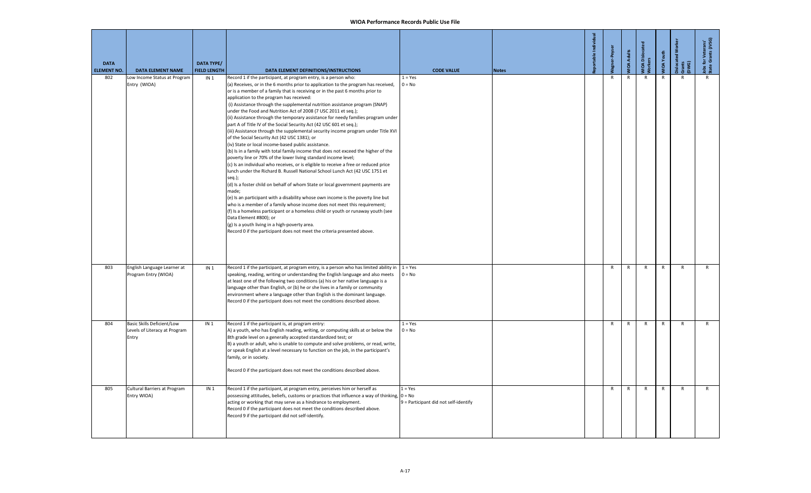| <b>DATA</b><br><b>ELEMENT NO.</b> | <b>DATA ELEMENT NAME</b>                                                   | <b>DATA TYPE/</b><br><b>FIELD LENGTH</b> | DATA ELEMENT DEFINITIONS/INSTRUCTIONS                                                                                                                                                                                                                                                                                                                                                                                                                                                                                                                                                                                                                                                                                                                                                                                                                                                                                                                                                                                                                                                                                                                                                                                                                                                                                                                                                                                                                                                                                                                                                                                                         | <b>CODE VALUE</b>                                  | <b>Notes</b> |              | <b>IOA Adults</b> | <b>IOA</b> Dislocar<br><b>Jorkers</b> | <b>JIOA</b> Youth | <b>located Wo</b><br>Gwants<br>DWG) | Jobs for Veterans'<br>State Grants (JVSG) |
|-----------------------------------|----------------------------------------------------------------------------|------------------------------------------|-----------------------------------------------------------------------------------------------------------------------------------------------------------------------------------------------------------------------------------------------------------------------------------------------------------------------------------------------------------------------------------------------------------------------------------------------------------------------------------------------------------------------------------------------------------------------------------------------------------------------------------------------------------------------------------------------------------------------------------------------------------------------------------------------------------------------------------------------------------------------------------------------------------------------------------------------------------------------------------------------------------------------------------------------------------------------------------------------------------------------------------------------------------------------------------------------------------------------------------------------------------------------------------------------------------------------------------------------------------------------------------------------------------------------------------------------------------------------------------------------------------------------------------------------------------------------------------------------------------------------------------------------|----------------------------------------------------|--------------|--------------|-------------------|---------------------------------------|-------------------|-------------------------------------|-------------------------------------------|
| 802                               | ow Income Status at Program<br>Entry (WIOA)                                | IN <sub>1</sub>                          | Record 1 if the participant, at program entry, is a person who:<br>(a) Receives, or in the 6 months prior to application to the program has received,<br>or is a member of a family that is receiving or in the past 6 months prior to<br>application to the program has received:<br>(i) Assistance through the supplemental nutrition assistance program (SNAP)<br>under the Food and Nutrition Act of 2008 (7 USC 2011 et seq.);<br>(ii) Assistance through the temporary assistance for needy families program under<br>part A of Title IV of the Social Security Act (42 USC 601 et seq.);<br>(iii) Assistance through the supplemental security income program under Title XVI<br>of the Social Security Act (42 USC 1381); or<br>(iv) State or local income-based public assistance.<br>(b) Is in a family with total family income that does not exceed the higher of the<br>poverty line or 70% of the lower living standard income level;<br>(c) Is an individual who receives, or is eligible to receive a free or reduced price<br>lunch under the Richard B. Russell National School Lunch Act (42 USC 1751 et<br>$seq.$ );<br>(d) Is a foster child on behalf of whom State or local government payments are<br>made;<br>(e) Is an participant with a disability whose own income is the poverty line but<br>who is a member of a family whose income does not meet this requirement;<br>(f) Is a homeless participant or a homeless child or youth or runaway youth (see<br>Data Element #800); or<br>(g) Is a youth living in a high-poverty area.<br>Record 0 if the participant does not meet the criteria presented above. | $1 = Yes$<br>$0 = No$                              |              | $\mathsf{R}$ | R                 | R                                     | R                 | R                                   |                                           |
| 803                               | English Language Learner at<br>Program Entry (WIOA)                        | IN <sub>1</sub>                          | Record 1 if the participant, at program entry, is a person who has limited ability in<br>speaking, reading, writing or understanding the English language and also meets<br>at least one of the following two conditions (a) his or her native language is a<br>language other than English, or (b) he or she lives in a family or community<br>environment where a language other than English is the dominant language.<br>Record 0 if the participant does not meet the conditions described above.                                                                                                                                                                                                                                                                                                                                                                                                                                                                                                                                                                                                                                                                                                                                                                                                                                                                                                                                                                                                                                                                                                                                        | $1 = Yes$<br>$0 = No$                              |              | $\mathsf{R}$ | R                 | $\mathsf{R}$                          | R                 | $\mathsf{R}$                        | $\mathsf{R}$                              |
| 804                               | <b>Basic Skills Deficient/Low</b><br>evels of Literacy at Program<br>Entry | IN <sub>1</sub>                          | Record 1 if the participant is, at program entry:<br>A) a youth, who has English reading, writing, or computing skills at or below the<br>8th grade level on a generally accepted standardized test; or<br>B) a youth or adult, who is unable to compute and solve problems, or read, write,<br>or speak English at a level necessary to function on the job, in the participant's<br>family, or in society.<br>Record 0 if the participant does not meet the conditions described above.                                                                                                                                                                                                                                                                                                                                                                                                                                                                                                                                                                                                                                                                                                                                                                                                                                                                                                                                                                                                                                                                                                                                                     | $1 = Yes$<br>$0 = No$                              |              | $\mathsf{R}$ | R                 | $\mathsf{R}$                          | $\mathsf{R}$      | $\mathsf{R}$                        | $\mathsf{R}$                              |
| 805                               | Cultural Barriers at Program<br>Entry WIOA)                                | IN <sub>1</sub>                          | Record 1 if the participant, at program entry, perceives him or herself as<br>possessing attitudes, beliefs, customs or practices that influence a way of thinking, $0 = No$<br>acting or working that may serve as a hindrance to employment.<br>Record 0 if the participant does not meet the conditions described above.<br>Record 9 if the participant did not self-identify.                                                                                                                                                                                                                                                                                                                                                                                                                                                                                                                                                                                                                                                                                                                                                                                                                                                                                                                                                                                                                                                                                                                                                                                                                                                             | $1 = Yes$<br>9 = Participant did not self-identify |              | $\mathsf{R}$ | $\mathsf{R}$      | $\mathsf{R}$                          | $\mathsf{R}$      | $\mathsf{R}$                        | $\mathsf{R}$                              |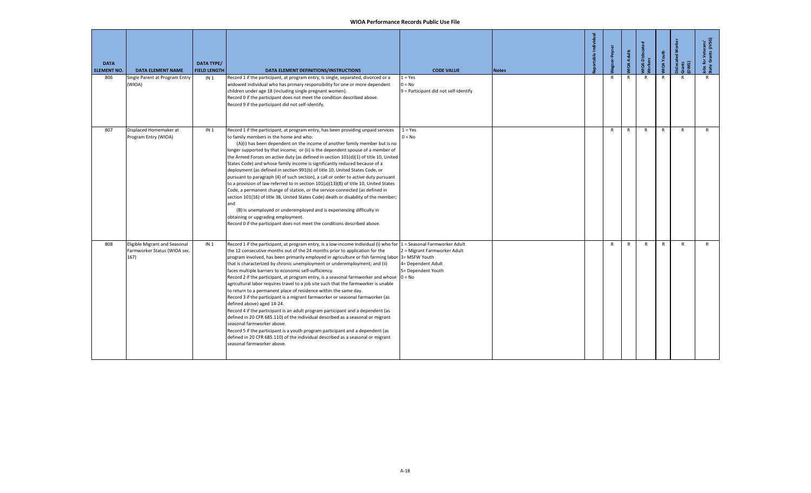| <b>DATA</b><br><b>ELEMENT NO.</b> | <b>DATA ELEMENT NAME</b>                                              | <b>DATA TYPE/</b><br><b>FIELD LENGTH</b> | DATA ELEMENT DEFINITIONS/INSTRUCTIONS                                                                                                                                                                                                                                                                                                                                                                                                                                                                                                                                                                                                                                                                                                                                                                                                                                                                                                                                                                                                                                                                                                                                                                                               | <b>CODE VALUE</b>                                                        | <b>Notes</b> | table Indi | -Peyse       | <b>MOA Adults</b> | MIOA Disloca<br>Morkers | <b>JIOA</b> Youth | isloca<br>Gwa<br>E | Jobs for Veterans'<br>State Grants (JVSG) |
|-----------------------------------|-----------------------------------------------------------------------|------------------------------------------|-------------------------------------------------------------------------------------------------------------------------------------------------------------------------------------------------------------------------------------------------------------------------------------------------------------------------------------------------------------------------------------------------------------------------------------------------------------------------------------------------------------------------------------------------------------------------------------------------------------------------------------------------------------------------------------------------------------------------------------------------------------------------------------------------------------------------------------------------------------------------------------------------------------------------------------------------------------------------------------------------------------------------------------------------------------------------------------------------------------------------------------------------------------------------------------------------------------------------------------|--------------------------------------------------------------------------|--------------|------------|--------------|-------------------|-------------------------|-------------------|--------------------|-------------------------------------------|
| 806                               | Single Parent at Program Entry<br>(WIOA)                              | IN <sub>1</sub>                          | Record 1 if the participant, at program entry, is single, separated, divorced or a<br>widowed individual who has primary responsibility for one or more dependent<br>children under age 18 (including single pregnant women).<br>Record 0 if the participant does not meet the condition described above.<br>Record 9 if the participant did not self-identify.                                                                                                                                                                                                                                                                                                                                                                                                                                                                                                                                                                                                                                                                                                                                                                                                                                                                     | $1 = Yes$<br>$0 = No$<br>9 = Participant did not self-identify           |              |            | $\mathsf{R}$ | $\mathsf{R}$      | $\mathsf{R}$            | $\mathsf{R}$      | $\mathsf{R}$       | $\mathsf{R}$                              |
| 807                               | Displaced Homemaker at<br>Program Entry (WIOA)                        | IN <sub>1</sub>                          | Record 1 if the participant, at program entry, has been providing unpaid services<br>to family members in the home and who:<br>(A)(i) has been dependent on the income of another family member but is no<br>longer supported by that income; or (ii) is the dependent spouse of a member of<br>the Armed Forces on active duty (as defined in section 101(d)(1) of title 10, United<br>States Code) and whose family income is significantly reduced because of a<br>deployment (as defined in section 991(b) of title 10, United States Code, or<br>pursuant to paragraph (4) of such section), a call or order to active duty pursuant<br>to a provision of law referred to in section 101(a)(13)(B) of title 10, United States<br>Code, a permanent change of station, or the service-connected (as defined in<br>section 101(16) of title 38, United States Code) death or disability of the member;<br>and<br>(B) is unemployed or underemployed and is experiencing difficulty in<br>obtaining or upgrading employment.<br>Record 0 if the participant does not meet the conditions described above.                                                                                                                         | $1 = Yes$<br>$0 = No$                                                    |              |            | $\mathsf{R}$ | $\mathsf{R}$      | $\mathsf{R}$            | $\mathsf{R}$      | $\mathsf{R}$       | $\mathsf{R}$                              |
| 808                               | Eligible Migrant and Seasonal<br>Farmworker Status (WIOA sec.<br>167) | IN <sub>1</sub>                          | Record 1 if the participant, at program entry, is a low-income individual (i) who for 1 = Seasonal Farmworker Adult<br>the 12 consecutive months out of the 24 months prior to application for the<br>program involved, has been primarily employed in agriculture or fish farming labor 3= MSFW Youth<br>that is characterized by chronic unemployment or underemployment; and (ii)<br>faces multiple barriers to economic self-sufficiency.<br>Record 2 if the participant, at program entry, is a seasonal farmworker and whose $\vert 0 = No$<br>agricultural labor requires travel to a job site such that the farmworker is unable<br>to return to a permanent place of residence within the same day.<br>Record 3 if the participant is a migrant farmworker or seasonal farmworker (as<br>defined above) aged 14-24.<br>Record 4 if the participant is an adult program participant and a dependent (as<br>defined in 20 CFR 685.110) of the individual described as a seasonal or migrant<br>seasonal farmworker above.<br>Record 5 if the participant is a youth program participant and a dependent (as<br>defined in 20 CFR 685.110) of the individual described as a seasonal or migrant<br>seasonal farmworker above. | 2 = Migrant Farmworker Adult<br>4= Dependent Adult<br>5= Dependent Youth |              |            | R            | $\mathsf{R}$      | $\mathsf{R}$            | $\mathsf{R}$      | $\mathsf{R}$       | $\mathsf{R}$                              |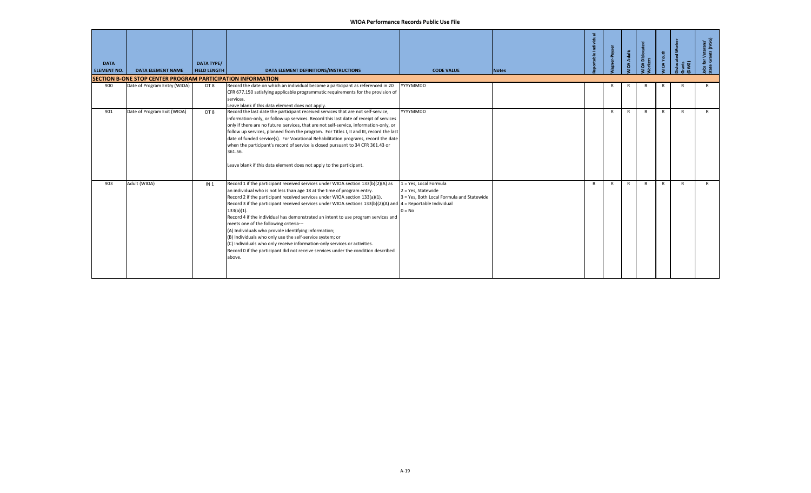| <b>DATA</b><br><b>ELEMENT NO.</b> | <b>DATA ELEMENT NAME</b>                                            | <b>DATA TYPE/</b><br><b>FIELD LENGTH</b> | DATA ELEMENT DEFINITIONS/INSTRUCTIONS                                                                                                                                                                                                                                                                                                                                                                                                                                                                                                                                                                                                                                                                                                                                                                           | <b>CODE VALUE</b>                                                                                     | <b>Notes</b> | Individu |              | <b>OA Adults</b> | <b>IOA</b> Disloo<br>ပ္ပ | IOA Youth    | <b>S</b> | · Veterans'<br>rants (JVSC<br>ទី<br>ទី ចិរ |
|-----------------------------------|---------------------------------------------------------------------|------------------------------------------|-----------------------------------------------------------------------------------------------------------------------------------------------------------------------------------------------------------------------------------------------------------------------------------------------------------------------------------------------------------------------------------------------------------------------------------------------------------------------------------------------------------------------------------------------------------------------------------------------------------------------------------------------------------------------------------------------------------------------------------------------------------------------------------------------------------------|-------------------------------------------------------------------------------------------------------|--------------|----------|--------------|------------------|--------------------------|--------------|----------|--------------------------------------------|
|                                   | <b>ISECTION B-ONE STOP CENTER PROGRAM PARTICIPATION INFORMATION</b> |                                          |                                                                                                                                                                                                                                                                                                                                                                                                                                                                                                                                                                                                                                                                                                                                                                                                                 |                                                                                                       |              |          |              |                  |                          |              |          |                                            |
| 900                               | Date of Program Entry (WIOA)                                        | DT8                                      | Record the date on which an individual became a participant as referenced in 20<br>CFR 677.150 satisfying applicable programmatic requirements for the provision of<br>services.<br>Leave blank if this data element does not apply.                                                                                                                                                                                                                                                                                                                                                                                                                                                                                                                                                                            | YYYYMMDD                                                                                              |              |          |              | R                |                          |              |          | R                                          |
| 901                               | Date of Program Exit (WIOA)                                         | DT8                                      | Record the last date the participant received services that are not self-service,<br>information-only, or follow up services. Record this last date of receipt of services<br>only if there are no future services, that are not self-service, information-only, or<br>follow up services, planned from the program. For Titles I, II and III, record the last<br>date of funded service(s). For Vocational Rehabilitation programs, record the date<br>when the participant's record of service is closed pursuant to 34 CFR 361.43 or<br>361.56.<br>Leave blank if this data element does not apply to the participant.                                                                                                                                                                                       | YYYYMMDD                                                                                              |              |          | $\mathsf{R}$ | R                | $\mathsf{R}$             | $\mathsf{R}$ | R        | $\mathsf{R}$                               |
| 903                               | Adult (WIOA)                                                        | IN <sub>1</sub>                          | Record 1 if the participant received services under WIOA section 133(b)(2)(A) as<br>an individual who is not less than age 18 at the time of program entry.<br>Record 2 if the participant received services under WIOA section 133(a)(1).<br>Record 3 if the participant received services under WIOA sections $133(b)(2)(A)$ and $4 =$ Reportable Individual<br>$133(a)(1)$ .<br>Record 4 if the individual has demonstrated an intent to use program services and<br>meets one of the following criteria---<br>(A) Individuals who provide identifying information;<br>(B) Individuals who only use the self-service system; or<br>(C) Individuals who only receive information-only services or activities.<br>Record 0 if the participant did not receive services under the condition described<br>above. | 1 = Yes, Local Formula<br>2 = Yes, Statewide<br>3 = Yes, Both Local Formula and Statewide<br>$0 = No$ |              | R        | R            | R                | $\mathsf{R}$             | $\mathsf{R}$ | R        | $\mathsf{R}$                               |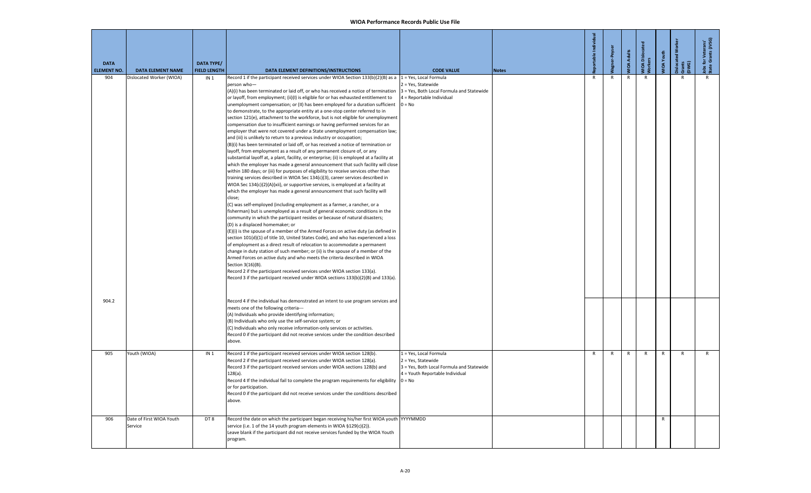| <b>DATA</b><br>ELEMENT NO. | <b>DATA ELEMENT NAME</b>            | <b>DATA TYPE/</b><br><b>FIELD LENGTH</b> | DATA ELEMENT DEFINITIONS/INSTRUCTIONS                                                                                                                                                                                                                                                                                                                                                                                                                                                                                                                                                                                                                                                                                                                                                                                                                                                                                                                                                                                                                                                                                                                                                                                                                                                                                                                                                                                                                                                                                                                                                                                                                                                                                                                                                                                                                                                                                                                                                                                                                                                                                                                                                                                                                                                                                                                                                                            | <b>CODE VALUE</b>                                                                                                            | <b>Notes</b> | 르            | -Peys        | <b>IOA Adults</b> | <b>IOA Disloca</b><br>orkers | IOA Youth    | Gwer<br>E | Jobs for Veterans'<br>State Grants (JVSG) |
|----------------------------|-------------------------------------|------------------------------------------|------------------------------------------------------------------------------------------------------------------------------------------------------------------------------------------------------------------------------------------------------------------------------------------------------------------------------------------------------------------------------------------------------------------------------------------------------------------------------------------------------------------------------------------------------------------------------------------------------------------------------------------------------------------------------------------------------------------------------------------------------------------------------------------------------------------------------------------------------------------------------------------------------------------------------------------------------------------------------------------------------------------------------------------------------------------------------------------------------------------------------------------------------------------------------------------------------------------------------------------------------------------------------------------------------------------------------------------------------------------------------------------------------------------------------------------------------------------------------------------------------------------------------------------------------------------------------------------------------------------------------------------------------------------------------------------------------------------------------------------------------------------------------------------------------------------------------------------------------------------------------------------------------------------------------------------------------------------------------------------------------------------------------------------------------------------------------------------------------------------------------------------------------------------------------------------------------------------------------------------------------------------------------------------------------------------------------------------------------------------------------------------------------------------|------------------------------------------------------------------------------------------------------------------------------|--------------|--------------|--------------|-------------------|------------------------------|--------------|-----------|-------------------------------------------|
| 904                        | Dislocated Worker (WIOA)            | IN <sub>1</sub>                          | Record 1 if the participant received services under WIOA Section 133(b)(2)(B) as a 1 = Yes, Local Formula<br>person who-<br>(A)(i) has been terminated or laid off, or who has received a notice of termination<br>or layoff, from employment; (ii)(I) is eligible for or has exhausted entitlement to<br>unemployment compensation; or (II) has been employed for a duration sufficient<br>to demonstrate, to the appropriate entity at a one-stop center referred to in<br>section 121(e), attachment to the workforce, but is not eligible for unemployment<br>compensation due to insufficient earnings or having performed services for an<br>employer that were not covered under a State unemployment compensation law;<br>and (iii) is unlikely to return to a previous industry or occupation;<br>(B)(i) has been terminated or laid off, or has received a notice of termination or<br>layoff, from employment as a result of any permanent closure of, or any<br>substantial layoff at, a plant, facility, or enterprise; (ii) is employed at a facility at<br>which the employer has made a general announcement that such facility will close<br>within 180 days; or (iii) for purposes of eligibility to receive services other than<br>training services described in WIOA Sec 134(c)(3), career services described in<br>WIOA Sec 134(c)(2)(A)(xii), or supportive services, is employed at a facility at<br>which the employer has made a general announcement that such facility will<br>close;<br>(C) was self-employed (including employment as a farmer, a rancher, or a<br>fisherman) but is unemployed as a result of general economic conditions in the<br>community in which the participant resides or because of natural disasters;<br>(D) is a displaced homemaker; or<br>(E)(i) is the spouse of a member of the Armed Forces on active duty (as defined in<br>section 101(d)(1) of title 10, United States Code), and who has experienced a loss<br>of employment as a direct result of relocation to accommodate a permanent<br>change in duty station of such member; or (ii) is the spouse of a member of the<br>Armed Forces on active duty and who meets the criteria described in WIOA<br>Section 3(16)(B).<br>Record 2 if the participant received services under WIOA section 133(a).<br>Record 3 if the participant received under WIOA sections 133(b)(2)(B) and 133(a). | 2 = Yes, Statewide<br>3 = Yes, Both Local Formula and Statewide<br>4 = Reportable Individual<br>$0 = No$                     |              | R            | R            | $\mathsf{R}$      | R                            |              | R         |                                           |
| 904.2                      |                                     |                                          | Record 4 if the individual has demonstrated an intent to use program services and<br>meets one of the following criteria---<br>(A) Individuals who provide identifying information;<br>(B) Individuals who only use the self-service system; or<br>(C) Individuals who only receive information-only services or activities.<br>Record 0 if the participant did not receive services under the condition described<br>above.                                                                                                                                                                                                                                                                                                                                                                                                                                                                                                                                                                                                                                                                                                                                                                                                                                                                                                                                                                                                                                                                                                                                                                                                                                                                                                                                                                                                                                                                                                                                                                                                                                                                                                                                                                                                                                                                                                                                                                                     |                                                                                                                              |              |              |              |                   |                              |              |           |                                           |
| 905                        | Youth (WIOA)                        | IN <sub>1</sub>                          | Record 1 if the participant received services under WIOA section 128(b).<br>Record 2 if the participant received services under WIOA section 128(a).<br>Record 3 if the participant received services under WIOA sections 128(b) and<br>$128(a)$ .<br>Record 4 If the individual fail to complete the program requirements for eligibility $\vert 0 = No$<br>or for participation.<br>Record 0 if the participant did not receive services under the conditions described<br>above.                                                                                                                                                                                                                                                                                                                                                                                                                                                                                                                                                                                                                                                                                                                                                                                                                                                                                                                                                                                                                                                                                                                                                                                                                                                                                                                                                                                                                                                                                                                                                                                                                                                                                                                                                                                                                                                                                                                              | 1 = Yes, Local Formula<br>2 = Yes, Statewide<br>3 = Yes, Both Local Formula and Statewide<br>4 = Youth Reportable Individual |              | $\mathsf{R}$ | $\mathsf{R}$ | $\mathsf{R}$      | $\mathsf{R}$                 | $\mathsf{R}$ | R         | $\mathsf{R}$                              |
| 906                        | Date of First WIOA Youth<br>Service | DT8                                      | Record the date on which the participant began receiving his/her first WIOA youth YYYYMMDD<br>service (i.e. 1 of the 14 youth program elements in WIOA §129(c)(2)).<br>Leave blank if the participant did not receive services funded by the WIOA Youth<br>program.                                                                                                                                                                                                                                                                                                                                                                                                                                                                                                                                                                                                                                                                                                                                                                                                                                                                                                                                                                                                                                                                                                                                                                                                                                                                                                                                                                                                                                                                                                                                                                                                                                                                                                                                                                                                                                                                                                                                                                                                                                                                                                                                              |                                                                                                                              |              |              |              |                   |                              | $\mathsf{R}$ |           |                                           |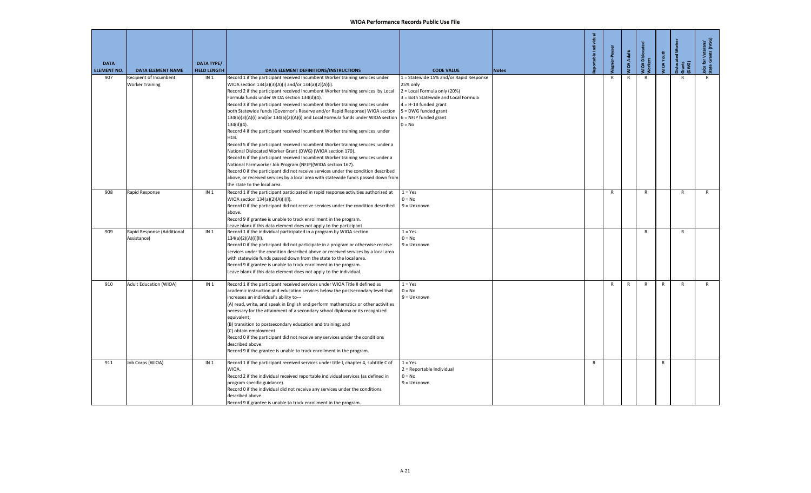| <b>DATA</b><br><b>ELEMENT NO.</b> | <b>DATA ELEMENT NAME</b>                         | <b>DATA TYPE/</b><br><b>FIELD LENGTH</b> | DATA ELEMENT DEFINITIONS/INSTRUCTIONS                                                                                                                                                                                                                                                                                                                                                                                                                                                                                                                                                                                                                                                                                                                                                                                                                                                                                                                                                                                                                                                                                                                                      | <b>CODE VALUE</b>                                                                                                                                                                          | <b>Notes</b> | table Individual | er-Peyser    | <b>IOA Adults</b> | <b>IOA</b> Dislocat<br><b>Jorkers</b> | <b>IOA</b> Youth | islocated<br>Gwer<br>E | Jobs for Veterans'<br>State Grants (JVSG) |
|-----------------------------------|--------------------------------------------------|------------------------------------------|----------------------------------------------------------------------------------------------------------------------------------------------------------------------------------------------------------------------------------------------------------------------------------------------------------------------------------------------------------------------------------------------------------------------------------------------------------------------------------------------------------------------------------------------------------------------------------------------------------------------------------------------------------------------------------------------------------------------------------------------------------------------------------------------------------------------------------------------------------------------------------------------------------------------------------------------------------------------------------------------------------------------------------------------------------------------------------------------------------------------------------------------------------------------------|--------------------------------------------------------------------------------------------------------------------------------------------------------------------------------------------|--------------|------------------|--------------|-------------------|---------------------------------------|------------------|------------------------|-------------------------------------------|
| 907                               | Recipient of Incumbent<br><b>Worker Training</b> | IN <sub>1</sub>                          | Record 1 if the participant received Incumbent Worker training services under<br>WIOA section 134(a)(3)(A)(i) and/or 134(a)(2)(A)(i).<br>Record 2 if the participant received Incumbent Worker training services by Local<br>Formula funds under WIOA section 134(d)(4).<br>Record 3 if the participant received Incumbent Worker training services under<br>both Statewide funds (Governor's Reserve and/or Rapid Response) WIOA section<br>134(a)(3)(A)(i) and/or 134(a)(2)(A)(i) and Local Formula funds under WIOA section 6 = NFJP funded grant<br>$134(d)(4)$ .<br>Record 4 if the participant received Incumbent Worker training services under<br>H1B.<br>Record 5 if the participant received incumbent Worker training services under a<br>National Dislocated Worker Grant (DWG) (WIOA section 170).<br>Record 6 if the participant received Incumbent Worker training services under a<br>National Farmworker Job Program (NFJP)(WIOA section 167).<br>Record 0 if the participant did not receive services under the condition described<br>above, or received services by a local area with statewide funds passed down from<br>the state to the local area. | 1 = Statewide 15% and/or Rapid Response<br>25% only<br>2 = Local Formula only (20%)<br>3 = Both Statewide and Local Formula<br>$4 = H-1B$ funded grant<br>5 = DWG funded grant<br>$0 = No$ |              |                  |              | R                 |                                       |                  |                        |                                           |
| 908                               | Rapid Response                                   | IN <sub>1</sub>                          | Record 1 if the participant participated in rapid response activities authorized at<br>WIOA section 134(a)(2)(A)(i)(l).<br>Record 0 if the participant did not receive services under the condition described<br>above.<br>Record 9 if grantee is unable to track enrollment in the program.<br>eave blank if this data element does not apply to the participant.                                                                                                                                                                                                                                                                                                                                                                                                                                                                                                                                                                                                                                                                                                                                                                                                         | $1 = Yes$<br>$0 = No$<br>$9 =$ Unknown                                                                                                                                                     |              |                  | $\mathsf{R}$ |                   | $\mathsf{R}$                          |                  | $\mathsf{R}$           | $\mathsf{R}$                              |
| 909                               | Rapid Response (Additional<br>Assistance)        | IN <sub>1</sub>                          | Record 1 if the individual participated in a program by WIOA section<br>134(a)(2)(A)(i)(II).<br>Record 0 if the participant did not participate in a program or otherwise receive<br>services under the condition described above or received services by a local area<br>with statewide funds passed down from the state to the local area.<br>Record 9 if grantee is unable to track enrollment in the program.<br>Leave blank if this data element does not apply to the individual.                                                                                                                                                                                                                                                                                                                                                                                                                                                                                                                                                                                                                                                                                    | $1 = Yes$<br>$0 = No$<br>$9 =$ Unknown                                                                                                                                                     |              |                  |              |                   | R                                     |                  | $\mathsf{R}$           |                                           |
| 910                               | <b>Adult Education (WIOA)</b>                    | IN <sub>1</sub>                          | Record 1 if the participant received services under WIOA Title II defined as<br>academic instruction and education services below the postsecondary level that<br>increases an individual's ability to---<br>(A) read, write, and speak in English and perform mathematics or other activities<br>necessary for the attainment of a secondary school diploma or its recognized<br>equivalent;<br>(B) transition to postsecondary education and training; and<br>C) obtain employment.<br>Record 0 if the participant did not receive any services under the conditions<br>described above.<br>Record 9 if the grantee is unable to track enrollment in the program.                                                                                                                                                                                                                                                                                                                                                                                                                                                                                                        | $1 = Yes$<br>$0 = No$<br>$9 =$ Unknown                                                                                                                                                     |              |                  | $\mathsf{R}$ | $\mathsf{R}$      | $\mathsf{R}$                          | $\mathsf{R}$     | $\mathsf{R}$           | $\mathsf{R}$                              |
| 911                               | Job Corps (WIOA)                                 | IN <sub>1</sub>                          | Record 1 if the participant received services under title I, chapter 4, subtitle C of<br>WIOA.<br>Record 2 if the individual received reportable individual services (as defined in<br>program specific guidance).<br>Record 0 if the individual did not receive any services under the conditions<br>described above.<br>Record 9 if grantee is unable to track enrollment in the program.                                                                                                                                                                                                                                                                                                                                                                                                                                                                                                                                                                                                                                                                                                                                                                                | $1 = Yes$<br>2 = Reportable Individual<br>$0 = No$<br>$9 =$ Unknown                                                                                                                        |              | $\mathsf{R}$     |              |                   |                                       | $\mathsf{R}$     |                        |                                           |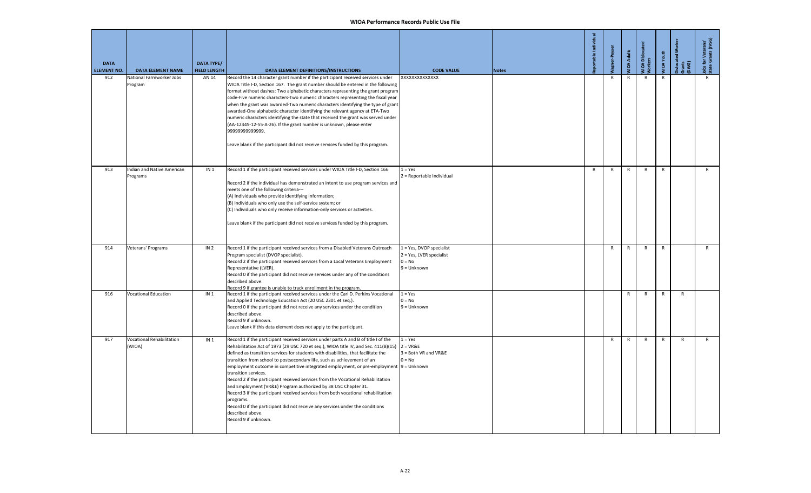| <b>DATA</b><br><b>ELEMENT NO.</b> | <b>DATA ELEMENT NAME</b>                   | DATA TYPE/<br><b>FIELD LENGTH</b> | DATA ELEMENT DEFINITIONS/INSTRUCTIONS                                                                                                                                                                                                                                                                                                                                                                                                                                                                                                                                                                                                                                                                                                                                                                                                                         | <b>CODE VALUE</b>                                                                 | <b>Notes</b> | able Indi    | -Peyse       | <b>MOA Adults</b> | <b>JIOA</b> Dislocar<br><b>lorkers</b> | VIOA Youth   | slocated<br>irants<br>DWG) | Jobs for Veterans'<br>State Grants (JVSG) |
|-----------------------------------|--------------------------------------------|-----------------------------------|---------------------------------------------------------------------------------------------------------------------------------------------------------------------------------------------------------------------------------------------------------------------------------------------------------------------------------------------------------------------------------------------------------------------------------------------------------------------------------------------------------------------------------------------------------------------------------------------------------------------------------------------------------------------------------------------------------------------------------------------------------------------------------------------------------------------------------------------------------------|-----------------------------------------------------------------------------------|--------------|--------------|--------------|-------------------|----------------------------------------|--------------|----------------------------|-------------------------------------------|
| 912                               | National Farmworker Jobs<br>Program        | AN 14                             | Record the 14 character grant number if the participant received services under<br>WIOA Title I-D, Section 167. The grant number should be entered in the following<br>format without dashes: Two alphabetic characters representing the grant program<br>code-Five numeric characters-Two numeric characters representing the fiscal year<br>when the grant was awarded-Two numeric characters identifying the type of grant<br>awarded-One alphabetic character identifying the relevant agency at ETA-Two<br>numeric characters identifying the state that received the grant was served under<br>(AA-12345-12-55-A-26). If the grant number is unknown, please enter<br>9999999999999.<br>Leave blank if the participant did not receive services funded by this program.                                                                                 | XXXXXXXXXXXXX                                                                     |              |              | $\mathsf{R}$ | R                 | $\mathsf{R}$                           | R            |                            | R                                         |
| 913                               | Indian and Native American<br>Programs     | IN <sub>1</sub>                   | Record 1 if the participant received services under WIOA Title I-D, Section 166<br>Record 2 if the individual has demonstrated an intent to use program services and<br>meets one of the following criteria---<br>(A) Individuals who provide identifying information;<br>(B) Individuals who only use the self-service system; or<br>(C) Individuals who only receive information-only services or activities.<br>Leave blank if the participant did not receive services funded by this program.                                                                                                                                                                                                                                                                                                                                                            | $1 = Yes$<br>2 = Reportable Individual                                            |              | $\mathsf{R}$ | $\mathsf{R}$ | $\mathsf{R}$      | $\mathsf{R}$                           | $\mathsf{R}$ |                            | R                                         |
| 914                               | Veterans' Programs                         | IN <sub>2</sub>                   | Record 1 if the participant received services from a Disabled Veterans Outreach<br>Program specialist (DVOP specialist).<br>Record 2 if the participant received services from a Local Veterans Employment<br>Representative (LVER).<br>Record 0 if the participant did not receive services under any of the conditions<br>described above.<br>Record 9 if grantee is unable to track enrollment in the program.                                                                                                                                                                                                                                                                                                                                                                                                                                             | 1 = Yes, DVOP specialist<br>2 = Yes, LVER specialist<br>$0 = No$<br>$9 = Unknown$ |              |              | R            | R                 | $\mathsf{R}$                           | $\mathsf{R}$ |                            | $\mathsf{R}$                              |
| 916                               | <b>Vocational Education</b>                | IN <sub>1</sub>                   | Record 1 if the participant received services under the Carl D. Perkins Vocational<br>and Applied Technology Education Act (20 USC 2301 et seq.).<br>Record 0 if the participant did not receive any services under the condition<br>described above.<br>Record 9 if unknown.<br>Leave blank if this data element does not apply to the participant.                                                                                                                                                                                                                                                                                                                                                                                                                                                                                                          | $1 = Yes$<br>$0 = No$<br>$9 =$ Unknown                                            |              |              |              | R                 | R                                      | R            | $\mathsf{R}$               |                                           |
| 917                               | <b>Vocational Rehabilitation</b><br>(WIOA) | IN <sub>1</sub>                   | Record 1 if the participant received services under parts A and B of title I of the<br>Rehabilitation Act of 1973 (29 USC 720 et seq.), WIOA title IV, and Sec. $411(B)(15)$ 2 = VR&E<br>defined as transition services for students with disabilities, that facilitate the<br>transition from school to postsecondary life, such as achievement of an<br>employment outcome in competitive integrated employment, or pre-employment 9 = Unknown<br>transition services.<br>Record 2 if the participant received services from the Vocational Rehabilitation<br>and Employment (VR&E) Program authorized by 38 USC Chapter 31.<br>Record 3 if the participant received services from both vocational rehabilitation<br>programs.<br>Record 0 if the participant did not receive any services under the conditions<br>described above.<br>Record 9 if unknown. | $1 = Yes$<br>3 = Both VR and VR&E<br>$0 = No$                                     |              |              | $\mathsf{R}$ | R                 | $\mathsf{R}$                           | $\mathsf{R}$ | ${\sf R}$                  | $\mathsf{R}$                              |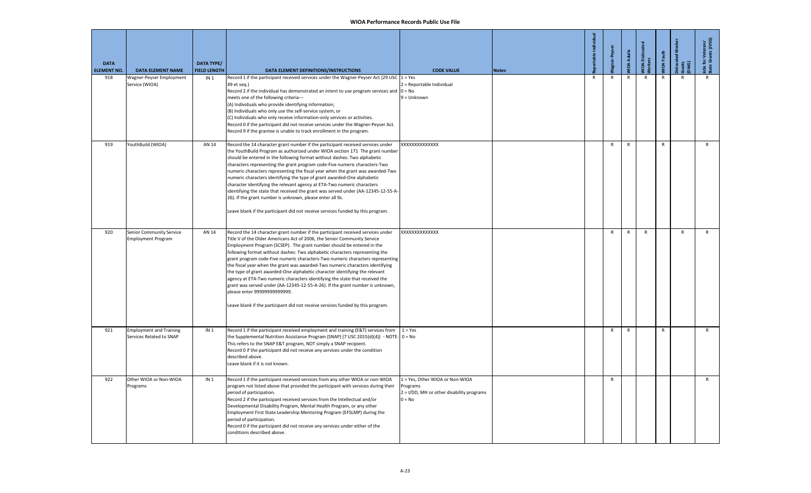| <b>DATA</b><br><b>ELEMENT NO.</b> | <b>DATA ELEMENT NAME</b>                                   | <b>DATA TYPE/</b><br><b>FIELD LENGTH</b> | DATA ELEMENT DEFINITIONS/INSTRUCTIONS                                                                                                                                                                                                                                                                                                                                                                                                                                                                                                                                                                                                                                                                                                                                                                                                                     | <b>CODE VALUE</b>                                                                                    | <b>Notes</b> | 혿<br>table   |              | <b>WIDA Adults</b> | <b>NIOA Disloca</b><br>Morkers | <b>MOA</b> Youth | islocated<br>Gwars<br>Dw | Jobs for Veterans'<br>State Grants (JVSG) |
|-----------------------------------|------------------------------------------------------------|------------------------------------------|-----------------------------------------------------------------------------------------------------------------------------------------------------------------------------------------------------------------------------------------------------------------------------------------------------------------------------------------------------------------------------------------------------------------------------------------------------------------------------------------------------------------------------------------------------------------------------------------------------------------------------------------------------------------------------------------------------------------------------------------------------------------------------------------------------------------------------------------------------------|------------------------------------------------------------------------------------------------------|--------------|--------------|--------------|--------------------|--------------------------------|------------------|--------------------------|-------------------------------------------|
| 918                               | Wagner-Peyser Employment<br>Service (WIOA)                 | IN <sub>1</sub>                          | Record 1 if the participant received services under the Wagner-Peyser Act (29 USC<br>49 et seg.)<br>Record 2 if the individual has demonstrated an intent to use program services and $\vert 0 = No$<br>meets one of the following criteria---<br>(A) Individuals who provide identifying information;<br>(B) Individuals who only use the self-service system; or<br>(C) Individuals who only receive information-only services or activities.<br>Record 0 if the participant did not receive services under the Wagner-Peyser Act.<br>Record 9 if the grantee is unable to track enrollment in the program.                                                                                                                                                                                                                                             | $1 = Yes$<br>2 = Reportable Individual<br>$9 =$ Unknown                                              |              | $\mathsf{R}$ | $\mathsf{R}$ | $\mathsf{R}$       | $\mathsf{R}$                   | $\mathsf{R}$     | R                        | $\mathsf{R}$                              |
| 919                               | YouthBuild (WIOA)                                          | AN 14                                    | Record the 14 character grant number if the participant received services under<br>the YouthBuild Program as authorized under WIOA section 171 The grant number<br>should be entered in the following format without dashes: Two alphabetic<br>characters representing the grant program code-Five numeric characters-Two<br>numeric characters representing the fiscal year when the grant was awarded-Two<br>numeric characters identifying the type of grant awarded-One alphabetic<br>character identifying the relevant agency at ETA-Two numeric characters<br>identifying the state that received the grant was served under (AA-12345-12-55-A-<br>26). If the grant number is unknown, please enter all 9s.<br>Leave blank if the participant did not receive services funded by this program.                                                    | XXXXXXXXXXXXX                                                                                        |              |              | $\mathsf{R}$ | R                  |                                | $\mathsf{R}$     |                          | R                                         |
| 920                               | Senior Community Service<br><b>Employment Program</b>      | AN 14                                    | Record the 14 character grant number if the participant received services under<br>Title V of the Older Americans Act of 2006, the Senior Community Service<br>Employment Program (SCSEP). The grant number should be entered in the<br>following format without dashes: Two alphabetic characters representing the<br>grant program code-Five numeric characters-Two numeric characters representing<br>the fiscal year when the grant was awarded-Two numeric characters identifying<br>the type of grant awarded-One alphabetic character identifying the relevant<br>agency at ETA-Two numeric characters identifying the state that received the<br>grant was served under (AA-12345-12-55-A-26). If the grant number is unknown,<br>please enter 99999999999999.<br>Leave blank if the participant did not receive services funded by this program. | XXXXXXXXXXXXXX                                                                                       |              |              | $\mathsf{R}$ | $\mathsf{R}$       | $\mathsf{R}$                   |                  | $\mathsf{R}$             | R                                         |
| 921                               | <b>Employment and Training</b><br>Services Related to SNAP | IN <sub>1</sub>                          | Record 1 if the participant received employment and training (E&T) services from<br>the Supplemental Nutrition Assistance Program (SNAP) (7 USC 2015(d)(4)) - NOTE: $0 = No$<br>This refers to the SNAP E&T program, NOT simply a SNAP recipient.<br>Record 0 if the participant did not receive any services under the condition<br>described above.<br>Leave blank if it is not known.                                                                                                                                                                                                                                                                                                                                                                                                                                                                  | $1 = Yes$                                                                                            |              |              | $\mathsf{R}$ | $\mathsf{R}$       |                                | $\mathsf{R}$     |                          | $\mathsf{R}$                              |
| 922                               | Other WIOA or Non-WIOA<br>Programs                         | IN <sub>1</sub>                          | Record 1 if the participant received services from any other WIOA or non-WIOA<br>program not listed above that provided the participant with services during their<br>period of participation.<br>Record 2 if the participant received services from the Intellectual and/or<br>Developmental Disability Program, Mental Health Program, or any other<br>Employment First State Leadership Mentoring Program (EFSLMP) during the<br>period of participation.<br>Record 0 if the participant did not receive any services under either of the<br>conditions described above.                                                                                                                                                                                                                                                                               | 1 = Yes, Other WIOA or Non-WIOA<br>Programs<br>2 = I/DD, MH or other disability programs<br>$0 = No$ |              |              | $\mathsf{R}$ |                    |                                |                  |                          | $\mathsf{R}$                              |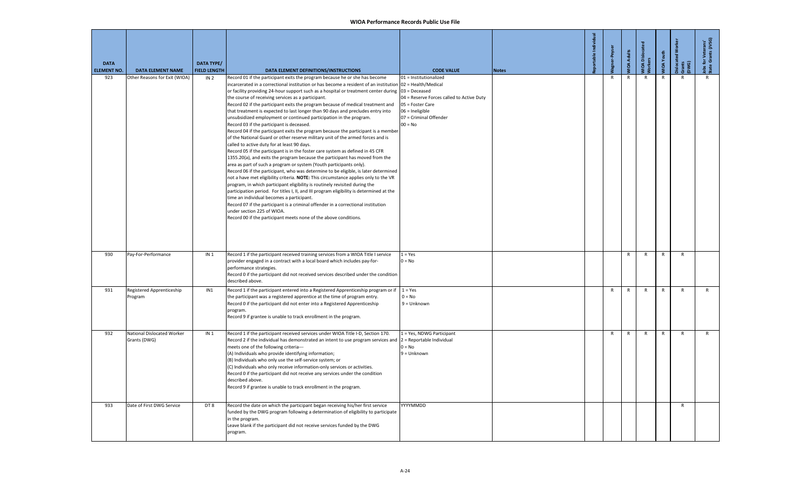| <b>DATA</b><br><b>ELEMENT NO.</b> | <b>DATA ELEMENT NAME</b>                   | <b>DATA TYPE/</b><br><b>FIELD LENGTH</b> | DATA ELEMENT DEFINITIONS/INSTRUCTIONS                                                                                                                                                                                                                                                                                                                                                                                                                                                                                                                                                                                                                                                                                                                                                                                                                                                                                                                                                                                                                                                                                                                                                                                                                                                                                                                                                                                                                                                                                                                                                                                                                                                                      | <b>CODE VALUE</b>                                                                                                                                 | <b>Notes</b> | portable Individ | r-Peyser     | <b>IIOA Adults</b> | VIOA Dislocat | VIOA Youth   | islocated Worke<br>irants<br>DWG) | obs for Veterans'<br>state Grants (JVSG) |
|-----------------------------------|--------------------------------------------|------------------------------------------|------------------------------------------------------------------------------------------------------------------------------------------------------------------------------------------------------------------------------------------------------------------------------------------------------------------------------------------------------------------------------------------------------------------------------------------------------------------------------------------------------------------------------------------------------------------------------------------------------------------------------------------------------------------------------------------------------------------------------------------------------------------------------------------------------------------------------------------------------------------------------------------------------------------------------------------------------------------------------------------------------------------------------------------------------------------------------------------------------------------------------------------------------------------------------------------------------------------------------------------------------------------------------------------------------------------------------------------------------------------------------------------------------------------------------------------------------------------------------------------------------------------------------------------------------------------------------------------------------------------------------------------------------------------------------------------------------------|---------------------------------------------------------------------------------------------------------------------------------------------------|--------------|------------------|--------------|--------------------|---------------|--------------|-----------------------------------|------------------------------------------|
| 923                               | Other Reasons for Exit (WIOA)              | IN <sub>2</sub>                          | Record 01 if the participant exits the program because he or she has become<br>incarcerated in a correctional institution or has become a resident of an institution 02 = Health/Medical<br>or facility providing 24-hour support such as a hospital or treatment center during 03 = Deceased<br>the course of receiving services as a participant.<br>Record 02 if the participant exits the program because of medical treatment and<br>that treatment is expected to last longer than 90 days and precludes entry into<br>unsubsidized employment or continued participation in the program.<br>Record 03 if the participant is deceased.<br>Record 04 if the participant exits the program because the participant is a member<br>of the National Guard or other reserve military unit of the armed forces and is<br>called to active duty for at least 90 days.<br>Record 05 if the participant is in the foster care system as defined in 45 CFR<br>1355.20(a), and exits the program because the participant has moved from the<br>area as part of such a program or system (Youth participants only).<br>Record 06 if the participant, who was determine to be eligible, is later determined<br>not a have met eligibility criteria. NOTE: This circumstance applies only to the VR<br>program, in which participant eligibility is routinely revisited during the<br>participation period. For titles I, II, and III program eligibility is determined at the<br>time an individual becomes a participant.<br>Record 07 if the participant is a criminal offender in a correctional institution<br>under section 225 of WIOA.<br>Record 00 if the participant meets none of the above conditions. | 01 = Institutionalized<br>04 = Reserve Forces called to Active Duty<br>05 = Foster Care<br>06 = Ineligible<br>07 = Criminal Offender<br>$00 = No$ |              |                  | $\mathsf{R}$ | $\mathsf{R}$       | $\mathsf{R}$  | $\mathsf{R}$ |                                   | $\mathsf{R}$                             |
| 930                               | Pay-For-Performance                        | IN <sub>1</sub>                          | Record 1 if the participant received training services from a WIOA Title I service<br>provider engaged in a contract with a local board which includes pay-for-<br>performance strategies.<br>Record 0 if the participant did not received services described under the condition<br>described above.                                                                                                                                                                                                                                                                                                                                                                                                                                                                                                                                                                                                                                                                                                                                                                                                                                                                                                                                                                                                                                                                                                                                                                                                                                                                                                                                                                                                      | $1 = Yes$<br>$0 = No$                                                                                                                             |              |                  |              | $\mathsf{R}$       | $\mathsf{R}$  | $\mathsf{R}$ | $\mathsf{R}$                      |                                          |
| 931                               | Registered Apprenticeship<br>Program       | IN1                                      | Record 1 if the participant entered into a Registered Apprenticeship program or if $1 = Yes$<br>the participant was a registered apprentice at the time of program entry.<br>Record 0 if the participant did not enter into a Registered Apprenticeship<br>program.<br>Record 9 if grantee is unable to track enrollment in the program.                                                                                                                                                                                                                                                                                                                                                                                                                                                                                                                                                                                                                                                                                                                                                                                                                                                                                                                                                                                                                                                                                                                                                                                                                                                                                                                                                                   | $0 = No$<br>$9 =$ Unknown                                                                                                                         |              |                  | R            | $\mathsf R$        | R             | $\mathsf{R}$ | $\mathsf{R}$                      | $\mathsf{R}$                             |
| 932                               | National Dislocated Worker<br>Grants (DWG) | IN <sub>1</sub>                          | Record 1 if the participant received services under WIOA Title I-D, Section 170.<br>Record 2 if the individual has demonstrated an intent to use program services and $2 =$ Reportable Individual<br>meets one of the following criteria---<br>(A) Individuals who provide identifying information;<br>(B) Individuals who only use the self-service system; or<br>(C) Individuals who only receive information-only services or activities.<br>Record 0 if the participant did not receive any services under the condition<br>described above.<br>Record 9 if grantee is unable to track enrollment in the program.                                                                                                                                                                                                                                                                                                                                                                                                                                                                                                                                                                                                                                                                                                                                                                                                                                                                                                                                                                                                                                                                                      | 1 = Yes, NDWG Participant<br>$0 = No$<br>$9 =$ Unknown                                                                                            |              |                  | $\mathsf{R}$ | $\mathsf{R}$       | $\mathsf{R}$  | R            | R                                 | $\mathsf{R}$                             |
| 933                               | Date of First DWG Service                  | DT8                                      | Record the date on which the participant began receiving his/her first service<br>funded by the DWG program following a determination of eligibility to participate<br>in the program.<br>Leave blank if the participant did not receive services funded by the DWG<br>program.                                                                                                                                                                                                                                                                                                                                                                                                                                                                                                                                                                                                                                                                                                                                                                                                                                                                                                                                                                                                                                                                                                                                                                                                                                                                                                                                                                                                                            | YYYYMMDD                                                                                                                                          |              |                  |              |                    |               |              | $\mathsf{R}$                      |                                          |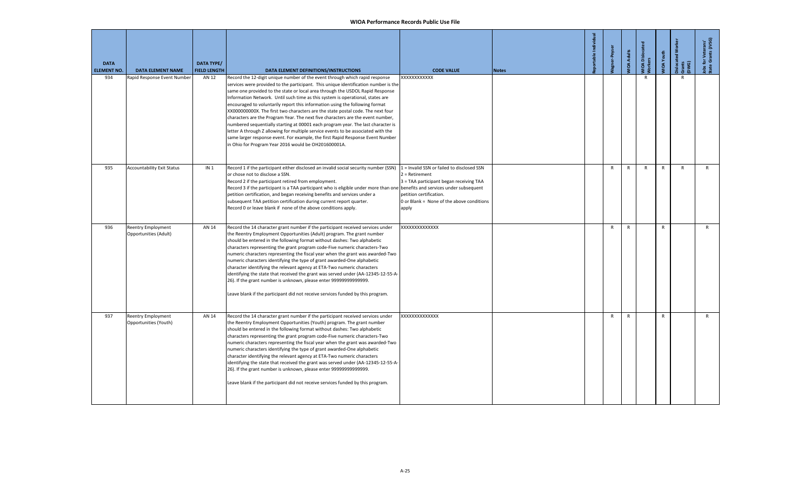| <b>DATA</b><br><b>ELEMENT NO.</b> | <b>DATA ELEMENT NAME</b>                           | <b>DATA TYPE/</b><br><b>FIELD LENGTH</b> | DATA ELEMENT DEFINITIONS/INSTRUCTIONS                                                                                                                                                                                                                                                                                                                                                                                                                                                                                                                                                                                                                                                                                                                                                                                                                                                                          | <b>CODE VALUE</b>                                                                                                                                                                          | <b>Notes</b> | portable Indir | -Peyse       | <b>MOA Adults</b> | MIOA Dislocat<br>Morkers | <b>IIOA</b> Youth | islocated<br>Grants<br>DWG) | Jobs for Veterans'<br>State Grants (JVSG) |
|-----------------------------------|----------------------------------------------------|------------------------------------------|----------------------------------------------------------------------------------------------------------------------------------------------------------------------------------------------------------------------------------------------------------------------------------------------------------------------------------------------------------------------------------------------------------------------------------------------------------------------------------------------------------------------------------------------------------------------------------------------------------------------------------------------------------------------------------------------------------------------------------------------------------------------------------------------------------------------------------------------------------------------------------------------------------------|--------------------------------------------------------------------------------------------------------------------------------------------------------------------------------------------|--------------|----------------|--------------|-------------------|--------------------------|-------------------|-----------------------------|-------------------------------------------|
| 934                               | Rapid Response Event Number                        | AN 12                                    | Record the 12-digit unique number of the event through which rapid response<br>services were provided to the participant. This unique identification number is the<br>same one provided to the state or local area through the USDOL Rapid Response<br>Information Network. Until such time as this system is operational, states are<br>encouraged to voluntarily report this information using the following format<br>XX000000000X. The first two characters are the state postal code. The next four<br>characters are the Program Year. The next five characters are the event number,<br>numbered sequentially starting at 00001 each program year. The last character is<br>letter A through Z allowing for multiple service events to be associated with the<br>same larger response event. For example, the first Rapid Response Event Number<br>in Ohio for Program Year 2016 would be OH201600001A. | XXXXXXXXXXX                                                                                                                                                                                |              |                |              |                   | $\mathsf{R}$             |                   | $\mathsf{R}$                |                                           |
| 935                               | <b>Accountability Exit Status</b>                  | IN <sub>1</sub>                          | Record 1 if the participant either disclosed an invalid social security number (SSN)<br>or chose not to disclose a SSN.<br>Record 2 if the participant retired from employment.<br>Record 3 if the participant is a TAA participant who is eligible under more than one benefits and services under subsequent<br>petition certification, and began receiving benefits and services under a<br>subsequent TAA petition certification during current report quarter.<br>Record 0 or leave blank if none of the above conditions apply.                                                                                                                                                                                                                                                                                                                                                                          | 1 = Invalid SSN or failed to disclosed SSN<br>$2 =$ Retirement<br>3 = TAA participant began receiving TAA<br>petition certification.<br>0 or Blank = None of the above conditions<br>apply |              |                | $\mathsf{R}$ | R                 | $\mathsf{R}$             | $\mathsf{R}$      | $\mathsf{R}$                | R                                         |
| 936                               | <b>Reentry Employment</b><br>Opportunities (Adult) | AN 14                                    | Record the 14 character grant number if the participant received services under<br>the Reentry Employment Opportunities (Adult) program. The grant number<br>should be entered in the following format without dashes: Two alphabetic<br>characters representing the grant program code-Five numeric characters-Two<br>numeric characters representing the fiscal year when the grant was awarded-Two<br>numeric characters identifying the type of grant awarded-One alphabetic<br>character identifying the relevant agency at ETA-Two numeric characters<br>identifying the state that received the grant was served under (AA-12345-12-55-A-<br>26). If the grant number is unknown, please enter 99999999999999.<br>Leave blank if the participant did not receive services funded by this program.                                                                                                       | XXXXXXXXXXXXXX                                                                                                                                                                             |              |                | $\mathsf{R}$ | $\mathsf{R}$      |                          | $\mathsf{R}$      |                             | $\mathsf{R}$                              |
| 937                               | <b>Reentry Employment</b><br>Opportunities (Youth) | AN 14                                    | Record the 14 character grant number if the participant received services under<br>the Reentry Employment Opportunities (Youth) program. The grant number<br>should be entered in the following format without dashes: Two alphabetic<br>characters representing the grant program code-Five numeric characters-Two<br>numeric characters representing the fiscal year when the grant was awarded-Two<br>numeric characters identifying the type of grant awarded-One alphabetic<br>character identifying the relevant agency at ETA-Two numeric characters<br>identifying the state that received the grant was served under (AA-12345-12-55-A-<br>26). If the grant number is unknown, please enter 99999999999999.<br>Leave blank if the participant did not receive services funded by this program.                                                                                                       | XXXXXXXXXXXXX                                                                                                                                                                              |              |                | R            | $\mathsf{R}$      |                          | $\mathsf{R}$      |                             | $\mathsf{R}$                              |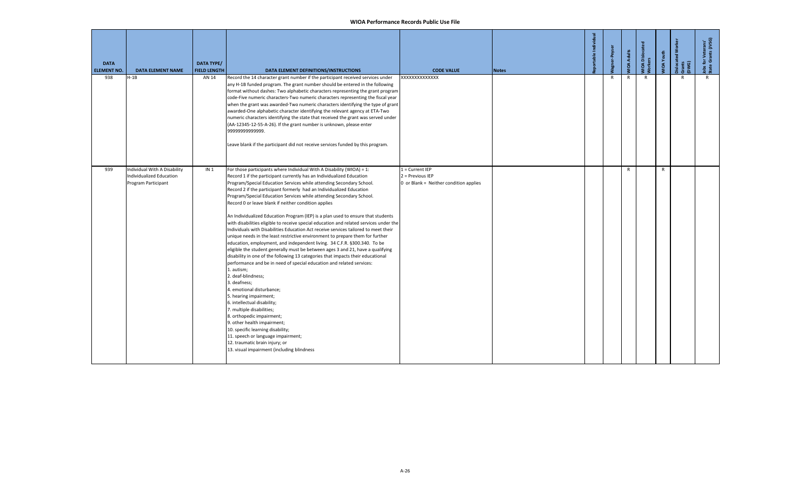| <b>DATA</b><br><b>ELEMENT NO.</b> | <b>DATA ELEMENT NAME</b>                                                        | <b>DATA TYPE/</b><br><b>FIELD LENGTH</b> | DATA ELEMENT DEFINITIONS/INSTRUCTIONS                                                                                                                                                                                                                                                                                                                                                                                                                                                                                                                                                                                                                                                                                                                                                                                                                                                                                                                                                                                                                                                                                                                                                                                                                                                                                                                                                                                                                                                                         | <b>CODE VALUE</b>                                                               | <b>Notes</b> | ible Individ | -Peyser      | <b>MOA Adults</b> | WIOA Disloca<br>Workers | VIOA Youth   | Dislocated<br>Grants<br>(DWG) | Jobs for Veterans'<br>State Grants (JVSG) |
|-----------------------------------|---------------------------------------------------------------------------------|------------------------------------------|---------------------------------------------------------------------------------------------------------------------------------------------------------------------------------------------------------------------------------------------------------------------------------------------------------------------------------------------------------------------------------------------------------------------------------------------------------------------------------------------------------------------------------------------------------------------------------------------------------------------------------------------------------------------------------------------------------------------------------------------------------------------------------------------------------------------------------------------------------------------------------------------------------------------------------------------------------------------------------------------------------------------------------------------------------------------------------------------------------------------------------------------------------------------------------------------------------------------------------------------------------------------------------------------------------------------------------------------------------------------------------------------------------------------------------------------------------------------------------------------------------------|---------------------------------------------------------------------------------|--------------|--------------|--------------|-------------------|-------------------------|--------------|-------------------------------|-------------------------------------------|
| 938                               | $H-1B$                                                                          | AN 14                                    | Record the 14 character grant number if the participant received services under<br>any H-1B funded program. The grant number should be entered in the following<br>format without dashes: Two alphabetic characters representing the grant program<br>code-Five numeric characters-Two numeric characters representing the fiscal year<br>when the grant was awarded-Two numeric characters identifying the type of grant<br>awarded-One alphabetic character identifying the relevant agency at ETA-Two<br>numeric characters identifying the state that received the grant was served under<br>(AA-12345-12-55-A-26). If the grant number is unknown, please enter<br>9999999999999.<br>Leave blank if the participant did not receive services funded by this program.                                                                                                                                                                                                                                                                                                                                                                                                                                                                                                                                                                                                                                                                                                                                     | XXXXXXXXXXXXX                                                                   |              |              | $\mathsf{R}$ | $\mathsf{R}$      | $\mathsf{R}$            |              | R                             | $\mathsf{R}$                              |
| 939                               | Individual With A Disability<br>Individualized Education<br>Program Participant | IN <sub>1</sub>                          | For those participants where Individual With A Disability (WIOA) = 1:<br>Record 1 if the participant currently has an Individualized Education<br>Program/Special Education Services while attending Secondary School.<br>Record 2 if the participant formerly had an Individualized Education<br>Program/Special Education Services while attending Secondary School.<br>Record 0 or leave blank if neither condition applies<br>An Individualized Education Program (IEP) is a plan used to ensure that students<br>with disabilities eligible to receive special education and related services under the<br>Individuals with Disabilities Education Act receive services tailored to meet their<br>unique needs in the least restrictive environment to prepare them for further<br>education, employment, and independent living. 34 C.F.R. §300.340. To be<br>eligible the student generally must be between ages 3 and 21, have a qualifying<br>disability in one of the following 13 categories that impacts their educational<br>performance and be in need of special education and related services:<br>1. autism:<br>2. deaf-blindness;<br>3. deafness;<br>4. emotional disturbance;<br>5. hearing impairment;<br>6. intellectual disability;<br>7. multiple disabilities;<br>8. orthopedic impairment;<br>9. other health impairment;<br>10. specific learning disability;<br>11. speech or language impairment;<br>12. traumatic brain injury; or<br>13. visual impairment (including blindness | $1 =$ Current IEP<br>2 = Previous IEP<br>0 or Blank = Neither condition applies |              |              |              | $\mathsf{R}$      |                         | $\mathsf{R}$ |                               |                                           |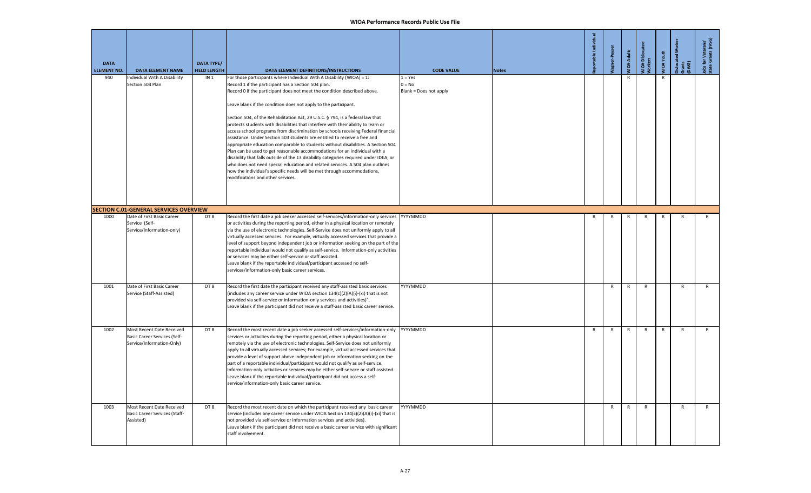| <b>DATA</b><br><b>ELEMENT NO.</b> | <b>DATA ELEMENT NAME</b>                                                                                                   | DATA TYPE/<br><b>FIELD LENGTH</b> | DATA ELEMENT DEFINITIONS/INSTRUCTIONS                                                                                                                                                                                                                                                                                                                                                                                                                                                                                                                                                                                                                                                                                                                                                                                                                                                                                                                                                                                                                                            | <b>CODE VALUE</b>                               | <b>Notes</b> | able Individual | gner-Peyse   | <b>MOA Adults</b> | /IOA Disloc<br>/orkers | VIOA Youth   | <b>Dislocated</b><br>Grants<br>DWG) | Jobs for Veterans'<br>State Grants (JVSG) |
|-----------------------------------|----------------------------------------------------------------------------------------------------------------------------|-----------------------------------|----------------------------------------------------------------------------------------------------------------------------------------------------------------------------------------------------------------------------------------------------------------------------------------------------------------------------------------------------------------------------------------------------------------------------------------------------------------------------------------------------------------------------------------------------------------------------------------------------------------------------------------------------------------------------------------------------------------------------------------------------------------------------------------------------------------------------------------------------------------------------------------------------------------------------------------------------------------------------------------------------------------------------------------------------------------------------------|-------------------------------------------------|--------------|-----------------|--------------|-------------------|------------------------|--------------|-------------------------------------|-------------------------------------------|
| 940                               | ndividual With A Disability<br>Section 504 Plan                                                                            | IN <sub>1</sub>                   | For those participants where Individual With A Disability (WIOA) = 1:<br>Record 1 if the participant has a Section 504 plan.<br>Record 0 if the participant does not meet the condition described above.<br>Leave blank if the condition does not apply to the participant.<br>Section 504, of the Rehabilitation Act, 29 U.S.C. § 794, is a federal law that<br>protects students with disabilities that interfere with their ability to learn or<br>access school programs from discrimination by schools receiving Federal financial<br>assistance. Under Section 503 students are entitled to receive a free and<br>appropriate education comparable to students without disabilities. A Section 504<br>Plan can be used to get reasonable accommodations for an individual with a<br>disability that falls outside of the 13 disability categories required under IDEA, or<br>who does not need special education and related services. A 504 plan outlines<br>how the individual's specific needs will be met through accommodations,<br>modifications and other services. | $1 = Yes$<br>$0 = No$<br>Blank = Does not apply |              |                 |              | $\mathsf{R}$      |                        | $\mathsf{R}$ |                                     |                                           |
| 1000                              | <b>SECTION C.01-GENERAL SERVICES OVERVIEW</b><br>Date of First Basic Career<br>Service (Self-<br>Service/Information-only) | DT8                               | Record the first date a job seeker accessed self-services/information-only services   YYYYMMDD<br>or activities during the reporting period, either in a physical location or remotely<br>via the use of electronic technologies. Self-Service does not uniformly apply to all<br>virtually accessed services. For example, virtually accessed services that provide a<br>level of support beyond independent job or information seeking on the part of the<br>reportable individual would not qualify as self-service. Information-only activities<br>or services may be either self-service or staff assisted.<br>Leave blank if the reportable individual/participant accessed no self-<br>services/information-only basic career services.                                                                                                                                                                                                                                                                                                                                   |                                                 |              | $\mathsf{R}$    | $\mathsf{R}$ | $\mathsf{R}$      | $\mathsf{R}$           | R            | R                                   | $\mathsf{R}$                              |
| 1001                              | Date of First Basic Career<br>Service (Staff-Assisted)                                                                     | DT8                               | Record the first date the participant received any staff-assisted basic services<br>(includes any career service under WIOA section 134(c)(2)(A)(i)-(xi) that is not<br>provided via self-service or information-only services and activities)".<br>Leave blank if the participant did not receive a staff-assisted basic career service.                                                                                                                                                                                                                                                                                                                                                                                                                                                                                                                                                                                                                                                                                                                                        | YYYYMMDD                                        |              |                 | $\mathsf{R}$ | $\mathsf{R}$      | $\mathsf{R}$           |              | $\mathsf{R}$                        | $\mathsf{R}$                              |
| 1002                              | Most Recent Date Received<br><b>Basic Career Services (Self-</b><br>Service/Information-Only)                              | DT8                               | Record the most recent date a job seeker accessed self-services/information-only<br>services or activities during the reporting period, either a physical location or<br>remotely via the use of electronic technologies. Self-Service does not uniformly<br>apply to all virtually accessed services; For example, virtual accessed services that<br>provide a level of support above independent job or information seeking on the<br>part of a reportable individual/participant would not qualify as self-service.<br>Information-only activities or services may be either self-service or staff assisted.<br>Leave blank if the reportable individual/participant did not access a self-<br>service/information-only basic career service.                                                                                                                                                                                                                                                                                                                                 | YYYYMMDD                                        |              | $\mathsf{R}$    | R            | $\mathsf{R}$      | $\mathsf{R}$           | $\mathsf{R}$ | $\mathsf{R}$                        | $\mathsf{R}$                              |
| 1003                              | Most Recent Date Received<br><b>Basic Career Services (Staff-</b><br>Assisted)                                             | DT8                               | Record the most recent date on which the participant received any basic career<br>service (includes any career service under WIOA Section 134(c)(2)(A)(i)-(xi) that is<br>not provided via self-service or information services and activities).<br>Leave blank if the participant did not receive a basic career service with significant<br>staff involvement.                                                                                                                                                                                                                                                                                                                                                                                                                                                                                                                                                                                                                                                                                                                 | YYYYMMDD                                        |              |                 | $\mathsf{R}$ | $\mathsf{R}$      | $\mathsf{R}$           |              | $\mathsf{R}$                        | $\mathsf{R}$                              |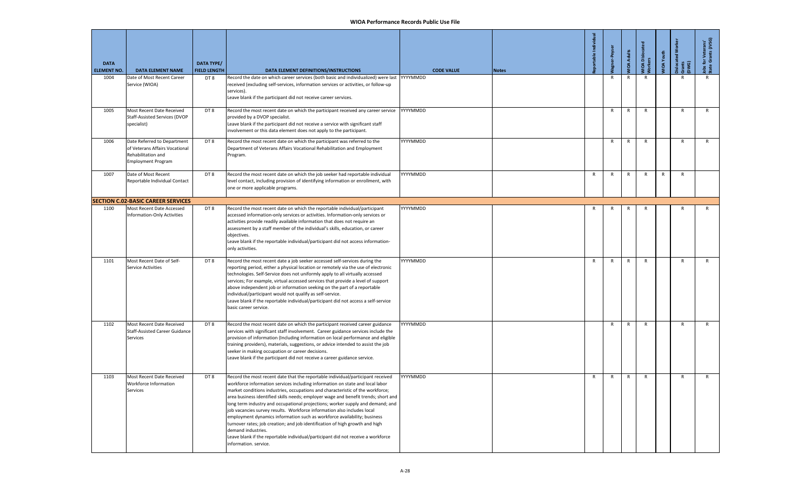| <b>DATA</b><br><b>ELEMENT NO.</b> | <b>DATA ELEMENT NAME</b>                                                                                  | <b>DATA TYPE/</b><br><b>FIELD LENGTH</b> | DATA ELEMENT DEFINITIONS/INSTRUCTIONS                                                                                                                                                                                                                                                                                                                                                                                                                                                                                                                                                                                                                                                                                                                                                                |          | <b>CODE VALUE</b> | <b>Notes</b> | portable Ind | Peyse        | <b>MOA Adults</b> | VIOA Disloca<br><b>Jorkers</b> | <b>JIOA</b> Youth | Gwa<br>E     | Jobs for Veterans'<br>State Grants (JVSG) |
|-----------------------------------|-----------------------------------------------------------------------------------------------------------|------------------------------------------|------------------------------------------------------------------------------------------------------------------------------------------------------------------------------------------------------------------------------------------------------------------------------------------------------------------------------------------------------------------------------------------------------------------------------------------------------------------------------------------------------------------------------------------------------------------------------------------------------------------------------------------------------------------------------------------------------------------------------------------------------------------------------------------------------|----------|-------------------|--------------|--------------|--------------|-------------------|--------------------------------|-------------------|--------------|-------------------------------------------|
| 1004                              | Date of Most Recent Career<br>Service (WIOA)                                                              | DT8                                      | Record the date on which career services (both basic and individualized) were last<br>received (excluding self-services, information services or activities, or follow-up<br>services).<br>Leave blank if the participant did not receive career services.                                                                                                                                                                                                                                                                                                                                                                                                                                                                                                                                           | YYYYMMDD |                   |              |              | R            | R                 | R                              |                   |              | R                                         |
| 1005                              | Most Recent Date Received<br>Staff-Assisted Services (DVOP<br>specialist)                                 | DT8                                      | Record the most recent date on which the participant received any career service<br>provided by a DVOP specialist.<br>Leave blank if the participant did not receive a service with significant staff<br>involvement or this data element does not apply to the participant.                                                                                                                                                                                                                                                                                                                                                                                                                                                                                                                         | YYYYMMDD |                   |              |              | $\mathsf{R}$ | R                 | $\mathsf{R}$                   |                   | $\mathsf{R}$ | $\mathsf{R}$                              |
| 1006                              | Date Referred to Department<br>of Veterans Affairs Vocational<br>Rehabilitation and<br>Employment Program | DT8                                      | Record the most recent date on which the participant was referred to the<br>Department of Veterans Affairs Vocational Rehabilitation and Employment<br>Program.                                                                                                                                                                                                                                                                                                                                                                                                                                                                                                                                                                                                                                      | YYYYMMDD |                   |              |              | R            | R                 | $\mathsf{R}$                   |                   | R            | R                                         |
| 1007                              | Date of Most Recent<br>Reportable Individual Contact                                                      | DT8                                      | Record the most recent date on which the job seeker had reportable individual<br>level contact, including provision of identifying information or enrollment, with<br>one or more applicable programs.                                                                                                                                                                                                                                                                                                                                                                                                                                                                                                                                                                                               | YYYYMMDD |                   |              | R            | R            | R                 | $\mathsf{R}$                   | $\mathsf{R}$      | $\mathsf{R}$ |                                           |
|                                   | <b>SECTION C.02-BASIC CAREER SERVICES</b>                                                                 |                                          |                                                                                                                                                                                                                                                                                                                                                                                                                                                                                                                                                                                                                                                                                                                                                                                                      |          |                   |              |              |              |                   |                                |                   |              |                                           |
| 1100                              | Most Recent Date Accessed<br><b>Information-Only Activities</b>                                           | DT8                                      | Record the most recent date on which the reportable individual/participant<br>accessed information-only services or activities. Information-only services or<br>activities provide readily available information that does not require an<br>assessment by a staff member of the individual's skills, education, or career<br>objectives.<br>Leave blank if the reportable individual/participant did not access information-<br>only activities.                                                                                                                                                                                                                                                                                                                                                    | YYYYMMDD |                   |              | R            | R            | R                 | R                              |                   | R            | R                                         |
| 1101                              | Most Recent Date of Self-<br><b>Service Activities</b>                                                    | DT8                                      | Record the most recent date a job seeker accessed self-services during the<br>reporting period, either a physical location or remotely via the use of electronic<br>technologies. Self-Service does not uniformly apply to all virtually accessed<br>services; For example, virtual accessed services that provide a level of support<br>above independent job or information seeking on the part of a reportable<br>individual/participant would not qualify as self-service.<br>Leave blank if the reportable individual/participant did not access a self-service<br>basic career service.                                                                                                                                                                                                        | YYYYMMDD |                   |              | R            | R            | R                 | R                              |                   | R            | R                                         |
| 1102                              | Most Recent Date Received<br><b>Staff-Assisted Career Guidance</b><br>Services                            | DT8                                      | Record the most recent date on which the participant received career guidance<br>services with significant staff involvement. Career guidance services include the<br>provision of information (Including information on local performance and eligible<br>training providers), materials, suggestions, or advice intended to assist the job<br>seeker in making occupation or career decisions.<br>Leave blank if the participant did not receive a career guidance service.                                                                                                                                                                                                                                                                                                                        | YYYYMMDD |                   |              |              | R            | R                 | $\mathsf{R}$                   |                   | R            | R                                         |
| 1103                              | Most Recent Date Received<br>Workforce Information<br>Services                                            | DT8                                      | Record the most recent date that the reportable individual/participant received<br>workforce information services including information on state and local labor<br>market conditions industries, occupations and characteristic of the workforce;<br>area business identified skills needs; employer wage and benefit trends; short and<br>long term industry and occupational projections; worker supply and demand; and<br>job vacancies survey results. Workforce information also includes local<br>employment dynamics information such as workforce availability; business<br>turnover rates; job creation; and job identification of high growth and high<br>demand industries.<br>Leave blank if the reportable individual/participant did not receive a workforce<br>information. service. | YYYYMMDD |                   |              | R            | R            | $\mathsf{R}$      | $\mathsf{R}$                   |                   | $\mathsf{R}$ | R                                         |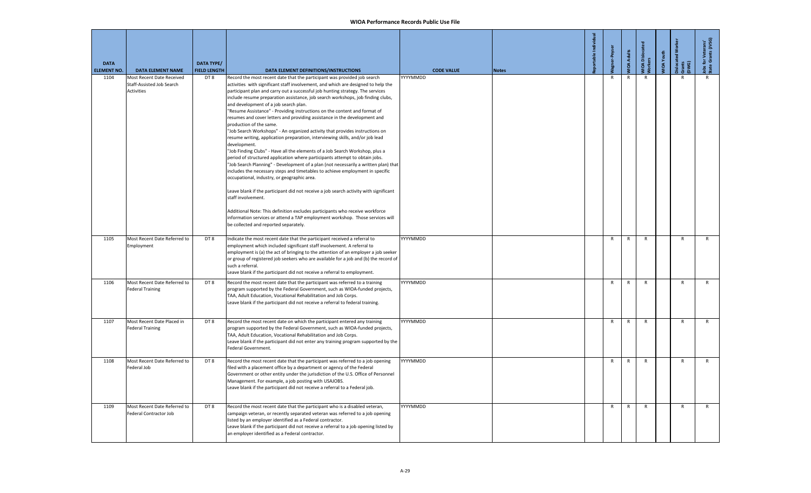| <b>DATA</b><br><b>ELEMENT NO.</b> | <b>DATA ELEMENT NAME</b>                                                    | <b>DATA TYPE/</b><br><b>FIELD LENGTH</b> | DATA ELEMENT DEFINITIONS/INSTRUCTIONS                                                                                                                                                                                                                                                                                                                                                                                                                                                                                                                                                                                                                                                                                                                                                                                                                                                                                                                                                                                                                                                                                                                                                                                                                                                                                                                                                                                                                            | <b>CODE VALUE</b> | <b>Notes</b> | table |              | <b>IOA Adults</b> | <b>JOA</b> Disloc<br>kers | IOA Youth | islocated<br>Gwer<br>E | i for Veterans'<br>e Grants (JVSG)<br>lobs f<br>State |
|-----------------------------------|-----------------------------------------------------------------------------|------------------------------------------|------------------------------------------------------------------------------------------------------------------------------------------------------------------------------------------------------------------------------------------------------------------------------------------------------------------------------------------------------------------------------------------------------------------------------------------------------------------------------------------------------------------------------------------------------------------------------------------------------------------------------------------------------------------------------------------------------------------------------------------------------------------------------------------------------------------------------------------------------------------------------------------------------------------------------------------------------------------------------------------------------------------------------------------------------------------------------------------------------------------------------------------------------------------------------------------------------------------------------------------------------------------------------------------------------------------------------------------------------------------------------------------------------------------------------------------------------------------|-------------------|--------------|-------|--------------|-------------------|---------------------------|-----------|------------------------|-------------------------------------------------------|
| 1104                              | Most Recent Date Received<br>Staff-Assisted Job Search<br><b>Activities</b> | DT8                                      | Record the most recent date that the participant was provided job search<br>activities with significant staff involvement, and which are designed to help the<br>participant plan and carry out a successful job hunting strategy. The services<br>include resume preparation assistance, job search workshops, job finding clubs,<br>and development of a job search plan.<br>"Resume Assistance" - Providing instructions on the content and format of<br>resumes and cover letters and providing assistance in the development and<br>production of the same.<br>"Job Search Workshops" - An organized activity that provides instructions on<br>resume writing, application preparation, interviewing skills, and/or job lead<br>development.<br>"Job Finding Clubs" - Have all the elements of a Job Search Workshop, plus a<br>period of structured application where participants attempt to obtain jobs.<br>"Job Search Planning" - Development of a plan (not necessarily a written plan) that<br>includes the necessary steps and timetables to achieve employment in specific<br>occupational, industry, or geographic area.<br>Leave blank if the participant did not receive a job search activity with significant<br>staff involvement.<br>Additional Note: This definition excludes participants who receive workforce<br>information services or attend a TAP employment workshop. Those services will<br>be collected and reported separately. | YYYYMMDD          |              |       | $\mathsf{R}$ | $\mathsf{R}$      | $\mathsf{R}$              |           | $\mathsf{R}$           | $\mathsf{R}$                                          |
| 1105                              | Most Recent Date Referred to<br>Employment                                  | DT8                                      | Indicate the most recent date that the participant received a referral to<br>employment which included significant staff involvement. A referral to<br>employment is (a) the act of bringing to the attention of an employer a job seeker<br>or group of registered job seekers who are available for a job and (b) the record of<br>such a referral.<br>Leave blank if the participant did not receive a referral to employment.                                                                                                                                                                                                                                                                                                                                                                                                                                                                                                                                                                                                                                                                                                                                                                                                                                                                                                                                                                                                                                | YYYYMMDD          |              |       | $\mathsf{R}$ | $\mathsf R$       | $\mathsf{R}$              |           | $\mathsf{R}$           | $\mathsf{R}$                                          |
| 1106                              | Most Recent Date Referred to<br><b>Federal Training</b>                     | DT8                                      | Record the most recent date that the participant was referred to a training<br>program supported by the Federal Government, such as WIOA-funded projects,<br>TAA, Adult Education, Vocational Rehabilitation and Job Corps.<br>Leave blank if the participant did not receive a referral to federal training.                                                                                                                                                                                                                                                                                                                                                                                                                                                                                                                                                                                                                                                                                                                                                                                                                                                                                                                                                                                                                                                                                                                                                    | YYYYMMDD          |              |       | R            | R                 | R                         |           | $\mathsf{R}$           | R                                                     |
| 1107                              | Most Recent Date Placed in<br><b>Federal Training</b>                       | DT8                                      | Record the most recent date on which the participant entered any training<br>program supported by the Federal Government, such as WIOA-funded projects,<br>TAA, Adult Education, Vocational Rehabilitation and Job Corps.<br>Leave blank if the participant did not enter any training program supported by the<br>Federal Government.                                                                                                                                                                                                                                                                                                                                                                                                                                                                                                                                                                                                                                                                                                                                                                                                                                                                                                                                                                                                                                                                                                                           | YYYYMMDD          |              |       | $\mathsf{R}$ | $\mathsf{R}$      | $\mathsf{R}$              |           | $\mathsf{R}$           | $\mathsf{R}$                                          |
| 1108                              | Most Recent Date Referred to<br>Federal Job                                 | DT8                                      | Record the most recent date that the participant was referred to a job opening<br>filed with a placement office by a department or agency of the Federal<br>Government or other entity under the jurisdiction of the U.S. Office of Personnel<br>Management. For example, a job posting with USAJOBS.<br>Leave blank if the participant did not receive a referral to a Federal job.                                                                                                                                                                                                                                                                                                                                                                                                                                                                                                                                                                                                                                                                                                                                                                                                                                                                                                                                                                                                                                                                             | YYYYMMDD          |              |       | R            | R                 | $\mathsf{R}$              |           | $\mathsf{R}$           | R                                                     |
| 1109                              | Most Recent Date Referred to<br>Federal Contractor Job                      | DT <sub>8</sub>                          | Record the most recent date that the participant who is a disabled veteran,<br>campaign veteran, or recently separated veteran was referred to a job opening<br>listed by an employer identified as a Federal contractor.<br>Leave blank if the participant did not receive a referral to a job opening listed by<br>an employer identified as a Federal contractor.                                                                                                                                                                                                                                                                                                                                                                                                                                                                                                                                                                                                                                                                                                                                                                                                                                                                                                                                                                                                                                                                                             | YYYYMMDD          |              |       | $\mathsf{R}$ | R                 | $\mathsf{R}$              |           | R                      | R                                                     |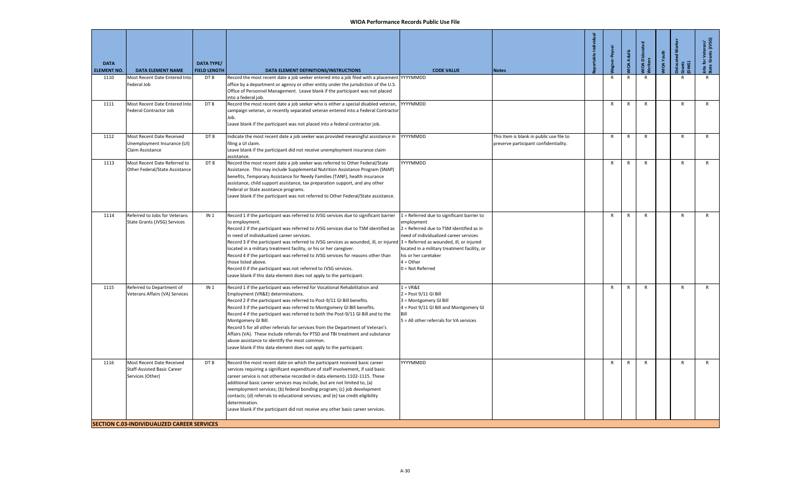| <b>DATA</b>                |                                                                                                                                    | <b>DATA TYPE/</b>          |                                                                                                                                                                                                                                                                                                                                                                                                                                                                                                                                                                                                                                                                                                          |                                                                                                                                                                                                                                                             |                                                                                   | İndi<br>able | gner-Peyse   | <b>JIDA Adults</b> | VIOA Dislocat<br><b>Jorkers</b> | <b>JIOA</b> Youth | 3<br>islocated<br>irants<br>JWG) | i for Veterans'<br>e Grants (JVSG)<br>obs fo<br>state |
|----------------------------|------------------------------------------------------------------------------------------------------------------------------------|----------------------------|----------------------------------------------------------------------------------------------------------------------------------------------------------------------------------------------------------------------------------------------------------------------------------------------------------------------------------------------------------------------------------------------------------------------------------------------------------------------------------------------------------------------------------------------------------------------------------------------------------------------------------------------------------------------------------------------------------|-------------------------------------------------------------------------------------------------------------------------------------------------------------------------------------------------------------------------------------------------------------|-----------------------------------------------------------------------------------|--------------|--------------|--------------------|---------------------------------|-------------------|----------------------------------|-------------------------------------------------------|
| <b>ELEMENT NO.</b><br>1110 | <b>DATA ELEMENT NAME</b><br>Most Recent Date Entered Into<br>Federal Job                                                           | <b>FIELD LENGTH</b><br>DT8 | DATA ELEMENT DEFINITIONS/INSTRUCTIONS<br>Record the most recent date a job seeker entered into a job filed with a placement YYYYMMDD<br>office by a department or agency or other entity under the jurisdiction of the U.S.<br>Office of Personnel Management. Leave blank if the participant was not placed                                                                                                                                                                                                                                                                                                                                                                                             | <b>CODE VALUE</b>                                                                                                                                                                                                                                           | <b>Notes</b>                                                                      |              | $\mathsf{R}$ | $\mathsf{R}$       | $\mathsf{R}$                    |                   |                                  |                                                       |
| 1111                       | Most Recent Date Entered Into<br>Federal Contractor Job                                                                            | DT8                        | into a federal iob.<br>Record the most recent date a job seeker who is either a special disabled veteran,<br>campaign veteran, or recently separated veteran entered into a Federal Contractor<br>Job.<br>Leave blank if the participant was not placed into a federal contractor job.                                                                                                                                                                                                                                                                                                                                                                                                                   | YYYYMMDD                                                                                                                                                                                                                                                    |                                                                                   |              | R            | $\mathsf{R}$       | $\mathsf{R}$                    |                   | $\mathsf{R}$                     | $\mathsf{R}$                                          |
| 1112                       | Most Recent Date Received<br>Unemployment Insurance (UI)<br>Claim Assistance                                                       | DT8                        | Indicate the most recent date a job seeker was provided meaningful assistance in<br>filing a UI claim.<br>Leave blank if the participant did not receive unemployment insurance claim<br>assistance.                                                                                                                                                                                                                                                                                                                                                                                                                                                                                                     | YYYYMMDD                                                                                                                                                                                                                                                    | This Item is blank in public use file to<br>preserve participant confidentiality. |              | R            | R                  | $\mathsf{R}$                    |                   | $\mathsf{R}$                     | R                                                     |
| 1113                       | Most Recent Date Referred to<br>Other Federal/State Assistance                                                                     | DT8                        | Record the most recent date a job seeker was referred to Other Federal/State<br>Assistance. This may include Supplemental Nutrition Assistance Program (SNAP)<br>benefits, Temporary Assistance for Needy Families (TANF), health insurance<br>assistance, child support assistance, tax preparation support, and any other<br>Federal or State assistance programs.<br>Leave blank if the participant was not referred to Other Federal/State assistance.                                                                                                                                                                                                                                               | YYYYMMDD                                                                                                                                                                                                                                                    |                                                                                   |              | R            | $\mathsf{R}$       | $\mathsf{R}$                    |                   | $\mathsf{R}$                     | R                                                     |
| 1114                       | Referred to Jobs for Veterans<br>State Grants (JVSG) Services                                                                      | IN <sub>1</sub>            | Record 1 if the participant was referred to JVSG services due to significant barrier<br>to employment.<br>Record 2 if the participant was referred to JVSG services due to TSM identified as<br>in need of individualized career services.<br>Record 3 if the participant was referred to JVSG services as wounded, ill, or injured $3 =$ Referred as wounded, ill, or injured<br>located in a military treatment facility, or his or her caregiver.<br>Record 4 if the participant was referred to JVSG services for reasons other than<br>those listed above.<br>Record 0 if the participant was not referred to JVSG services.<br>Leave blank if this data element does not apply to the participant. | 1 = Referred due to significant barrier to<br>employment<br>2 = Referred due to TSM identified as in<br>need of individualized career services<br>located in a military treatment facility, or<br>his or her caretaker<br>$4 = Other$<br>$0 = Not$ Referred |                                                                                   |              | R            | $\mathsf{R}$       | $\mathsf{R}$                    |                   | $\mathsf{R}$                     | R                                                     |
| 1115                       | Referred to Department of<br>Veterans Affairs (VA) Services                                                                        | IN <sub>1</sub>            | Record 1 if the participant was referred for Vocational Rehabilitation and<br>Employment (VR&E) determinations.<br>Record 2 if the participant was referred to Post-9/11 GI Bill benefits.<br>Record 3 if the participant was referred to Montgomery GI Bill benefits.<br>Record 4 if the participant was referred to both the Post-9/11 GI Bill and to the<br>Montgomery GI Bill.<br>Record 5 for all other referrals for services from the Department of Veteran's<br>Affairs (VA). These include referrals for PTSD and TBI treatment and substance<br>abuse assistance to identify the most common.<br>Leave blank if this data element does not apply to the participant.                           | $1 = VR&E$<br>$2 = Post 9/11$ GI Bill<br>3 = Montgomery GI Bill<br>4 = Post 9/11 GI Bill and Montgomery GI<br>5 = All other referrals for VA services                                                                                                       |                                                                                   |              | $\mathsf{R}$ | $\mathsf{R}$       | $\mathsf{R}$                    |                   | $\mathsf{R}$                     | R                                                     |
| 1116                       | Most Recent Date Received<br><b>Staff-Assisted Basic Career</b><br>Services (Other)<br>SECTION C.03-INDIVIDUALIZED CAREER SERVICES | DT8                        | Record the most recent date on which the participant received basic career<br>services requiring a significant expenditure of staff involvement, if said basic<br>career service is not otherwise recorded in data elements 1102-1115. These<br>additional basic career services may include, but are not limited to, (a)<br>reemployment services; (b) federal bonding program; (c) job development<br>contacts; (d) referrals to educational services; and (e) tax credit eligibility<br>determination.<br>Leave blank if the participant did not receive any other basic career services.                                                                                                             | YYYYMMDD                                                                                                                                                                                                                                                    |                                                                                   |              | R            | $\mathsf{R}$       | $\mathsf{R}$                    |                   | $\mathsf{R}$                     | R                                                     |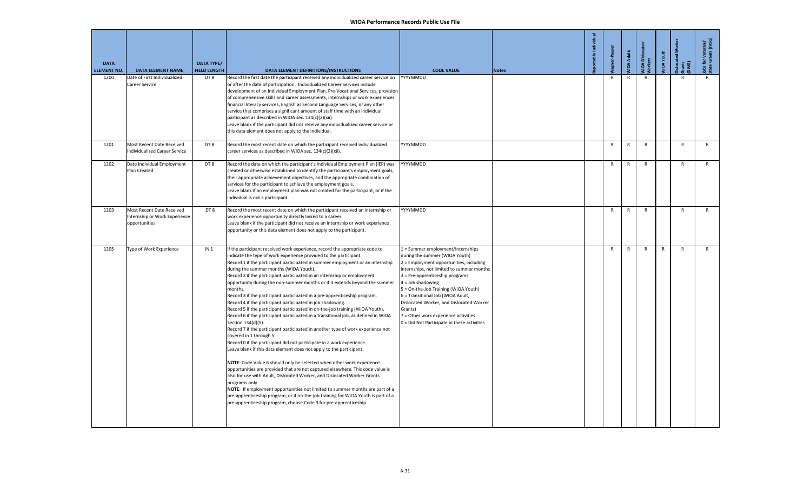| <b>DATA</b><br><b>ELEMENT NO.</b> | <b>DATA ELEMENT NAME</b>                                                    | DATA TYPE/<br><b>FIELD LENGTH</b> | DATA ELEMENT DEFINITIONS/INSTRUCTIONS                                                                                                                                                                                                                                                                                                                                                                                                                                                                                                                                                                                                                                                                                                                                                                                                                                                                                                                                                                                                                                                                                                                                                                                                                                                                                                                                                                                                                                                                                                                      | <b>CODE VALUE</b>                                                                                                                                                                                                                                                                                                                                                                                                                                | <b>Notes</b> | able Individual | Peyser       | <b>IOA Adults</b> | VIOA Dislocat<br>Vorkers | IOA Youth | slocated Worker<br>arants<br>DWG) | lobs for Veterans'<br>State Grants (JVSG) |
|-----------------------------------|-----------------------------------------------------------------------------|-----------------------------------|------------------------------------------------------------------------------------------------------------------------------------------------------------------------------------------------------------------------------------------------------------------------------------------------------------------------------------------------------------------------------------------------------------------------------------------------------------------------------------------------------------------------------------------------------------------------------------------------------------------------------------------------------------------------------------------------------------------------------------------------------------------------------------------------------------------------------------------------------------------------------------------------------------------------------------------------------------------------------------------------------------------------------------------------------------------------------------------------------------------------------------------------------------------------------------------------------------------------------------------------------------------------------------------------------------------------------------------------------------------------------------------------------------------------------------------------------------------------------------------------------------------------------------------------------------|--------------------------------------------------------------------------------------------------------------------------------------------------------------------------------------------------------------------------------------------------------------------------------------------------------------------------------------------------------------------------------------------------------------------------------------------------|--------------|-----------------|--------------|-------------------|--------------------------|-----------|-----------------------------------|-------------------------------------------|
| 1200                              | Date of First Individualized<br><b>Career Service</b>                       | DT8                               | Record the first date the participant received any individualized career service on<br>or after the date of participation. Individualized Career Services include<br>development of an Individual Employment Plan, Pre-Vocational Services, provision<br>of comprehensive skills and career assessments, internships or work experiences,<br>financial literacy services, English as Second Language Services, or any other<br>service that comprises a significant amount of staff time with an individual<br>participant as described in WIOA sec. 134(c)(2)(xii).<br>Leave blank if the participant did not receive any individualized career service or<br>this data element does not apply to the individual.                                                                                                                                                                                                                                                                                                                                                                                                                                                                                                                                                                                                                                                                                                                                                                                                                                         | YYYYMMDD                                                                                                                                                                                                                                                                                                                                                                                                                                         |              |                 | $\mathsf{R}$ | R                 | $\mathsf{R}$             |           | R                                 | $\mathsf{R}$                              |
| 1201                              | Most Recent Date Received<br>Individualized Career Service                  | DT8                               | Record the most recent date on which the participant received individualized<br>career services as described in WIOA sec. 134(c)(2)(xii).                                                                                                                                                                                                                                                                                                                                                                                                                                                                                                                                                                                                                                                                                                                                                                                                                                                                                                                                                                                                                                                                                                                                                                                                                                                                                                                                                                                                                  | YYYYMMDD                                                                                                                                                                                                                                                                                                                                                                                                                                         |              |                 | R            | R                 | R                        |           | $\mathsf{R}$                      | $\mathsf{R}$                              |
| 1202                              | Date Individual Employment<br>Plan Created                                  | DT8                               | Record the date on which the participant's Individual Employment Plan (IEP) was<br>created or otherwise established to identify the participant's employment goals,<br>their appropriate achievement objectives, and the appropriate combination of<br>services for the participant to achieve the employment goals.<br>Leave blank if an employment plan was not created for the participant, or if the<br>individual is not a participant.                                                                                                                                                                                                                                                                                                                                                                                                                                                                                                                                                                                                                                                                                                                                                                                                                                                                                                                                                                                                                                                                                                               | YYYYMMDD                                                                                                                                                                                                                                                                                                                                                                                                                                         |              |                 | R            | R                 | R                        |           | $\mathsf{R}$                      | $\mathsf{R}$                              |
| 1203                              | Most Recent Date Received<br>Internship or Work Experience<br>opportunities | DT <sub>8</sub>                   | Record the most recent date on which the participant received an internship or<br>work experience opportunity directly linked to a career.<br>Leave blank if the participant did not receive an internship or work experience<br>opportunity or this data element does not apply to the participant.                                                                                                                                                                                                                                                                                                                                                                                                                                                                                                                                                                                                                                                                                                                                                                                                                                                                                                                                                                                                                                                                                                                                                                                                                                                       | YYYYMMDD                                                                                                                                                                                                                                                                                                                                                                                                                                         |              |                 | $\mathsf{R}$ | R                 | $\mathsf{R}$             |           | $\mathsf{R}$                      | $\mathsf{R}$                              |
| 1205                              | Type of Work Experience                                                     | IN <sub>1</sub>                   | If the participant received work experience, record the appropriate code to<br>indicate the type of work experience provided to the participant.<br>Record 1 if the participant participated in summer employment or an internship<br>during the summer months (WIOA Youth).<br>Record 2 if the participant participated in an internship or employment<br>opportunity during the non-summer months or if it extends beyond the summer<br>months.<br>Record 3 if the participant participated in a pre-apprenticeship program.<br>Record 4 if the participant participated in job shadowing.<br>Record 5 if the participant participated in on-the-job training (WIOA Youth).<br>Record 6 if the participant participated in a transitional job, as defined in WIOA<br>Section 134(d)(5).<br>Record 7 if the participant participated in another type of work experience not<br>covered in 1 through 5.<br>Record 0 if the participant did not participate in a work experience.<br>Leave blank if this data element does not apply to the participant.<br>NOTE: Code Value 6 should only be selected when other work experience<br>opportunities are provided that are not captured elsewhere. This code value is<br>also for use with Adult, Dislocated Worker, and Dislocated Worker Grants<br>programs only.<br>NOTE: If employment opportunities not limited to summer months are part of a<br>pre-apprenticeship program, or if on-the-job training for WIOA Youth is part of a<br>pre-apprenticeship program, choose Code 3 for pre-apprenticeship. | 1 = Summer employment/Internships<br>during the summer (WIOA Youth)<br>2 = Employment opportunities, including<br>internships, not limited to summer months<br>3 = Pre-apprenticeship programs<br>$4 =$ Job shadowing<br>5 = On-the-Job Training (WIOA Youth)<br>6 = Transitional Job (WIOA Adult,<br>Dislocated Worker, and Dislocated Worker<br>Grants)<br>7 = Other work experience activities<br>0 = Did Not Participate in these activities |              |                 | $\mathsf{R}$ | R                 | R                        | R         | $\mathsf{R}$                      | $\mathsf{R}$                              |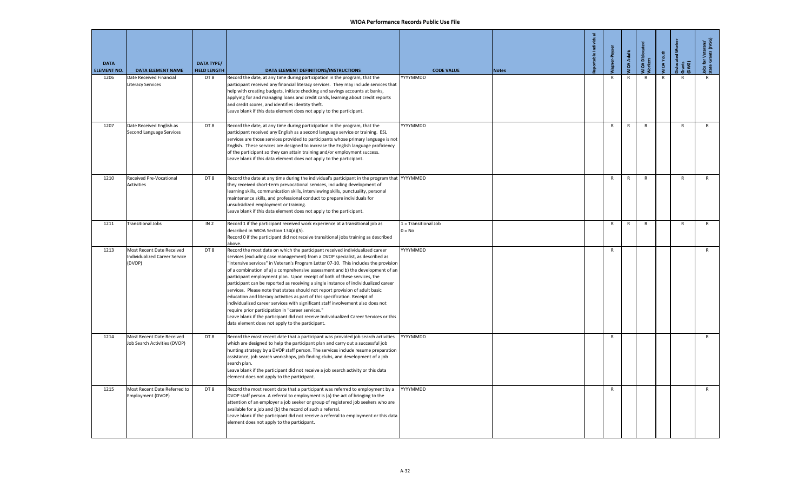| <b>DATA</b><br><b>ELEMENT NO.</b> | <b>DATA ELEMENT NAME</b>                                             | DATA TYPE/<br><b>FIELD LENGTH</b> | DATA ELEMENT DEFINITIONS/INSTRUCTIONS                                                                                                                                                                                                                                                                                                                                                                                                                                                                                                                                                                                                                                                                                                                                                                                                                                                                                                                       | <b>CODE VALUE</b>                | <b>Notes</b> | Jagner-Peyse | <b>VIOA Adults</b> | WIOA Disloca<br>Workers | <b>JIOA</b> Youth | š<br>Grants<br>DWG) | for Veterans'<br>e Grants (JVSG)<br>obs f<br>itate |
|-----------------------------------|----------------------------------------------------------------------|-----------------------------------|-------------------------------------------------------------------------------------------------------------------------------------------------------------------------------------------------------------------------------------------------------------------------------------------------------------------------------------------------------------------------------------------------------------------------------------------------------------------------------------------------------------------------------------------------------------------------------------------------------------------------------------------------------------------------------------------------------------------------------------------------------------------------------------------------------------------------------------------------------------------------------------------------------------------------------------------------------------|----------------------------------|--------------|--------------|--------------------|-------------------------|-------------------|---------------------|----------------------------------------------------|
| 1206                              | Date Received Financial<br>Literacy Services                         | DT8                               | Record the date, at any time during participation in the program, that the<br>participant received any financial literacy services. They may include services that<br>help with creating budgets, initiate checking and savings accounts at banks,<br>applying for and managing loans and credit cards, learning about credit reports<br>and credit scores, and identifies identity theft.<br>Leave blank if this data element does not apply to the participant.                                                                                                                                                                                                                                                                                                                                                                                                                                                                                           | YYYYMMDD                         |              | $\mathsf{R}$ | R                  | R                       |                   |                     |                                                    |
| 1207                              | Date Received English as<br>Second Language Services                 | DT8                               | Record the date, at any time during participation in the program, that the<br>participant received any English as a second language service or training. ESL<br>services are those services provided to participants whose primary language is not<br>English. These services are designed to increase the English language proficiency<br>of the participant so they can attain training and/or employment success.<br>Leave blank if this data element does not apply to the participant.                                                                                                                                                                                                                                                                                                                                                                                                                                                                 | YYYYMMDD                         |              | $\mathsf{R}$ | ${\sf R}$          | $\mathsf{R}$            |                   | ${\sf R}$           | R                                                  |
| 1210                              | Received Pre-Vocational<br><b>Activities</b>                         | DT8                               | Record the date at any time during the individual's participant in the program that YYYYMMDD<br>they received short-term prevocational services, including development of<br>earning skills, communication skills, interviewing skills, punctuality, personal<br>maintenance skills, and professional conduct to prepare individuals for<br>unsubsidized employment or training.<br>Leave blank if this data element does not apply to the participant.                                                                                                                                                                                                                                                                                                                                                                                                                                                                                                     |                                  |              | R            | R                  | $\mathsf{R}$            |                   | $\mathsf{R}$        | R                                                  |
| 1211                              | <b>Transitional Jobs</b>                                             | IN <sub>2</sub>                   | Record 1 if the participant received work experience at a transitional job as<br>described in WIOA Section 134(d)(5).<br>Record 0 if the participant did not receive transitional jobs training as described<br>above.                                                                                                                                                                                                                                                                                                                                                                                                                                                                                                                                                                                                                                                                                                                                      | 1 = Transitional Job<br>$0 = No$ |              | ${\sf R}$    | $\mathsf{R}$       | $\mathsf{R}$            |                   | $\mathsf{R}$        | $\mathsf{R}$                                       |
| 1213                              | Most Recent Date Received<br>Individualized Career Service<br>(DVOP) | DT8                               | Record the most date on which the participant received individualized career<br>services (excluding case management) from a DVOP specialist, as described as<br>'intensive services" in Veteran's Program Letter 07-10. This includes the provision<br>of a combination of a) a comprehensive assessment and b) the development of an<br>participant employment plan. Upon receipt of both of these services, the<br>participant can be reported as receiving a single instance of individualized career<br>services. Please note that states should not report provision of adult basic<br>education and literacy activities as part of this specification. Receipt of<br>individualized career services with significant staff involvement also does not<br>require prior participation in "career services."<br>Leave blank if the participant did not receive Individualized Career Services or this<br>data element does not apply to the participant. | YYYYMMDD                         |              | R            |                    |                         |                   |                     | $\mathsf{R}$                                       |
| 1214                              | Most Recent Date Received<br>Job Search Activities (DVOP)            | DT8                               | Record the most recent date that a participant was provided job search activities<br>which are designed to help the participant plan and carry out a successful job<br>hunting strategy by a DVOP staff person. The services include resume preparation<br>assistance, job search workshops, job finding clubs, and development of a job<br>search plan.<br>Leave blank if the participant did not receive a job search activity or this data<br>element does not apply to the participant.                                                                                                                                                                                                                                                                                                                                                                                                                                                                 | YYYYMMDD                         |              | $\mathsf{R}$ |                    |                         |                   |                     | $\mathsf{R}$                                       |
| 1215                              | Most Recent Date Referred to<br>Employment (DVOP)                    | DT8                               | Record the most recent date that a participant was referred to employment by a<br>DVOP staff person. A referral to employment is (a) the act of bringing to the<br>attention of an employer a job seeker or group of registered job seekers who are<br>available for a job and (b) the record of such a referral.<br>Leave blank if the participant did not receive a referral to employment or this data<br>element does not apply to the participant.                                                                                                                                                                                                                                                                                                                                                                                                                                                                                                     | YYYYMMDD                         |              | R            |                    |                         |                   |                     | R                                                  |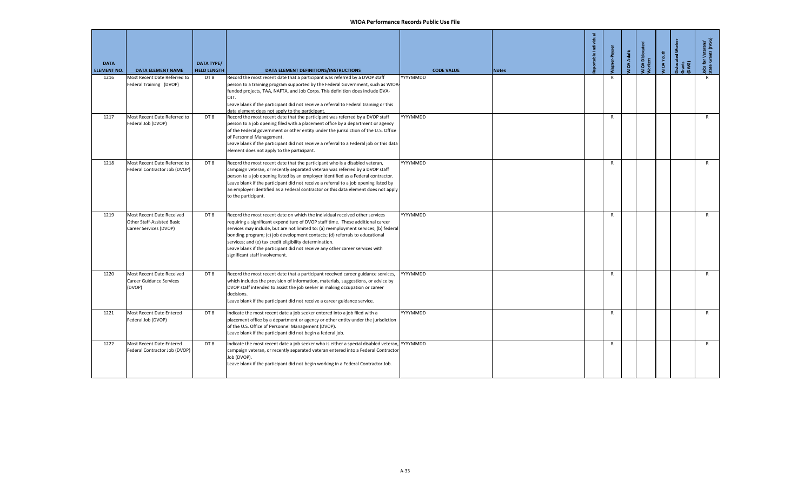| <b>DATA</b><br><b>ELEMENT NO.</b> | <b>DATA ELEMENT NAME</b>                                                          | <b>DATA TYPE/</b><br><b>FIELD LENGTH</b> | DATA ELEMENT DEFINITIONS/INSTRUCTIONS                                                                                                                                                                                                                                                                                                                                                                                                                                                                               | <b>CODE VALUE</b> | <b>Notes</b> | able Individua | agner-Peyse  | <b>IOA Adults</b> | VIOA Disloca<br><b>lorkers</b> | <b>IIOA</b> Youth | slocated<br>arants<br>DWG) | Jobs for Veterans'<br>State Grants (JVSG) |
|-----------------------------------|-----------------------------------------------------------------------------------|------------------------------------------|---------------------------------------------------------------------------------------------------------------------------------------------------------------------------------------------------------------------------------------------------------------------------------------------------------------------------------------------------------------------------------------------------------------------------------------------------------------------------------------------------------------------|-------------------|--------------|----------------|--------------|-------------------|--------------------------------|-------------------|----------------------------|-------------------------------------------|
| 1216                              | Most Recent Date Referred to<br>Federal Training (DVOP)                           | DT 8                                     | Record the most recent date that a participant was referred by a DVOP staff<br>person to a training program supported by the Federal Government, such as WIOA-<br>funded projects, TAA, NAFTA, and Job Corps. This definition does include DVA-<br>OJT.<br>Leave blank if the participant did not receive a referral to Federal training or this<br>data element does not apply to the participant.                                                                                                                 | YYYYMMDD          |              |                | $\mathsf{R}$ |                   |                                |                   |                            | R                                         |
| 1217                              | Most Recent Date Referred to<br>Federal Job (DVOP)                                | DT8                                      | Record the most recent date that the participant was referred by a DVOP staff<br>person to a job opening filed with a placement office by a department or agency<br>of the Federal government or other entity under the jurisdiction of the U.S. Office<br>of Personnel Management.<br>Leave blank if the participant did not receive a referral to a Federal job or this data<br>element does not apply to the participant.                                                                                        | YYYYMMDD          |              |                | $\mathsf{R}$ |                   |                                |                   |                            | R                                         |
| 1218                              | Most Recent Date Referred to<br>Federal Contractor Job (DVOP)                     | DT8                                      | Record the most recent date that the participant who is a disabled veteran,<br>campaign veteran, or recently separated veteran was referred by a DVOP staff<br>person to a job opening listed by an employer identified as a Federal contractor.<br>Leave blank if the participant did not receive a referral to a job opening listed by<br>an employer identified as a Federal contractor or this data element does not apply<br>to the participant.                                                               | YYYYMMDD          |              |                | $\mathsf{R}$ |                   |                                |                   |                            | $\mathsf{R}$                              |
| 1219                              | Most Recent Date Received<br>Other Staff-Assisted Basic<br>Career Services (DVOP) | DT8                                      | Record the most recent date on which the individual received other services<br>requiring a significant expenditure of DVOP staff time. These additional career<br>services may include, but are not limited to: (a) reemployment services; (b) federal<br>bonding program; (c) job development contacts; (d) referrals to educational<br>services; and (e) tax credit eligibility determination.<br>Leave blank if the participant did not receive any other career services with<br>significant staff involvement. | YYYYMMDD          |              |                | R            |                   |                                |                   |                            | R                                         |
| 1220                              | Most Recent Date Received<br><b>Career Guidance Services</b><br>(DVOP)            | DT8                                      | Record the most recent date that a participant received career guidance services,<br>which includes the provision of information, materials, suggestions, or advice by<br>DVOP staff intended to assist the job seeker in making occupation or career<br>decisions.<br>Leave blank if the participant did not receive a career guidance service.                                                                                                                                                                    | YYYYMMDD          |              |                | $\mathsf{R}$ |                   |                                |                   |                            | $\mathsf{R}$                              |
| 1221                              | Most Recent Date Entered<br>Federal Job (DVOP)                                    | DT8                                      | Indicate the most recent date a job seeker entered into a job filed with a<br>placement office by a department or agency or other entity under the jurisdiction<br>of the U.S. Office of Personnel Management (DVOP).<br>Leave blank if the participant did not begin a federal job.                                                                                                                                                                                                                                | YYYYMMDD          |              |                | $\mathsf{R}$ |                   |                                |                   |                            | R                                         |
| 1222                              | Most Recent Date Entered<br>Federal Contractor Job (DVOP)                         | DT8                                      | Indicate the most recent date a job seeker who is either a special disabled veteran, YYYYMMDD<br>campaign veteran, or recently separated veteran entered into a Federal Contractor<br>Job (DVOP).<br>Leave blank if the participant did not begin working in a Federal Contractor Job.                                                                                                                                                                                                                              |                   |              |                | $\mathsf{R}$ |                   |                                |                   |                            | R                                         |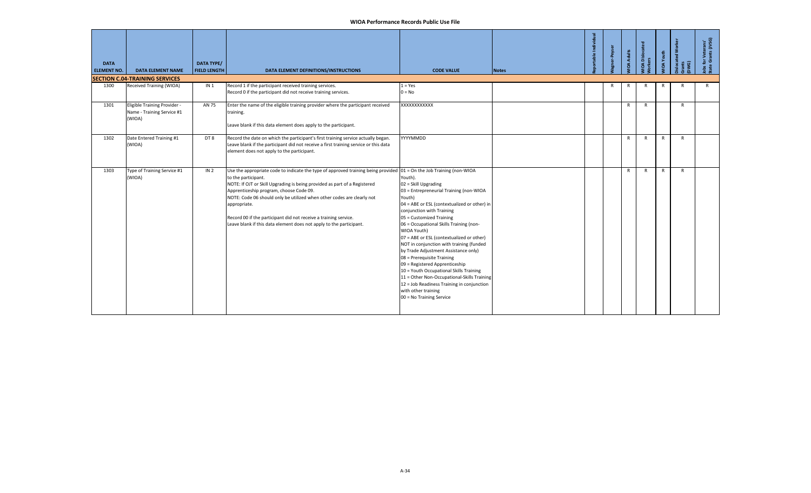| <b>DATA</b><br><b>ELEMENT NO.</b> | <b>DATA ELEMENT NAME</b>                                             | <b>DATA TYPE/</b><br><b>FIELD LENGTH</b> | DATA ELEMENT DEFINITIONS/INSTRUCTIONS                                                                                                                                                                                                                                                                                                                                                                                                                                                                      | <b>CODE VALUE</b>                                                                                                                                                                                                                                                                                                                                                                                                                                                                                                                                                                                                                                   | <b>Notes</b> | er-Peyser | <b>IOA Adults</b> | <b>IOA Disloca</b><br>rkers | <b>JIOA</b> Youth | з<br>ilocated<br>ants<br>WG) | s for Veterans'<br>:e Grants (JVSG) |
|-----------------------------------|----------------------------------------------------------------------|------------------------------------------|------------------------------------------------------------------------------------------------------------------------------------------------------------------------------------------------------------------------------------------------------------------------------------------------------------------------------------------------------------------------------------------------------------------------------------------------------------------------------------------------------------|-----------------------------------------------------------------------------------------------------------------------------------------------------------------------------------------------------------------------------------------------------------------------------------------------------------------------------------------------------------------------------------------------------------------------------------------------------------------------------------------------------------------------------------------------------------------------------------------------------------------------------------------------------|--------------|-----------|-------------------|-----------------------------|-------------------|------------------------------|-------------------------------------|
|                                   | <b>SECTION C.04-TRAINING SERVICES</b>                                |                                          |                                                                                                                                                                                                                                                                                                                                                                                                                                                                                                            |                                                                                                                                                                                                                                                                                                                                                                                                                                                                                                                                                                                                                                                     |              |           |                   |                             |                   |                              |                                     |
| 1300                              | Received Training (WIOA)                                             | IN <sub>1</sub>                          | Record 1 if the participant received training services.<br>Record 0 if the participant did not receive training services.                                                                                                                                                                                                                                                                                                                                                                                  | $1 = Yes$<br>$0 = No$                                                                                                                                                                                                                                                                                                                                                                                                                                                                                                                                                                                                                               |              | R         | R                 | R                           | R                 | R                            | $\mathsf{R}$                        |
| 1301                              | Eligible Training Provider -<br>Name - Training Service #1<br>(WIOA) | AN 75                                    | Enter the name of the eligible training provider where the participant received<br>training.<br>Leave blank if this data element does apply to the participant.                                                                                                                                                                                                                                                                                                                                            | XXXXXXXXXXXX                                                                                                                                                                                                                                                                                                                                                                                                                                                                                                                                                                                                                                        |              |           | $\mathsf{R}$      | $\mathsf{R}$                |                   | $\mathsf{R}$                 |                                     |
| 1302                              | Date Entered Training #1<br>(WIOA)                                   | DT8                                      | Record the date on which the participant's first training service actually began.<br>Leave blank if the participant did not receive a first training service or this data<br>element does not apply to the participant.                                                                                                                                                                                                                                                                                    | YYYYMMDD                                                                                                                                                                                                                                                                                                                                                                                                                                                                                                                                                                                                                                            |              |           | $\mathsf{R}$      | $\mathsf{R}$                | $\mathsf{R}$      | $\mathsf{R}$                 |                                     |
| 1303                              | Type of Training Service #1<br>(WIOA)                                | IN <sub>2</sub>                          | Use the appropriate code to indicate the type of approved training being provided $01 =$ On the Job Training (non-WIOA<br>to the participant.<br>NOTE: If OJT or Skill Upgrading is being provided as part of a Registered<br>Apprenticeship program, choose Code 09.<br>NOTE: Code 06 should only be utilized when other codes are clearly not<br>appropriate.<br>Record 00 if the participant did not receive a training service.<br>Leave blank if this data element does not apply to the participant. | Youth).<br>02 = Skill Upgrading<br>03 = Entrepreneurial Training (non-WIOA<br>Youth)<br>04 = ABE or ESL (contextualized or other) in<br>conjunction with Training<br>05 = Customized Training<br>06 = Occupational Skills Training (non-<br>WIOA Youth)<br>07 = ABE or ESL (contextualized or other)<br>NOT in conjunction with training (funded<br>by Trade Adjustment Assistance only)<br>08 = Prerequisite Training<br>09 = Registered Apprenticeship<br>10 = Youth Occupational Skills Training<br>11 = Other Non-Occupational-Skills Training<br>12 = Job Readiness Training in conjunction<br>with other training<br>00 = No Training Service |              |           | $\mathsf{R}$      | $\mathsf{R}$                | $\mathsf{R}$      | $\mathsf{R}$                 |                                     |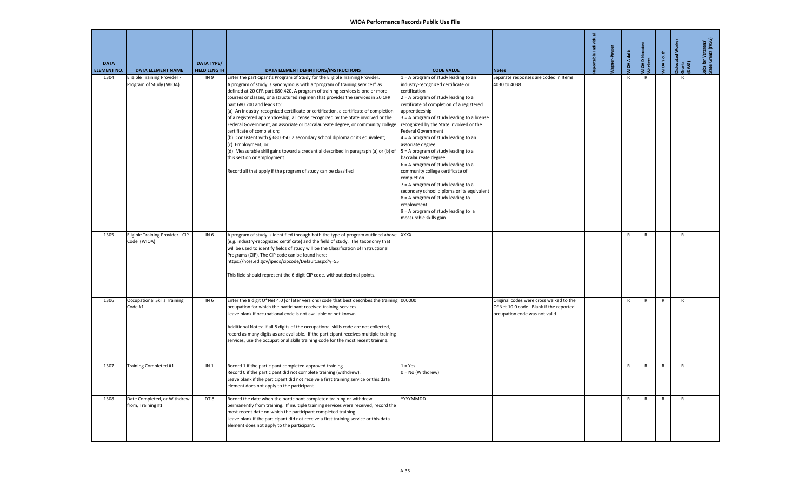| <b>DATA</b><br><b>ELEMENT NO.</b> | <b>DATA ELEMENT NAME</b>                                | <b>DATA TYPE/</b><br><b>FIELD LENGTH</b> | DATA ELEMENT DEFINITIONS/INSTRUCTIONS                                                                                                                                                                                                                                                                                                                                                                                                                                                                                                                                                                                                                                                                                                                                                                                                                                                                                                                    | <b>CODE VALUE</b>                                                                                                                                                                                                                                                                                                                                                                                                                                                                                                                                                                                                                                                                                                                                             | <b>Notes</b>                                                                                                        | eportable Individual | er-Peyse | <b>MOA Adults</b> | <b>MOA Dislocat</b><br><b>Norkers</b> | MIOA Youth   | š<br>Dislocated<br>Grants<br>DWG) | Jobs for Veterans'<br>State Grants (JVSG) |
|-----------------------------------|---------------------------------------------------------|------------------------------------------|----------------------------------------------------------------------------------------------------------------------------------------------------------------------------------------------------------------------------------------------------------------------------------------------------------------------------------------------------------------------------------------------------------------------------------------------------------------------------------------------------------------------------------------------------------------------------------------------------------------------------------------------------------------------------------------------------------------------------------------------------------------------------------------------------------------------------------------------------------------------------------------------------------------------------------------------------------|---------------------------------------------------------------------------------------------------------------------------------------------------------------------------------------------------------------------------------------------------------------------------------------------------------------------------------------------------------------------------------------------------------------------------------------------------------------------------------------------------------------------------------------------------------------------------------------------------------------------------------------------------------------------------------------------------------------------------------------------------------------|---------------------------------------------------------------------------------------------------------------------|----------------------|----------|-------------------|---------------------------------------|--------------|-----------------------------------|-------------------------------------------|
| 1304                              | Eligible Training Provider -<br>Program of Study (WIOA) | IN <sub>9</sub>                          | Enter the participant's Program of Study for the Eligible Training Provider.<br>A program of study is synonymous with a "program of training services" as<br>defined at 20 CFR part 680.420. A program of training services is one or more<br>courses or classes, or a structured regimen that provides the services in 20 CFR<br>part 680.200 and leads to:<br>(a) An industry-recognized certificate or certification, a certificate of completion<br>of a registered apprenticeship, a license recognized by the State involved or the<br>Federal Government, an associate or baccalaureate degree, or community college<br>certificate of completion;<br>(b) Consistent with § 680.350, a secondary school diploma or its equivalent;<br>(c) Employment; or<br>(d) Measurable skill gains toward a credential described in paragraph (a) or (b) of<br>this section or employment.<br>Record all that apply if the program of study can be classified | 1 = A program of study leading to an<br>industry-recognized certificate or<br>certification<br>$2 = A program of study leading to a$<br>certificate of completion of a registered<br>apprenticeship<br>3 = A program of study leading to a license<br>recognized by the State involved or the<br><b>Federal Government</b><br>$4 = A program of study leading to an$<br>associate degree<br>5 = A program of study leading to a<br>baccalaureate degree<br>$6$ = A program of study leading to a<br>community college certificate of<br>completion<br>7 = A program of study leading to a<br>secondary school diploma or its equivalent<br>8 = A program of study leading to<br>employment<br>$9 = A program of study leading to a$<br>measurable skills gain | Separate responses are coded in Items<br>4030 to 4038.                                                              |                      |          | $\mathsf{R}$      | $\mathsf{R}$                          |              | R                                 |                                           |
| 1305                              | Eligible Training Provider - CIP<br>Code (WIOA)         | IN <sub>6</sub>                          | A program of study is identified through both the type of program outlined above<br>(e.g. industry-recognized certificate) and the field of study. The taxonomy that<br>will be used to identify fields of study will be the Classification of Instructional<br>Programs (CIP). The CIP code can be found here:<br>https://nces.ed.gov/ipeds/cipcode/Default.aspx?y=55<br>This field should represent the 6-digit CIP code, without decimal points.                                                                                                                                                                                                                                                                                                                                                                                                                                                                                                      | <b>XXXX</b>                                                                                                                                                                                                                                                                                                                                                                                                                                                                                                                                                                                                                                                                                                                                                   |                                                                                                                     |                      |          | $\mathsf{R}$      | $\mathsf{R}$                          |              | $\mathsf{R}$                      |                                           |
| 1306                              | <b>Occupational Skills Training</b><br>Code #1          | IN 6                                     | Enter the 8 digit O*Net 4.0 (or later versions) code that best describes the training 000000<br>occupation for which the participant received training services.<br>Leave blank if occupational code is not available or not known.<br>Additional Notes: If all 8 digits of the occupational skills code are not collected,<br>record as many digits as are available. If the participant receives multiple training<br>services, use the occupational skills training code for the most recent training.                                                                                                                                                                                                                                                                                                                                                                                                                                                |                                                                                                                                                                                                                                                                                                                                                                                                                                                                                                                                                                                                                                                                                                                                                               | Original codes were cross walked to the<br>O*Net 10.0 code. Blank if the reported<br>occupation code was not valid. |                      |          | $\mathsf{R}$      | $\mathsf{R}$                          | R            | $\mathsf{R}$                      |                                           |
| 1307                              | Training Completed #1                                   | IN <sub>1</sub>                          | Record 1 if the participant completed approved training.<br>Record 0 if the participant did not complete training (withdrew).<br>Leave blank if the participant did not receive a first training service or this data<br>element does not apply to the participant.                                                                                                                                                                                                                                                                                                                                                                                                                                                                                                                                                                                                                                                                                      | $1 = Yes$<br>$0 = No$ (Withdrew)                                                                                                                                                                                                                                                                                                                                                                                                                                                                                                                                                                                                                                                                                                                              |                                                                                                                     |                      |          | $\mathsf{R}$      | $\mathsf{R}$                          | R            | $\mathsf{R}$                      |                                           |
| 1308                              | Date Completed, or Withdrew<br>from, Training #1        | DT8                                      | Record the date when the participant completed training or withdrew<br>permanently from training. If multiple training services were received, record the<br>most recent date on which the participant completed training.<br>Leave blank if the participant did not receive a first training service or this data<br>element does not apply to the participant.                                                                                                                                                                                                                                                                                                                                                                                                                                                                                                                                                                                         | YYYYMMDD                                                                                                                                                                                                                                                                                                                                                                                                                                                                                                                                                                                                                                                                                                                                                      |                                                                                                                     |                      |          | $\mathsf{R}$      | $\mathsf{R}$                          | $\mathsf{R}$ | $\mathsf{R}$                      |                                           |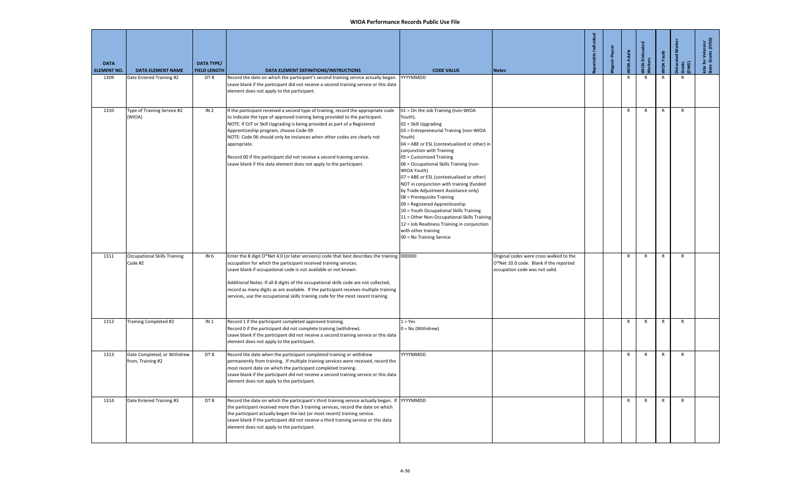| <b>DATA</b><br><b>ELEMENT NO.</b> | <b>DATA ELEMENT NAME</b>                         | <b>DATA TYPE/</b><br><b>FIELD LENGTH</b> | DATA ELEMENT DEFINITIONS/INSTRUCTIONS                                                                                                                                                                                                                                                                                                                                                                                                                                                                                                   | <b>CODE VALUE</b>                                                                                                                                                                                                                                                                                                                                                                                                                                                                                                                                                                                                                                                                         | <b>Notes</b>                                                                                                        | able Indi | gner-Peyse | <b>JIDA Adults</b> | NIOA Disloca<br>Norkers | <b>IIOA</b> Youth | islocated Wo<br>Grants<br>DWG) | for Veterans'<br>e Grants (JVSG)<br>as<br>tate |
|-----------------------------------|--------------------------------------------------|------------------------------------------|-----------------------------------------------------------------------------------------------------------------------------------------------------------------------------------------------------------------------------------------------------------------------------------------------------------------------------------------------------------------------------------------------------------------------------------------------------------------------------------------------------------------------------------------|-------------------------------------------------------------------------------------------------------------------------------------------------------------------------------------------------------------------------------------------------------------------------------------------------------------------------------------------------------------------------------------------------------------------------------------------------------------------------------------------------------------------------------------------------------------------------------------------------------------------------------------------------------------------------------------------|---------------------------------------------------------------------------------------------------------------------|-----------|------------|--------------------|-------------------------|-------------------|--------------------------------|------------------------------------------------|
| 1309                              | Date Entered Training #2                         | DT8                                      | Record the date on which the participant's second training service actually began.<br>Leave blank if the participant did not receive a second training service or this data<br>element does not apply to the participant.                                                                                                                                                                                                                                                                                                               | YYYYMMDD                                                                                                                                                                                                                                                                                                                                                                                                                                                                                                                                                                                                                                                                                  |                                                                                                                     |           |            | R                  | R                       | R                 | R                              |                                                |
| 1310                              | Type of Training Service #2<br>(WIOA)            | IN <sub>2</sub>                          | If the participant received a second type of training, record the appropriate code<br>to indicate the type of approved training being provided to the participant.<br>NOTE: If OJT or Skill Upgrading is being provided as part of a Registered<br>Apprenticeship program, choose Code 09.<br>NOTE: Code 06 should only be instances when other codes are clearly not<br>appropriate.<br>Record 00 if the participant did not receive a second training service.<br>Leave blank if this data element does not apply to the participant. | 01 = On the Job Training (non-WIOA<br>Youth).<br>02 = Skill Upgrading<br>03 = Entrepreneurial Training (non-WIOA<br>Youth)<br>04 = ABE or ESL (contextualized or other) in<br>conjunction with Training<br>05 = Customized Training<br>06 = Occupational Skills Training (non-<br>WIOA Youth)<br>07 = ABE or ESL (contextualized or other)<br>NOT in conjunction with training (funded<br>by Trade Adjustment Assistance only)<br>08 = Prerequisite Training<br>09 = Registered Apprenticeship<br>10 = Youth Occupational Skills Training<br>11 = Other Non-Occupational-Skills Training<br>12 = Job Readiness Training in conjunction<br>with other training<br>00 = No Training Service |                                                                                                                     |           |            | $\mathsf{R}$       | $\mathsf{R}$            | $\mathsf{R}$      | $\mathsf{R}$                   |                                                |
| 1311                              | <b>Occupational Skills Training</b><br>Code #2   | IN 6                                     | Enter the 8 digit O*Net 4.0 (or later versions) code that best describes the training 000000<br>occupation for which the participant received training services.<br>Leave blank if occupational code is not available or not known.<br>Additional Notes: If all 8 digits of the occupational skills code are not collected,<br>record as many digits as are available. If the participant receives multiple training<br>services, use the occupational skills training code for the most recent training.                               |                                                                                                                                                                                                                                                                                                                                                                                                                                                                                                                                                                                                                                                                                           | Original codes were cross walked to the<br>O*Net 10.0 code. Blank if the reported<br>occupation code was not valid. |           |            | $\mathsf{R}$       | $\mathsf{R}$            | R                 | $\mathsf{R}$                   |                                                |
| 1312                              | Training Completed #2                            | IN <sub>1</sub>                          | Record 1 if the participant completed approved training.<br>Record 0 if the participant did not complete training (withdrew).<br>Leave blank if the participant did not receive a second training service or this data<br>element does not apply to the participant.                                                                                                                                                                                                                                                                    | $1 = Yes$<br>0 = No (Withdrew)                                                                                                                                                                                                                                                                                                                                                                                                                                                                                                                                                                                                                                                            |                                                                                                                     |           |            | $\mathsf{R}$       | $\mathsf{R}$            | $\mathsf{R}$      | $\mathsf{R}$                   |                                                |
| 1313                              | Date Completed, or Withdrew<br>from, Training #2 | DT8                                      | Record the date when the participant completed training or withdrew<br>permanently from training. If multiple training services were received, record the<br>most recent date on which the participant completed training.<br>Leave blank if the participant did not receive a second training service or this data<br>element does not apply to the participant.                                                                                                                                                                       | YYYYMMDD                                                                                                                                                                                                                                                                                                                                                                                                                                                                                                                                                                                                                                                                                  |                                                                                                                     |           |            | $\mathsf{R}$       | $\mathsf{R}$            | R                 | $\mathsf{R}$                   |                                                |
| 1314                              | Date Entered Training #3                         | DT8                                      | Record the date on which the participant's third training service actually began. If<br>the participant received more than 3 training services, record the date on which<br>the participant actually began the last (or most recent) training service.<br>Leave blank if the participant did not receive a third training service or this data<br>element does not apply to the participant.                                                                                                                                            | YYYYMMDD                                                                                                                                                                                                                                                                                                                                                                                                                                                                                                                                                                                                                                                                                  |                                                                                                                     |           |            | R                  | R                       | $\mathsf{R}$      | $\mathsf{R}$                   |                                                |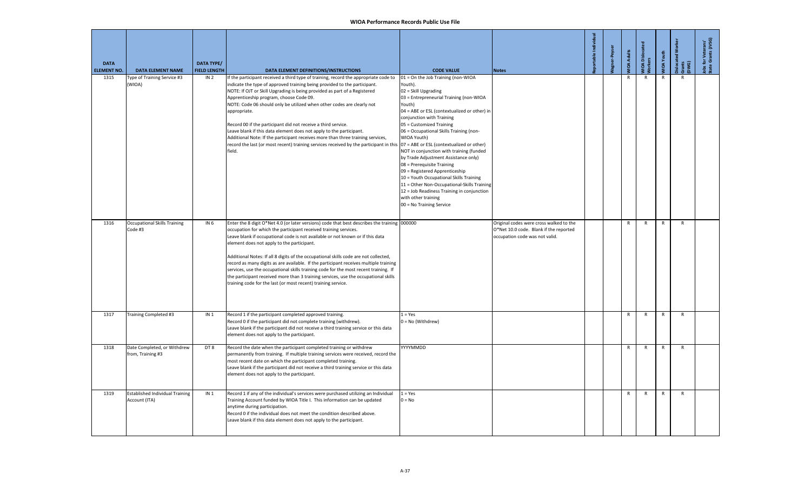| <b>DATA</b><br><b>ELEMENT NO.</b> | <b>DATA ELEMENT NAME</b>                                | <b>DATA TYPE/</b><br><b>FIELD LENGTH</b> | DATA ELEMENT DEFINITIONS/INSTRUCTIONS                                                                                                                                                                                                                                                                                                                                                                                                                                                                                                                                                                                                                                                                                                                        | <b>CODE VALUE</b>                                                                                                                                                                                                                                                                                                                                                                                                                                                                                                                                                                                                                            | <b>Notes</b>                                                                                                        | table Ind | <b>MOA Adults</b> | NIOA Dislocat<br>Vorkers | <b>IIOA</b> Youth | islocated<br>irants<br>DWG) | Jobs for Veterans'<br>State Grants (JVSG) |
|-----------------------------------|---------------------------------------------------------|------------------------------------------|--------------------------------------------------------------------------------------------------------------------------------------------------------------------------------------------------------------------------------------------------------------------------------------------------------------------------------------------------------------------------------------------------------------------------------------------------------------------------------------------------------------------------------------------------------------------------------------------------------------------------------------------------------------------------------------------------------------------------------------------------------------|----------------------------------------------------------------------------------------------------------------------------------------------------------------------------------------------------------------------------------------------------------------------------------------------------------------------------------------------------------------------------------------------------------------------------------------------------------------------------------------------------------------------------------------------------------------------------------------------------------------------------------------------|---------------------------------------------------------------------------------------------------------------------|-----------|-------------------|--------------------------|-------------------|-----------------------------|-------------------------------------------|
| 1315                              | ype of Training Service #3<br>(WIOA)                    | IN <sub>2</sub>                          | If the participant received a third type of training, record the appropriate code to<br>indicate the type of approved training being provided to the participant.<br>NOTE: If OJT or Skill Upgrading is being provided as part of a Registered<br>Apprenticeship program, choose Code 09.<br>NOTE: Code 06 should only be utilized when other codes are clearly not<br>appropriate.<br>Record 00 if the participant did not receive a third service.<br>Leave blank if this data element does not apply to the participant.<br>Additional Note: If the participant receives more than three training services,<br>record the last (or most recent) training services received by the participant in this 07 = ABE or ESL (contextualized or other)<br>field. | 01 = On the Job Training (non-WIOA<br>Youth).<br>02 = Skill Upgrading<br>03 = Entrepreneurial Training (non-WIOA<br>Youth)<br>04 = ABE or ESL (contextualized or other) in<br>conjunction with Training<br>05 = Customized Training<br>06 = Occupational Skills Training (non-<br>WIOA Youth)<br>NOT in conjunction with training (funded<br>by Trade Adjustment Assistance only)<br>08 = Prerequisite Training<br>09 = Registered Apprenticeship<br>10 = Youth Occupational Skills Training<br>11 = Other Non-Occupational-Skills Training<br>12 = Job Readiness Training in conjunction<br>with other training<br>00 = No Training Service |                                                                                                                     |           | R                 | R                        |                   | R                           |                                           |
| 1316                              | <b>Occupational Skills Training</b><br>Code #3          | IN 6                                     | Enter the 8 digit O*Net 4.0 (or later versions) code that best describes the training 000000<br>occupation for which the participant received training services.<br>Leave blank if occupational code is not available or not known or if this data<br>element does not apply to the participant.<br>Additional Notes: If all 8 digits of the occupational skills code are not collected,<br>record as many digits as are available. If the participant receives multiple training<br>services, use the occupational skills training code for the most recent training. If<br>the participant received more than 3 training services, use the occupational skills<br>training code for the last (or most recent) training service.                            |                                                                                                                                                                                                                                                                                                                                                                                                                                                                                                                                                                                                                                              | Original codes were cross walked to the<br>O*Net 10.0 code. Blank if the reported<br>occupation code was not valid. |           | R                 | $\mathsf{R}$             | $\mathsf{R}$      | $\mathsf{R}$                |                                           |
| 1317                              | Training Completed #3                                   | IN <sub>1</sub>                          | Record 1 if the participant completed approved training.<br>Record 0 if the participant did not complete training (withdrew).<br>Leave blank if the participant did not receive a third training service or this data<br>element does not apply to the participant.                                                                                                                                                                                                                                                                                                                                                                                                                                                                                          | $1 = Yes$<br>0 = No (Withdrew)                                                                                                                                                                                                                                                                                                                                                                                                                                                                                                                                                                                                               |                                                                                                                     |           | R                 | R                        | R                 | R                           |                                           |
| 1318                              | Date Completed, or Withdrew<br>from, Training #3        | DT8                                      | Record the date when the participant completed training or withdrew<br>permanently from training. If multiple training services were received, record the<br>most recent date on which the participant completed training.<br>Leave blank if the participant did not receive a third training service or this data<br>element does not apply to the participant.                                                                                                                                                                                                                                                                                                                                                                                             | YYYYMMDD                                                                                                                                                                                                                                                                                                                                                                                                                                                                                                                                                                                                                                     |                                                                                                                     |           | $\mathsf{R}$      | $\mathsf{R}$             | $\mathsf{R}$      | $\mathsf{R}$                |                                           |
| 1319                              | <b>Established Individual Training</b><br>Account (ITA) | IN <sub>1</sub>                          | Record 1 if any of the individual's services were purchased utilizing an Individual<br>Training Account funded by WIOA Title I. This information can be updated<br>anytime during participation.<br>Record 0 if the individual does not meet the condition described above.<br>Leave blank if this data element does not apply to the participant.                                                                                                                                                                                                                                                                                                                                                                                                           | $1 = Yes$<br>$0 = No$                                                                                                                                                                                                                                                                                                                                                                                                                                                                                                                                                                                                                        |                                                                                                                     |           | $\mathsf{R}$      | $\mathsf{R}$             | $\mathsf{R}$      | $\mathsf{R}$                |                                           |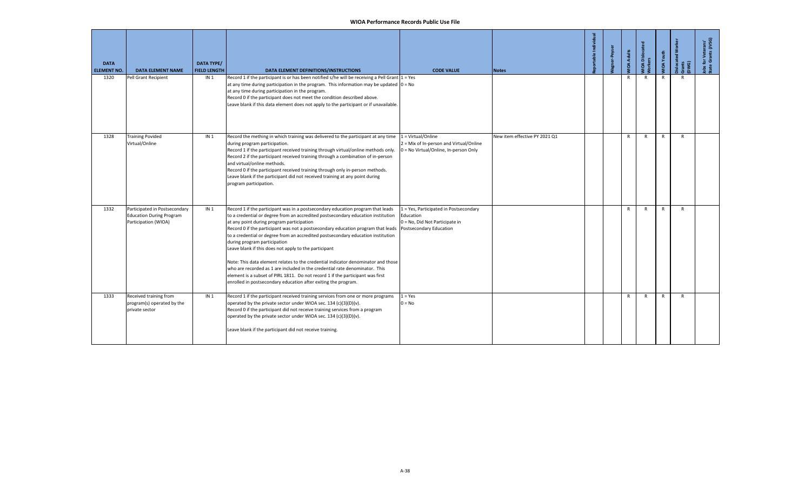| <b>DATA</b><br><b>ELEMENT NO.</b> | <b>DATA ELEMENT NAME</b>                                                                 | <b>DATA TYPE/</b><br><b>FIELD LENGTH</b> | DATA ELEMENT DEFINITIONS/INSTRUCTIONS                                                                                                                                                                                                                                                                                                                                                                                                                                                                                                                                                                                                                                                                                                                                                                     | <b>CODE VALUE</b>                                                                                                | <b>Notes</b>                  | portable Individual | er-Peyser | <b>JOA Adults</b> | VIOA Disloca<br>Vorkers | <b>MIOA Youth</b> | slocated<br>Gwants<br>DWG) | Jobs for Veterans'<br>State Grants (JVSG) |
|-----------------------------------|------------------------------------------------------------------------------------------|------------------------------------------|-----------------------------------------------------------------------------------------------------------------------------------------------------------------------------------------------------------------------------------------------------------------------------------------------------------------------------------------------------------------------------------------------------------------------------------------------------------------------------------------------------------------------------------------------------------------------------------------------------------------------------------------------------------------------------------------------------------------------------------------------------------------------------------------------------------|------------------------------------------------------------------------------------------------------------------|-------------------------------|---------------------|-----------|-------------------|-------------------------|-------------------|----------------------------|-------------------------------------------|
| 1320                              | Pell Grant Recipient                                                                     | IN <sub>1</sub>                          | Record 1 if the participant is or has been notified s/he will be receiving a Pell Grant 1 = Yes<br>at any time during participation in the program. This information may be updated $ 0 = No$<br>at any time during participation in the program.<br>Record 0 if the participant does not meet the condition described above.<br>Leave blank if this data element does not apply to the participant or if unavailable.                                                                                                                                                                                                                                                                                                                                                                                    |                                                                                                                  |                               |                     |           | $\mathsf{R}$      | $\mathsf{R}$            | $\mathsf{R}$      | $\mathsf{R}$               |                                           |
| 1328                              | <b>Training Povided</b><br>Virtual/Online                                                | IN <sub>1</sub>                          | Record the mething in which training was delivered to the participant at any time<br>during program participation.<br>Record 1 if the participant received training through virtual/online methods only.<br>Record 2 if the participant received training through a combination of in-person<br>and virtual/online methods.<br>Record 0 if the participant received training through only in-person methods.<br>Leave blank if the participant did not received training at any point during<br>program participation.                                                                                                                                                                                                                                                                                    | 1 = Virtual/Online<br>2 = Mix of In-person and Virtual/Online<br>0 = No Virtual/Online, In-person Only           | New item effective PY 2021 Q1 |                     |           | R                 | R                       | $\mathsf{R}$      | $\mathsf{R}$               |                                           |
| 1332                              | Participated in Postsecondary<br><b>Education During Program</b><br>Participation (WIOA) | IN <sub>1</sub>                          | Record 1 if the participant was in a postsecondary education program that leads<br>to a credential or degree from an accredited postsecondary education institution<br>at any point during program participation<br>Record 0 if the participant was not a postsecondary education program that leads<br>to a credential or degree from an accredited postsecondary education institution<br>during program participation<br>Leave blank if this does not apply to the participant<br>Note: This data element relates to the credential indicator denominator and those<br>who are recorded as 1 are included in the credential rate denominator. This<br>element is a subset of PIRL 1811. Do not record 1 if the participant was first<br>enrolled in postsecondary education after exiting the program. | 1 = Yes, Participated in Postsecondary<br>Education<br>0 = No, Did Not Participate in<br>Postsecondary Education |                               |                     |           | $\mathsf{R}$      | $\mathsf{R}$            | $\mathsf{R}$      | $\mathsf{R}$               |                                           |
| 1333                              | Received training from<br>program(s) operated by the<br>private sector                   | IN <sub>1</sub>                          | Record 1 if the participant received training services from one or more programs<br>operated by the private sector under WIOA sec. 134 (c)(3)(D)(v).<br>Record 0 if the participant did not receive training services from a program<br>operated by the private sector under WIOA sec. 134 (c)(3)(D)(v).<br>Leave blank if the participant did not receive training.                                                                                                                                                                                                                                                                                                                                                                                                                                      | $1 = Yes$<br>$0 = No$                                                                                            |                               |                     |           | $\mathsf{R}$      | $\mathsf{R}$            | $\mathsf{R}$      | $\mathsf{R}$               |                                           |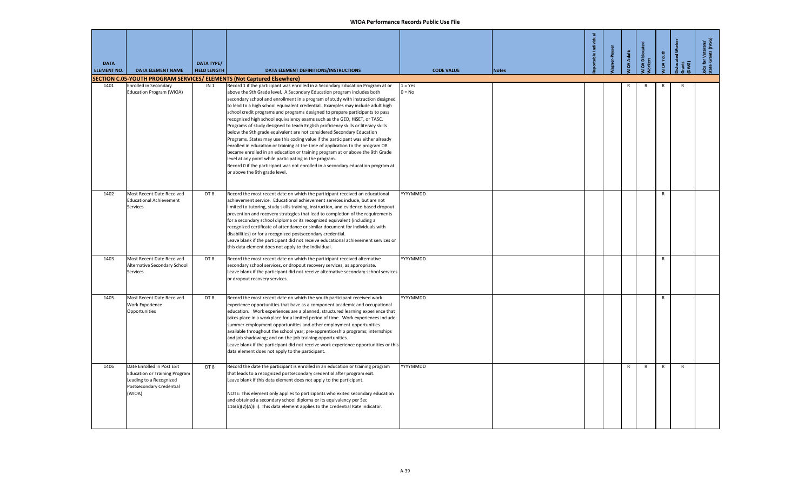| <b>DATA</b><br><b>ELEMENT NO.</b> | <b>DATA ELEMENT NAME</b>                                                                                                            | DATA TYPE/<br><b>FIELD LENGTH</b> | DATA ELEMENT DEFINITIONS/INSTRUCTIONS                                                                                                                                                                                                                                                                                                                                                                                                                                                                                                                                                                                                                                                                                                                                                                                                                                                                                                                                                                                                                                                            | <b>CODE VALUE</b>     | <b>Notes</b> | table Indiv | <b>her-Peyser</b> | <b>IIOA Adults</b> | <b>IOA</b> Dislocat<br>ឌ | <b>IOA</b> Youth | <b>ilocated Wo</b><br>ints<br>NG) | obs for Veterans'<br>tate Grants (JVSG) |
|-----------------------------------|-------------------------------------------------------------------------------------------------------------------------------------|-----------------------------------|--------------------------------------------------------------------------------------------------------------------------------------------------------------------------------------------------------------------------------------------------------------------------------------------------------------------------------------------------------------------------------------------------------------------------------------------------------------------------------------------------------------------------------------------------------------------------------------------------------------------------------------------------------------------------------------------------------------------------------------------------------------------------------------------------------------------------------------------------------------------------------------------------------------------------------------------------------------------------------------------------------------------------------------------------------------------------------------------------|-----------------------|--------------|-------------|-------------------|--------------------|--------------------------|------------------|-----------------------------------|-----------------------------------------|
|                                   |                                                                                                                                     |                                   | SECTION C.05-YOUTH PROGRAM SERVICES/ ELEMENTS (Not Captured Elsewhere)                                                                                                                                                                                                                                                                                                                                                                                                                                                                                                                                                                                                                                                                                                                                                                                                                                                                                                                                                                                                                           |                       |              |             |                   |                    |                          |                  | $\mathsf{R}$                      |                                         |
| 1401                              | <b>Enrolled in Secondary</b><br>Education Program (WIOA)                                                                            | IN <sub>1</sub>                   | Record 1 if the participant was enrolled in a Secondary Education Program at or<br>above the 9th Grade level. A Secondary Education program includes both<br>secondary school and enrollment in a program of study with instruction designed<br>to lead to a high school equivalent credential. Examples may include adult high<br>school credit programs and programs designed to prepare participants to pass<br>recognized high school equivalency exams such as the GED, HiSET, or TASC.<br>Programs of study designed to teach English proficiency skills or literacy skills<br>below the 9th grade equivalent are not considered Secondary Education<br>Programs. States may use this coding value if the participant was either already<br>enrolled in education or training at the time of application to the program OR<br>became enrolled in an education or training program at or above the 9th Grade<br>level at any point while participating in the program.<br>Record 0 if the participant was not enrolled in a secondary education program at<br>or above the 9th grade level. | $1 = Yes$<br>$0 = No$ |              |             |                   | R                  | $\mathsf{R}$             | R                |                                   |                                         |
| 1402                              | Most Recent Date Received<br><b>Educational Achievement</b><br><b>Services</b>                                                      | DT8                               | Record the most recent date on which the participant received an educational<br>achievement service. Educational achievement services include, but are not<br>limited to tutoring, study skills training, instruction, and evidence-based dropout<br>prevention and recovery strategies that lead to completion of the requirements<br>for a secondary school diploma or its recognized equivalent (including a<br>recognized certificate of attendance or similar document for individuals with<br>disabilities) or for a recognized postsecondary credential.<br>Leave blank if the participant did not receive educational achievement services or<br>this data element does not apply to the individual.                                                                                                                                                                                                                                                                                                                                                                                     | YYYYMMDD              |              |             |                   |                    |                          | $\mathsf{R}$     |                                   |                                         |
| 1403                              | Most Recent Date Received<br>Alternative Secondary School<br>Services                                                               | DT8                               | Record the most recent date on which the participant received alternative<br>secondary school services, or dropout recovery services, as appropriate.<br>Leave blank if the participant did not receive alternative secondary school services<br>or dropout recovery services.                                                                                                                                                                                                                                                                                                                                                                                                                                                                                                                                                                                                                                                                                                                                                                                                                   | YYYYMMDD              |              |             |                   |                    |                          | $\mathsf{R}$     |                                   |                                         |
| 1405                              | Most Recent Date Received<br>Work Experience<br>Opportunities                                                                       | DT8                               | Record the most recent date on which the youth participant received work<br>experience opportunities that have as a component academic and occupational<br>education. Work experiences are a planned, structured learning experience that<br>takes place in a workplace for a limited period of time. Work experiences include:<br>summer employment opportunities and other employment opportunities<br>available throughout the school year; pre-apprenticeship programs; internships<br>and job shadowing; and on-the-job training opportunities.<br>Leave blank if the participant did not receive work experience opportunities or this<br>data element does not apply to the participant.                                                                                                                                                                                                                                                                                                                                                                                                  | YYYYMMDD              |              |             |                   |                    |                          | $\mathsf{R}$     |                                   |                                         |
| 1406                              | Date Enrolled in Post Exit<br><b>Education or Training Program</b><br>Leading to a Recognized<br>Postsecondary Credential<br>(WIOA) | DT8                               | Record the date the participant is enrolled in an education or training program<br>that leads to a recognized postsecondary credential after program exit.<br>Leave blank if this data element does not apply to the participant.<br>NOTE: This element only applies to participants who exited secondary education<br>and obtained a secondary school diploma or its equivalency per Sec<br>116(b)(2)(A)(iii). This data element applies to the Credential Rate indicator.                                                                                                                                                                                                                                                                                                                                                                                                                                                                                                                                                                                                                      | YYYYMMDD              |              |             |                   | $\mathsf{R}$       | $\mathsf{R}$             | $\mathsf{R}$     | $\mathsf{R}$                      |                                         |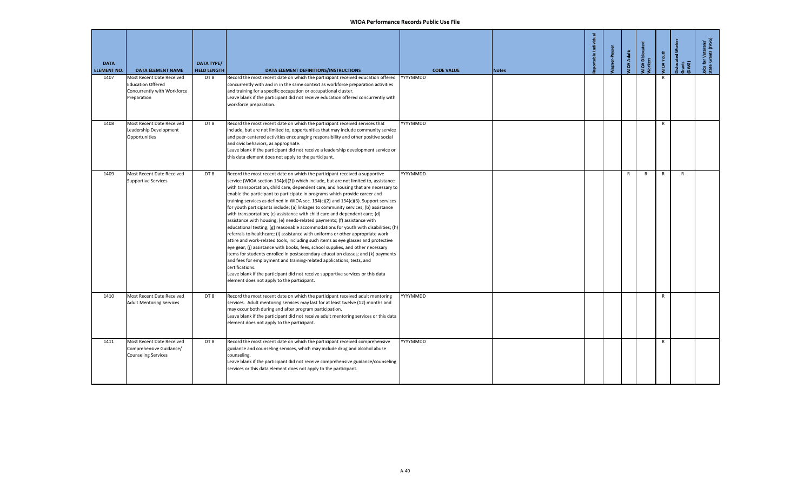| <b>DATA</b><br><b>ELEMENT NO.</b> | <b>DATA ELEMENT NAME</b>                                                                            | <b>DATA TYPE/</b><br><b>FIELD LENGTH</b> | DATA ELEMENT DEFINITIONS/INSTRUCTIONS                                                                                                                                                                                                                                                                                                                                                                                                                                                                                                                                                                                                                                                                                                                                                                                                                                                                                                                                                                                                                                                                                                                                                                                                                                                                                                           | <b>CODE VALUE</b> | <b>Notes</b> | table Individual | gner-Peyse | <b>JIDA Adults</b> | <b>VIOA Dislocated</b><br><b>Jorkers</b> | VIOA Youth   | slocated<br>irants<br>DWG) | Jobs for Veterans'<br>State Grants (JVSG) |
|-----------------------------------|-----------------------------------------------------------------------------------------------------|------------------------------------------|-------------------------------------------------------------------------------------------------------------------------------------------------------------------------------------------------------------------------------------------------------------------------------------------------------------------------------------------------------------------------------------------------------------------------------------------------------------------------------------------------------------------------------------------------------------------------------------------------------------------------------------------------------------------------------------------------------------------------------------------------------------------------------------------------------------------------------------------------------------------------------------------------------------------------------------------------------------------------------------------------------------------------------------------------------------------------------------------------------------------------------------------------------------------------------------------------------------------------------------------------------------------------------------------------------------------------------------------------|-------------------|--------------|------------------|------------|--------------------|------------------------------------------|--------------|----------------------------|-------------------------------------------|
| 1407                              | Most Recent Date Received<br><b>Education Offered</b><br>Concurrently with Workforce<br>Preparation | DT8                                      | Record the most recent date on which the participant received education offered<br>concurrently with and in in the same context as workforce preparation activities<br>and training for a specific occupation or occupational cluster.<br>Leave blank if the participant did not receive education offered concurrently with<br>workforce preparation.                                                                                                                                                                                                                                                                                                                                                                                                                                                                                                                                                                                                                                                                                                                                                                                                                                                                                                                                                                                          | YYYYMMDD          |              |                  |            |                    |                                          | R            |                            |                                           |
| 1408                              | Most Recent Date Received<br>Leadership Development<br>Opportunities                                | DT8                                      | Record the most recent date on which the participant received services that<br>include, but are not limited to, opportunities that may include community service<br>and peer-centered activities encouraging responsibility and other positive social<br>and civic behaviors, as appropriate.<br>Leave blank if the participant did not receive a leadership development service or<br>this data element does not apply to the participant.                                                                                                                                                                                                                                                                                                                                                                                                                                                                                                                                                                                                                                                                                                                                                                                                                                                                                                     | YYYYMMDD          |              |                  |            |                    |                                          | $\mathsf{R}$ |                            |                                           |
| 1409                              | Most Recent Date Received<br><b>Supportive Services</b>                                             | DT <sub>8</sub>                          | Record the most recent date on which the participant received a supportive<br>service (WIOA section 134(d)(2)) which include, but are not limited to, assistance<br>with transportation, child care, dependent care, and housing that are necessary to<br>enable the participant to participate in programs which provide career and<br>training services as defined in WIOA sec. 134(c)(2) and 134(c)(3). Support services<br>for youth participants include; (a) linkages to community services; (b) assistance<br>with transportation; (c) assistance with child care and dependent care; (d)<br>assistance with housing; (e) needs-related payments; (f) assistance with<br>educational testing; (g) reasonable accommodations for youth with disabilities; (h)<br>referrals to healthcare; (i) assistance with uniforms or other appropriate work<br>attire and work-related tools, including such items as eye glasses and protective<br>eye gear; (j) assistance with books, fees, school supplies, and other necessary<br>items for students enrolled in postsecondary education classes; and (k) payments<br>and fees for employment and training-related applications, tests, and<br>certifications.<br>Leave blank if the participant did not receive supportive services or this data<br>element does not apply to the participant. | YYYYMMDD          |              |                  |            | $\mathsf{R}$       | $\mathsf{R}$                             | $\mathsf{R}$ | $\mathsf{R}$               |                                           |
| 1410                              | Most Recent Date Received<br><b>Adult Mentoring Services</b>                                        | DT8                                      | Record the most recent date on which the participant received adult mentoring<br>services. Adult mentoring services may last for at least twelve (12) months and<br>may occur both during and after program participation.<br>Leave blank if the participant did not receive adult mentoring services or this data<br>element does not apply to the participant.                                                                                                                                                                                                                                                                                                                                                                                                                                                                                                                                                                                                                                                                                                                                                                                                                                                                                                                                                                                | YYYYMMDD          |              |                  |            |                    |                                          | $\mathsf{R}$ |                            |                                           |
| 1411                              | Most Recent Date Received<br>Comprehensive Guidance/<br><b>Counseling Services</b>                  | DT8                                      | Record the most recent date on which the participant received comprehensive<br>guidance and counseling services, which may include drug and alcohol abuse<br>counseling.<br>Leave blank if the participant did not receive comprehensive guidance/counseling<br>services or this data element does not apply to the participant.                                                                                                                                                                                                                                                                                                                                                                                                                                                                                                                                                                                                                                                                                                                                                                                                                                                                                                                                                                                                                | YYYYMMDD          |              |                  |            |                    |                                          | $\mathsf{R}$ |                            |                                           |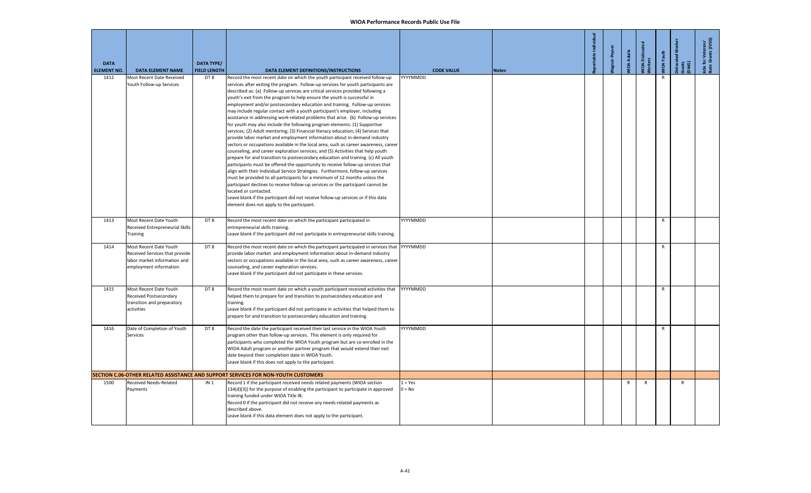| <b>DATA</b><br><b>ELEMENT NO.</b> | <b>DATA ELEMENT NAME</b>                                                                                           | <b>DATA TYPE/</b><br><b>FIELD LENGTH</b> | DATA ELEMENT DEFINITIONS/INSTRUCTIONS                                                                                                                                                                                                                                                                                                                                                                                                                                                                                                                                                                                                                                                                                                                                                                                                                                                                                                                                                                                                                                                                                                                                                                                                                                                                                                                                                                                                                                                                                                                                                               | <b>CODE VALUE</b>     | <b>Notes</b> | portable Individual | er-Peyser | <b>MOA Adults</b> | VIOA Dislocat<br>Vorkers | <b>MIDA Youth</b> | islocated Wo<br>irants<br>DWG) | lobs for Veterans'<br>State Grants (JVSG) |
|-----------------------------------|--------------------------------------------------------------------------------------------------------------------|------------------------------------------|-----------------------------------------------------------------------------------------------------------------------------------------------------------------------------------------------------------------------------------------------------------------------------------------------------------------------------------------------------------------------------------------------------------------------------------------------------------------------------------------------------------------------------------------------------------------------------------------------------------------------------------------------------------------------------------------------------------------------------------------------------------------------------------------------------------------------------------------------------------------------------------------------------------------------------------------------------------------------------------------------------------------------------------------------------------------------------------------------------------------------------------------------------------------------------------------------------------------------------------------------------------------------------------------------------------------------------------------------------------------------------------------------------------------------------------------------------------------------------------------------------------------------------------------------------------------------------------------------------|-----------------------|--------------|---------------------|-----------|-------------------|--------------------------|-------------------|--------------------------------|-------------------------------------------|
| 1412                              | Most Recent Date Received<br>Youth Follow-up Services                                                              | DT8                                      | Record the most recent date on which the youth participant received follow-up<br>services after exiting the program. Follow-up services for youth participants are<br>described as: (a) Follow-up services are critical services provided following a<br>youth's exit from the program to help ensure the youth is successful in<br>employment and/or postsecondary education and training. Follow-up services<br>may include regular contact with a youth participant's employer, including<br>assistance in addressing work-related problems that arise. (b) Follow-up services<br>for youth may also include the following program elements: (1) Supportive<br>services; (2) Adult mentoring; (3) Financial literacy education; (4) Services that<br>provide labor market and employment information about in-demand industry<br>sectors or occupations available in the local area, such as career awareness, career<br>counseling, and career exploration services; and (5) Activities that help youth<br>prepare for and transition to postsecondary education and training. (c) All youth<br>participants must be offered the opportunity to receive follow-up services that<br>align with their Individual Service Strategies. Furthermore, follow-up services<br>must be provided to all participants for a minimum of 12 months unless the<br>participant declines to receive follow-up services or the participant cannot be<br>located or contacted.<br>Leave blank if the participant did not receive follow-up services or if this data<br>element does not apply to the participant. | YYYYMMDD              |              |                     |           |                   |                          | $\mathsf{R}$      |                                |                                           |
| 1413                              | Most Recent Date Youth<br>Received Entrepreneurial Skills<br>Training                                              | DT8                                      | Record the most recent date on which the participant participated in<br>entrepreneurial skills training.<br>Leave blank if the participant did not participate in entrepreneurial skills training.                                                                                                                                                                                                                                                                                                                                                                                                                                                                                                                                                                                                                                                                                                                                                                                                                                                                                                                                                                                                                                                                                                                                                                                                                                                                                                                                                                                                  | YYYYMMDD              |              |                     |           |                   |                          | $\mathsf{R}$      |                                |                                           |
| 1414                              | Most Recent Date Youth<br>Received Services that provide<br>labor market information and<br>employment information | DT8                                      | Record the most recent date on which the participant participated in services that<br>provide labor market and employment information about in-demand industry<br>sectors or occupations available in the local area, such as career awareness, career<br>counseling, and career exploration services.<br>Leave blank if the participant did not participate in these services.                                                                                                                                                                                                                                                                                                                                                                                                                                                                                                                                                                                                                                                                                                                                                                                                                                                                                                                                                                                                                                                                                                                                                                                                                     | YYYYMMDD              |              |                     |           |                   |                          | $\mathsf{R}$      |                                |                                           |
| 1415                              | Most Recent Date Youth<br>Received Postsecondary<br>transition and preparatory<br>activities                       | DT8                                      | Record the most recent date on which a youth participant received activities that<br>helped them to prepare for and transition to postsecondary education and<br>training.<br>Leave blank if the participant did not participate in activities that helped them to<br>prepare for and transition to postsecondary education and training.                                                                                                                                                                                                                                                                                                                                                                                                                                                                                                                                                                                                                                                                                                                                                                                                                                                                                                                                                                                                                                                                                                                                                                                                                                                           | YYYYMMDD              |              |                     |           |                   |                          | $\mathsf{R}$      |                                |                                           |
| 1416                              | Date of Completion of Youth<br>Services                                                                            | DT8                                      | Record the date the participant received their last service in the WIOA Youth<br>program other than follow-up services. This element is only required for<br>participants who completed the WIOA Youth program but are co-enrolled in the<br>WIOA Adult program or another partner program that would extend their exit<br>date beyond their completion date in WIOA Youth.<br>Leave blank if this does not apply to the participant.                                                                                                                                                                                                                                                                                                                                                                                                                                                                                                                                                                                                                                                                                                                                                                                                                                                                                                                                                                                                                                                                                                                                                               | YYYYMMDD              |              |                     |           |                   |                          | $\mathsf{R}$      |                                |                                           |
|                                   |                                                                                                                    |                                          | SECTION C.06-OTHER RELATED ASSISTANCE AND SUPPORT SERVICES FOR NON-YOUTH CUSTOMERS                                                                                                                                                                                                                                                                                                                                                                                                                                                                                                                                                                                                                                                                                                                                                                                                                                                                                                                                                                                                                                                                                                                                                                                                                                                                                                                                                                                                                                                                                                                  |                       |              |                     |           |                   |                          |                   |                                |                                           |
| 1500                              | Received Needs-Related<br>Payments                                                                                 | IN <sub>1</sub>                          | Record 1 if the participant received needs related payments (WIOA section<br>134(d)(3)) for the purpose of enabling the participant to participate in approved<br>training funded under WIOA Title IB.<br>Record 0 if the participant did not receive any needs-related payments as<br>described above.<br>Leave blank if this data element does not apply to the participant.                                                                                                                                                                                                                                                                                                                                                                                                                                                                                                                                                                                                                                                                                                                                                                                                                                                                                                                                                                                                                                                                                                                                                                                                                      | $1 = Yes$<br>$0 = No$ |              |                     |           | R                 | R                        |                   | R                              |                                           |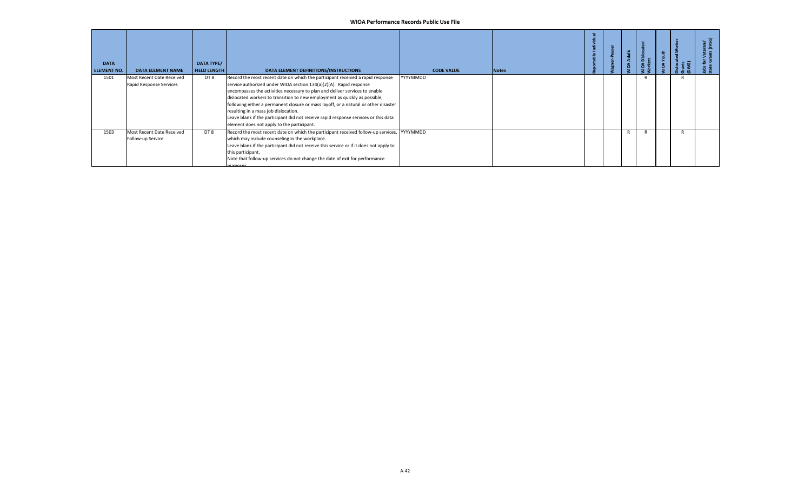| <b>DATA</b><br><b>ELEMENT NO.</b> | <b>DATA ELEMENT NAME</b>                             | <b>DATA TYPE/</b><br><b>FIELD LENGTH</b> | DATA ELEMENT DEFINITIONS/INSTRUCTIONS                                                                                                                                                                                                                                                                                                                                                                                                                                                                                                                                                 | <b>CODE VALUE</b> | <b>Notes</b> |  | 공 | ة |  |  |
|-----------------------------------|------------------------------------------------------|------------------------------------------|---------------------------------------------------------------------------------------------------------------------------------------------------------------------------------------------------------------------------------------------------------------------------------------------------------------------------------------------------------------------------------------------------------------------------------------------------------------------------------------------------------------------------------------------------------------------------------------|-------------------|--------------|--|---|---|--|--|
| 1501                              | Most Recent Date Received<br>Rapid Response Services | DT 8                                     | Record the most recent date on which the participant received a rapid response<br>service authorized under WIOA section 134(a)(2)(A). Rapid response<br>encompasses the activities necessary to plan and deliver services to enable<br>dislocated workers to transition to new employment as quickly as possible,<br>following either a permanent closure or mass layoff, or a natural or other disaster<br>resulting in a mass job dislocation.<br>Leave blank if the participant did not receive rapid response services or this data<br>element does not apply to the participant. | YYYYMMDD          |              |  |   |   |  |  |
| 1503                              | Most Recent Date Received<br>Follow-up Service       | DT8                                      | Record the most recent date on which the participant received follow-up services, YYYYMMDD<br>which may include counseling in the workplace.<br>Leave blank if the participant did not receive this service or if it does not apply to<br>this participant.<br>Note that follow-up services do not change the date of exit for performance<br><b>NUTDOCAC</b>                                                                                                                                                                                                                         |                   |              |  |   |   |  |  |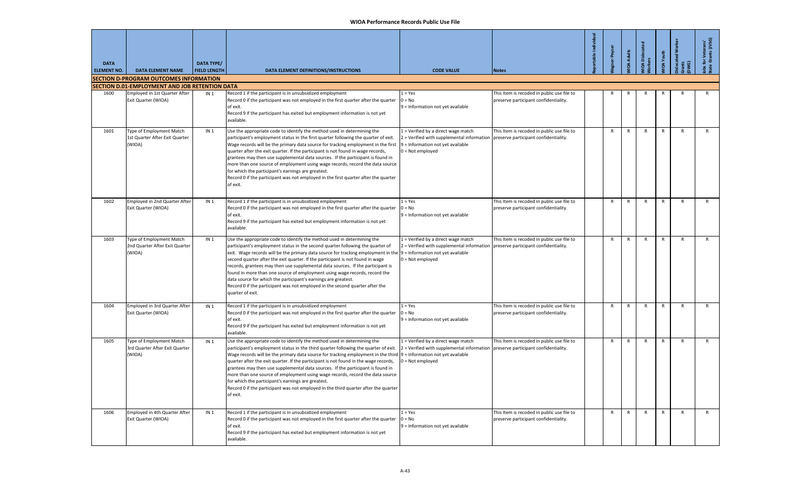| <b>DATA</b><br><b>ELEMENT NO.</b> | <b>DATA ELEMENT NAME</b>                                                        | <b>DATA TYPE/</b><br><b>FIELD LENGTH</b> | DATA ELEMENT DEFINITIONS/INSTRUCTIONS                                                                                                                                                                                                                                                                                                                                                                                                                                                                                                                                                                                                                                                                       | <b>CODE VALUE</b>                                                                                                                                                                    | <b>Notes</b>                                                                        | ortable Individual | r-Peyser     | <b>IOA Adults</b> | A Dislocat   | IOA Youth    | cated Wo     | i for Veterans'<br>e Grants (JVSG) |
|-----------------------------------|---------------------------------------------------------------------------------|------------------------------------------|-------------------------------------------------------------------------------------------------------------------------------------------------------------------------------------------------------------------------------------------------------------------------------------------------------------------------------------------------------------------------------------------------------------------------------------------------------------------------------------------------------------------------------------------------------------------------------------------------------------------------------------------------------------------------------------------------------------|--------------------------------------------------------------------------------------------------------------------------------------------------------------------------------------|-------------------------------------------------------------------------------------|--------------------|--------------|-------------------|--------------|--------------|--------------|------------------------------------|
|                                   | <b>SECTION D-PROGRAM OUTCOMES INFORMATION</b>                                   |                                          |                                                                                                                                                                                                                                                                                                                                                                                                                                                                                                                                                                                                                                                                                                             |                                                                                                                                                                                      |                                                                                     |                    |              |                   |              |              |              |                                    |
| 1600                              | SECTION D.01-EMPLOYMENT AND JOB RETENTION DATA<br>Employed in 1st Quarter After | IN <sub>1</sub>                          | Record 1 if the participant is in unsubsidized employment                                                                                                                                                                                                                                                                                                                                                                                                                                                                                                                                                                                                                                                   | $1 = Yes$                                                                                                                                                                            | This Item is recoded in public use file to                                          |                    |              |                   |              |              |              |                                    |
|                                   | Exit Quarter (WIOA)                                                             |                                          | Record 0 if the participant was not employed in the first quarter after the quarter<br>of exit.<br>Record 9 if the participant has exited but employment information is not yet<br>available.                                                                                                                                                                                                                                                                                                                                                                                                                                                                                                               | $0 = No$<br>9 = Information not yet available                                                                                                                                        | preserve participant confidentiality.                                               |                    |              |                   |              |              |              |                                    |
| 1601                              | Type of Employment Match<br>1st Quarter After Exit Quarter<br>(WIOA)            | IN <sub>1</sub>                          | Use the appropriate code to identify the method used in determining the<br>participant's employment status in the first quarter following the quarter of exit.<br>Wage records will be the primary data source for tracking employment in the first<br>quarter after the exit quarter. If the participant is not found in wage records,<br>grantees may then use supplemental data sources. If the participant is found in<br>more than one source of employment using wage records, record the data source<br>for which the participant's earnings are greatest.<br>Record 0 if the participant was not employed in the first quarter after the quarter<br>of exit.                                        | 1 = Verified by a direct wage match<br>$2$ = Verified with supplemental information preserve participant confidentiality.<br>9 = Information not yet available<br>$0 = Not$ employed | This Item is recoded in public use file to                                          |                    | $\mathsf{R}$ | R                 | $\mathsf{R}$ | $\mathsf{R}$ | $\mathsf{R}$ | $\mathsf{R}$                       |
| 1602                              | Employed in 2nd Quarter After<br>Exit Quarter (WIOA)                            | IN <sub>1</sub>                          | Record 1 if the participant is in unsubsidized employment<br>Record 0 if the participant was not employed in the first quarter after the quarter<br>of exit.<br>Record 9 if the participant has exited but employment information is not yet<br>available.                                                                                                                                                                                                                                                                                                                                                                                                                                                  | $1 = Yes$<br>$0 = No$<br>9 = Information not yet available                                                                                                                           | This Item is recoded in public use file to<br>preserve participant confidentiality. |                    | $\mathsf{R}$ | $\mathsf{R}$      | $\mathsf{R}$ | $\mathsf{R}$ | $\mathsf{R}$ | $\mathsf{R}$                       |
| 1603                              | Type of Employment Match<br>2nd Quarter After Exit Quarter<br>(WIOA)            | IN <sub>1</sub>                          | Use the appropriate code to identify the method used in determining the<br>participant's employment status in the second quarter following the quarter of<br>exit. Wage records will be the primary data source for tracking employment in the  9 = Information not yet available<br>second quarter after the exit quarter. If the participant is not found in wage<br>records, grantees may then use supplemental data sources. If the participant is<br>found in more than one source of employment using wage records, record the<br>data source for which the participant's earnings are greatest.<br>Record 0 if the participant was not employed in the second quarter after the<br>quarter of exit.  | 1 = Verified by a direct wage match<br>2 = Verified with supplemental information   preserve participant confidentiality.<br>$0 = Not employed$                                      | This Item is recoded in public use file to                                          |                    | $\mathsf{R}$ | $\mathsf{R}$      | $\mathsf{R}$ | $\mathsf{R}$ | $\mathsf{R}$ | $\mathsf{R}$                       |
| 1604                              | Employed in 3rd Quarter After<br>Exit Quarter (WIOA)                            | IN <sub>1</sub>                          | Record 1 if the participant is in unsubsidized employment<br>Record 0 if the participant was not employed in the first quarter after the quarter<br>of exit.<br>Record 9 if the participant has exited but employment information is not yet<br>available.                                                                                                                                                                                                                                                                                                                                                                                                                                                  | $1 = Yes$<br>$0 = No$<br>9 = Information not yet available                                                                                                                           | This Item is recoded in public use file to<br>preserve participant confidentiality. |                    | $\mathsf{R}$ | $\mathsf{R}$      | $\mathsf{R}$ | $\mathsf{R}$ | R            | $\mathsf{R}$                       |
| 1605                              | Type of Employment Match<br>3rd Quarter After Exit Quarter<br>(WIOA)            | IN <sub>1</sub>                          | Use the appropriate code to identify the method used in determining the<br>participant's employment status in the third quarter following the quarter of exit.<br>Wage records will be the primary data source for tracking employment in the third  9 = Information not yet available<br>quarter after the exit quarter. If the participant is not found in the wage records,<br>grantees may then use supplemental data sources. If the participant is found in<br>more than one source of employment using wage records, record the data source<br>for which the participant's earnings are greatest.<br>Record 0 if the participant was not employed in the third quarter after the quarter<br>of exit. | 1 = Verified by a direct wage match<br>2 = Verified with supplemental information<br>$0 = Not employed$                                                                              | This Item is recoded in public use file to<br>preserve participant confidentiality. |                    | $\mathsf{R}$ | $\mathsf{R}$      | $\mathsf{R}$ | $\mathsf{R}$ | $\mathsf{R}$ | $\mathsf{R}$                       |
| 1606                              | Employed in 4th Quarter After<br>Exit Quarter (WIOA)                            | IN <sub>1</sub>                          | Record 1 if the participant is in unsubsidized employment<br>Record 0 if the participant was not employed in the first quarter after the quarter<br>of exit.<br>Record 9 if the participant has exited but employment information is not yet<br>available.                                                                                                                                                                                                                                                                                                                                                                                                                                                  | $1 = Yes$<br>$0 = No$<br>9 = Information not yet available                                                                                                                           | This Item is recoded in public use file to<br>preserve participant confidentiality. |                    | $\mathsf{R}$ | $\mathsf{R}$      | $\mathsf{R}$ | $\mathsf{R}$ | $\mathsf{R}$ | $\mathsf{R}$                       |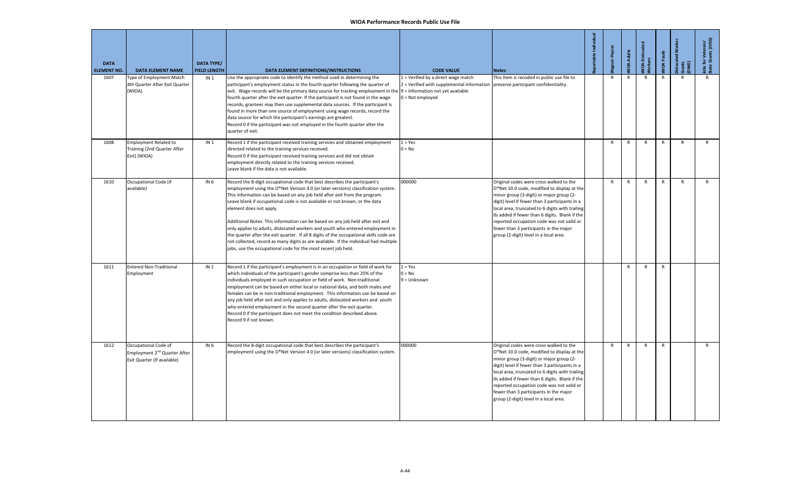| <b>DATA</b><br><b>ELEMENT NO.</b> | <b>DATA ELEMENT NAME</b>                                                                        | <b>DATA TYPE/</b><br><b>FIELD LENGTH</b> | DATA ELEMENT DEFINITIONS/INSTRUCTIONS                                                                                                                                                                                                                                                                                                                                                                                                                                                                                                                                                                                                                                                                                                                                            | <b>CODE VALUE</b>                                                                                       | <b>Notes</b>                                                                                                                                                                                                                                                                                                                                                                                                              | oortable Individual | gner-Peyser  | <b>IOA Adults</b> | <b>IOA</b> Dislocated<br>orkers | <b>JIOA</b> Youth | <b>islocated Wo</b><br>irants<br>DWG) | lobs for Veterans'<br>State Grants (JVSG) |
|-----------------------------------|-------------------------------------------------------------------------------------------------|------------------------------------------|----------------------------------------------------------------------------------------------------------------------------------------------------------------------------------------------------------------------------------------------------------------------------------------------------------------------------------------------------------------------------------------------------------------------------------------------------------------------------------------------------------------------------------------------------------------------------------------------------------------------------------------------------------------------------------------------------------------------------------------------------------------------------------|---------------------------------------------------------------------------------------------------------|---------------------------------------------------------------------------------------------------------------------------------------------------------------------------------------------------------------------------------------------------------------------------------------------------------------------------------------------------------------------------------------------------------------------------|---------------------|--------------|-------------------|---------------------------------|-------------------|---------------------------------------|-------------------------------------------|
| 1607                              | Type of Employment Match<br>4th Quarter After Exit Quarter<br>(WIOA)                            | IN <sub>1</sub>                          | Use the appropriate code to identify the method used in determining the<br>participant's employment status in the fourth quarter following the quarter of<br>exit. Wage records will be the primary data source for tracking employment in the 9 = Information not yet available<br>fourth quarter after the exit quarter. If the participant is not found in the wage<br>records, grantees may then use supplemental data sources. If the participant is<br>found in more than one source of employment using wage records, record the<br>data source for which the participant's earnings are greatest.<br>Record 0 if the participant was not employed in the fourth quarter after the<br>quarter of exit.                                                                    | 1 = Verified by a direct wage match<br>2 = Verified with supplemental information<br>$0 = Not$ employed | This Item is recoded in public use file to<br>preserve participant confidentiality.                                                                                                                                                                                                                                                                                                                                       |                     | $\mathsf{R}$ | $\mathsf{R}$      | $\mathsf{R}$                    | $\mathsf{R}$      | $\mathsf{R}$                          | $\mathsf{R}$                              |
| 1608                              | <b>Employment Related to</b><br>Training (2nd Quarter After<br>Exit) (WIOA)                     | IN <sub>1</sub>                          | Record 1 if the participant received training services and obtained employment<br>directed related to the training services received.<br>Record 0 if the participant received training services and did not obtain<br>employment directly related to the training services received.<br>Leave blank if the data is not available.                                                                                                                                                                                                                                                                                                                                                                                                                                                | $1 = Yes$<br>$0 = No$                                                                                   |                                                                                                                                                                                                                                                                                                                                                                                                                           |                     | R            | R                 | R                               | $\mathsf{R}$      | $\overline{R}$                        | $\mathsf{R}$                              |
| 1610                              | Occupational Code (if<br>available)                                                             | IN <sub>6</sub>                          | Record the 8-digit occupational code that best describes the participant's<br>employment using the O*Net Version 4.0 (or later versions) classification system.<br>This information can be based on any job held after exit from the program.<br>Leave blank if occupational code is not available or not known, or the data<br>element does not apply.<br>Additional Notes: This information can be based on any job held after exit and<br>only applies to adults, dislocated workers and youth who entered employment in<br>the quarter after the exit quarter. If all 8 digits of the occupational skills code are<br>not collected, record as many digits as are available. If the individual had multiple<br>jobs, use the occupational code for the most recent job held. | 000000                                                                                                  | Original codes were cross walked to the<br>O*Net 10.0 code, modified to display at the<br>minor group (3-digit) or major group (2-<br>digit) level if fewer than 3 participants in a<br>local area, truncated to 6 digits with trailing<br>Os added if fewer than 6 digits. Blank if the<br>reported occupation code was not valid or<br>fewer than 3 participants in the major<br>group (2-digit) level in a local area. |                     | R            | R                 | R                               | $\mathsf{R}$      | $\mathsf{R}$                          | $\mathsf{R}$                              |
| 1611                              | <b>Entered Non-Traditional</b><br>Employment                                                    | IN <sub>1</sub>                          | Record 1 if the participant's employment is in an occupation or field of work for<br>which individuals of the participant's gender comprise less than 25% of the<br>individuals employed in such occupation or field of work. Non-traditional<br>employment can be based on either local or national data, and both males and<br>females can be in non-traditional employment. This information can be based on<br>any job held after exit and only applies to adults, dislocated workers and youth<br>who entered employment in the second quarter after the exit quarter.<br>Record 0 if the participant does not meet the condition described above.<br>Record 9 if not known.                                                                                                | $1 = Yes$<br>$0 = No$<br>$9 =$ Unknown                                                                  |                                                                                                                                                                                                                                                                                                                                                                                                                           |                     |              | R                 | R                               | R                 |                                       |                                           |
| 1612                              | Occupational Code of<br>Employment 2 <sup>nd</sup> Quarter After<br>Exit Quarter (If available) | IN <sub>6</sub>                          | Record the 8-digit occupational code that best describes the participant's<br>employment using the O*Net Version 4 0 (or later versions) classification system.                                                                                                                                                                                                                                                                                                                                                                                                                                                                                                                                                                                                                  | 000000                                                                                                  | Original codes were cross walked to the<br>O*Net 10.0 code, modified to display at the<br>minor group (3-digit) or major group (2-<br>digit) level if fewer than 3 participants in a<br>local area, truncated to 6 digits with trailing<br>Os added if fewer than 6 digits. Blank if the<br>reported occupation code was not valid or<br>fewer than 3 participants in the major<br>group (2-digit) level in a local area. |                     | $\mathsf{R}$ | $\mathsf{R}$      | ${\sf R}$                       | $\mathsf{R}$      |                                       | $\mathsf{R}$                              |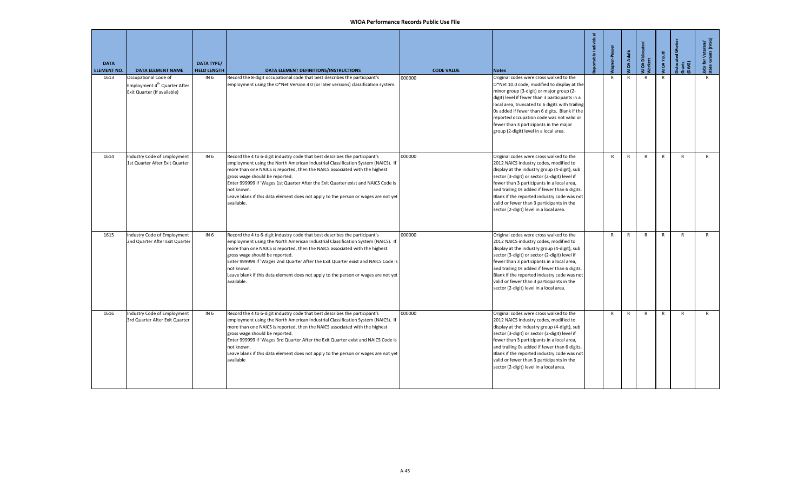| <b>DATA</b><br><b>ELEMENT NO.</b> | <b>DATA ELEMENT NAME</b>                                                                        | <b>DATA TYPE/</b><br><b>FIELD LENGTH</b> | DATA ELEMENT DEFINITIONS/INSTRUCTIONS                                                                                                                                                                                                                                                                                                                                                                                                                                                   | <b>CODE VALUE</b> | <b>Notes</b>                                                                                                                                                                                                                                                                                                                                                                                                              | ortable Individual | <b>Jagner-Peyser</b> | <b>VIOA Adults</b> | <b>MOA Dislocat</b> | VIOA Youth   | <b>Dislocated Worker</b><br>Gwar<br>Dw | Jobs for Veterans'<br>State Grants (JVSG) |
|-----------------------------------|-------------------------------------------------------------------------------------------------|------------------------------------------|-----------------------------------------------------------------------------------------------------------------------------------------------------------------------------------------------------------------------------------------------------------------------------------------------------------------------------------------------------------------------------------------------------------------------------------------------------------------------------------------|-------------------|---------------------------------------------------------------------------------------------------------------------------------------------------------------------------------------------------------------------------------------------------------------------------------------------------------------------------------------------------------------------------------------------------------------------------|--------------------|----------------------|--------------------|---------------------|--------------|----------------------------------------|-------------------------------------------|
| 1613                              | Occupational Code of<br>Employment 4 <sup>th</sup> Quarter After<br>Exit Quarter (If available) | IN <sub>6</sub>                          | Record the 8-digit occupational code that best describes the participant's<br>employment using the O*Net Version 4 0 (or later versions) classification system.                                                                                                                                                                                                                                                                                                                         | 000000            | Original codes were cross walked to the<br>O*Net 10.0 code, modified to display at the<br>minor group (3-digit) or major group (2-<br>digit) level if fewer than 3 participants in a<br>local area, truncated to 6 digits with trailing<br>Os added if fewer than 6 digits. Blank if the<br>reported occupation code was not valid or<br>fewer than 3 participants in the major<br>group (2-digit) level in a local area. |                    | $\mathsf{R}$         | $\mathsf{R}$       | $\mathsf{R}$        | R            |                                        | R                                         |
| 1614                              | Industry Code of Employment<br>1st Quarter After Exit Quarter                                   | IN <sub>6</sub>                          | Record the 4 to 6-digit industry code that best describes the participant's<br>employment using the North American Industrial Classification System (NAICS). If<br>more than one NAICS is reported, then the NAICS associated with the highest<br>gross wage should be reported.<br>Enter 999999 if 'Wages 1st Quarter After the Exit Quarter exist and NAICS Code is<br>not known.<br>Leave blank if this data element does not apply to the person or wages are not yet<br>available. | 000000            | Original codes were cross walked to the<br>2012 NAICS industry codes, modified to<br>display at the industry group (4-digit), sub<br>sector (3-digit) or sector (2-digit) level if<br>fewer than 3 participants in a local area,<br>and trailing Os added if fewer than 6 digits.<br>Blank if the reported industry code was not<br>valid or fewer than 3 participants in the<br>sector (2-digit) level in a local area.  |                    | R                    | R                  | $\mathsf{R}$        | R            | R                                      | $\mathsf{R}$                              |
| 1615                              | Industry Code of Employment<br>2nd Quarter After Exit Quarter                                   | <b>IN 6</b>                              | Record the 4 to 6-digit industry code that best describes the participant's<br>employment using the North American Industrial Classification System (NAICS). If<br>more than one NAICS is reported, then the NAICS associated with the highest<br>gross wage should be reported.<br>Enter 999999 if 'Wages 2nd Quarter After the Exit Quarter exist and NAICS Code is<br>not known.<br>Leave blank if this data element does not apply to the person or wages are not yet<br>available. | 000000            | Original codes were cross walked to the<br>2012 NAICS industry codes, modified to<br>display at the industry group (4-digit), sub<br>sector (3-digit) or sector (2-digit) level if<br>fewer than 3 participants in a local area,<br>and trailing Os added if fewer than 6 digits.<br>Blank if the reported industry code was not<br>valid or fewer than 3 participants in the<br>sector (2-digit) level in a local area.  |                    | $\mathsf{R}$         | $\mathsf{R}$       | $\mathsf{R}$        | $\mathsf{R}$ | $\mathsf{R}$                           | $\mathsf{R}$                              |
| 1616                              | Industry Code of Employment<br>3rd Quarter After Exit Quarter                                   | IN <sub>6</sub>                          | Record the 4 to 6-digit industry code that best describes the participant's<br>employment using the North American Industrial Classification System (NAICS). If<br>more than one NAICS is reported, then the NAICS associated with the highest<br>gross wage should be reported.<br>Enter 999999 if 'Wages 3rd Quarter After the Exit Quarter exist and NAICS Code is<br>not known.<br>Leave blank if this data element does not apply to the person or wages are not yet<br>available  | 000000            | Original codes were cross walked to the<br>2012 NAICS industry codes, modified to<br>display at the industry group (4-digit), sub<br>sector (3-digit) or sector (2-digit) level if<br>fewer than 3 participants in a local area,<br>and trailing Os added if fewer than 6 digits.<br>Blank if the reported industry code was not<br>valid or fewer than 3 participants in the<br>sector (2-digit) level in a local area.  |                    | $\mathsf{R}$         | $\mathsf{R}$       | $\mathsf{R}$        | R            | $\mathsf{R}$                           | $\mathsf{R}$                              |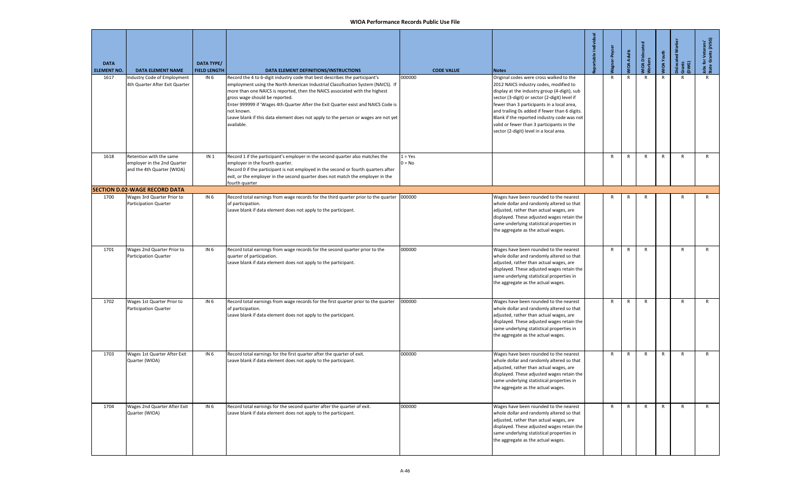| <b>DATA</b><br><b>ELEMENT NO.</b> | <b>DATA ELEMENT NAME</b>                                                             | <b>DATA TYPE/</b><br><b>FIELD LENGTH</b> | DATA ELEMENT DEFINITIONS/INSTRUCTIONS                                                                                                                                                                                                                                                                                                                                                                                                                                                   | <b>CODE VALUE</b>     | <b>Notes</b>                                                                                                                                                                                                                                                                                                                                                                                                             | portable Individual | gner-Peyser  | <b>VIOA Adults</b> | WIOA Dislocated<br>Workers | <b>MOA Youth</b> | Dislocated Wo<br>Grants<br>DWG) | Jobs for Veterans'<br>State Grants (JVSG) |
|-----------------------------------|--------------------------------------------------------------------------------------|------------------------------------------|-----------------------------------------------------------------------------------------------------------------------------------------------------------------------------------------------------------------------------------------------------------------------------------------------------------------------------------------------------------------------------------------------------------------------------------------------------------------------------------------|-----------------------|--------------------------------------------------------------------------------------------------------------------------------------------------------------------------------------------------------------------------------------------------------------------------------------------------------------------------------------------------------------------------------------------------------------------------|---------------------|--------------|--------------------|----------------------------|------------------|---------------------------------|-------------------------------------------|
| 1617                              | Industry Code of Employment<br>4th Quarter After Exit Quarter                        | IN <sub>6</sub>                          | Record the 4 to 6-digit industry code that best describes the participant's<br>employment using the North American Industrial Classification System (NAICS). If<br>more than one NAICS is reported, then the NAICS associated with the highest<br>gross wage should be reported.<br>Enter 999999 if 'Wages 4th Quarter After the Exit Quarter exist and NAICS Code is<br>not known.<br>Leave blank if this data element does not apply to the person or wages are not yet<br>available. | 000000                | Original codes were cross walked to the<br>2012 NAICS industry codes, modified to<br>display at the industry group (4-digit), sub<br>sector (3-digit) or sector (2-digit) level if<br>fewer than 3 participants in a local area,<br>and trailing 0s added if fewer than 6 digits.<br>Blank if the reported industry code was not<br>valid or fewer than 3 participants in the<br>sector (2-digit) level in a local area. |                     | $\mathsf{R}$ | R                  | R                          | $\mathsf{R}$     | R                               | R                                         |
| 1618                              | Retention with the same<br>employer in the 2nd Quarter<br>and the 4th Quarter (WIOA) | IN 1                                     | Record 1 if the participant's employer in the second quarter also matches the<br>employer in the fourth quarter.<br>Record 0 if the participant is not employed in the second or fourth quarters after<br>exit, or the employer in the second quarter does not match the employer in the<br>ourth quarter                                                                                                                                                                               | $1 = Yes$<br>$0 = No$ |                                                                                                                                                                                                                                                                                                                                                                                                                          |                     | $\mathsf{R}$ | $\mathsf{R}$       | $\mathsf{R}$               | $\mathsf{R}$     | $\mathsf{R}$                    | $\mathsf{R}$                              |
|                                   | <b>SECTION D.02-WAGE RECORD DATA</b>                                                 |                                          |                                                                                                                                                                                                                                                                                                                                                                                                                                                                                         |                       |                                                                                                                                                                                                                                                                                                                                                                                                                          |                     |              |                    |                            |                  |                                 |                                           |
| 1700                              | Wages 3rd Quarter Prior to<br>Participation Quarter                                  | IN 6                                     | Record total earnings from wage records for the third quarter prior to the quarter 1000000<br>of participation.<br>Leave blank if data element does not apply to the participant.                                                                                                                                                                                                                                                                                                       |                       | Wages have been rounded to the nearest<br>whole dollar and randomly altered so that<br>adjusted, rather than actual wages, are<br>displayed. These adjusted wages retain the<br>same underlying statistical properties in<br>the aggregate as the actual wages.                                                                                                                                                          |                     | R            | R                  | R                          |                  | R                               | R                                         |
| 1701                              | Wages 2nd Quarter Prior to<br>Participation Quarter                                  | IN <sub>6</sub>                          | Record total earnings from wage records for the second quarter prior to the<br>quarter of participation.<br>Leave blank if data element does not apply to the participant.                                                                                                                                                                                                                                                                                                              | 000000                | Wages have been rounded to the nearest<br>whole dollar and randomly altered so that<br>adjusted, rather than actual wages, are<br>displayed. These adjusted wages retain the<br>same underlying statistical properties in<br>the aggregate as the actual wages.                                                                                                                                                          |                     | R            | R                  | R                          |                  | R                               | R                                         |
| 1702                              | Wages 1st Quarter Prior to<br>Participation Quarter                                  | IN 6                                     | Record total earnings from wage records for the first quarter prior to the quarter<br>of participation.<br>Leave blank if data element does not apply to the participant.                                                                                                                                                                                                                                                                                                               | 000000                | Wages have been rounded to the nearest<br>whole dollar and randomly altered so that<br>adjusted, rather than actual wages, are<br>displayed. These adjusted wages retain the<br>same underlying statistical properties in<br>the aggregate as the actual wages.                                                                                                                                                          |                     | R            | R                  | $\mathsf{R}$               |                  | R                               | $\mathsf{R}$                              |
| 1703                              | Wages 1st Quarter After Exit<br>Quarter (WIOA)                                       | IN 6                                     | Record total earnings for the first quarter after the quarter of exit.<br>Leave blank if data element does not apply to the participant.                                                                                                                                                                                                                                                                                                                                                | 000000                | Wages have been rounded to the nearest<br>whole dollar and randomly altered so that<br>adjusted, rather than actual wages, are<br>displayed. These adjusted wages retain the<br>same underlying statistical properties in<br>the aggregate as the actual wages.                                                                                                                                                          |                     | R            | R                  | $\mathsf{R}$               | $\mathsf{R}$     | R                               | R                                         |
| 1704                              | Wages 2nd Quarter After Exit<br>Quarter (WIOA)                                       | IN <sub>6</sub>                          | Record total earnings for the second quarter after the quarter of exit.<br>Leave blank if data element does not apply to the participant.                                                                                                                                                                                                                                                                                                                                               | 000000                | Wages have been rounded to the nearest<br>whole dollar and randomly altered so that<br>adjusted, rather than actual wages, are<br>displayed. These adjusted wages retain the<br>same underlying statistical properties in<br>the aggregate as the actual wages.                                                                                                                                                          |                     | $\mathsf{R}$ | $\mathsf{R}$       | $\mathsf{R}$               | $\mathsf{R}$     | $\mathsf{R}$                    | R                                         |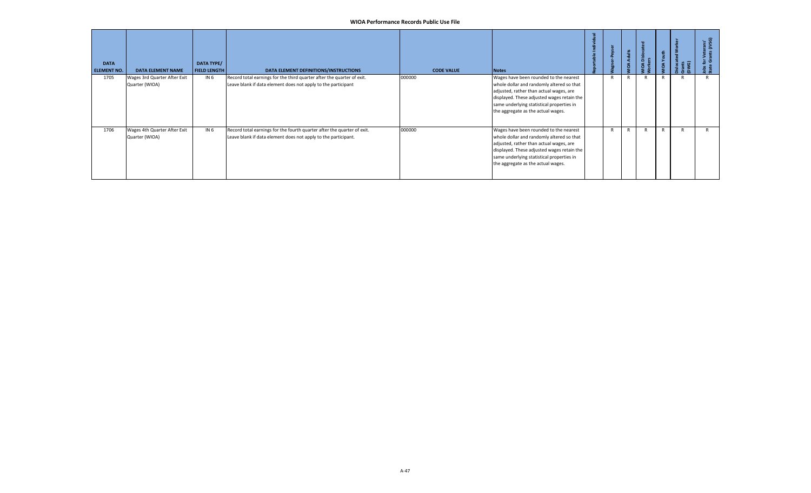| <b>DATA</b><br><b>ELEMENT NO.</b> | <b>DATA ELEMENT NAME</b>                       | DATA TYPE/<br><b>FIELD LENGTH</b> | DATA ELEMENT DEFINITIONS/INSTRUCTIONS                                                                                                     | <b>CODE VALUE</b> | <b>Notes</b>                                                                                                                                                                                                                                                    |              | <b>IOA Adults</b> | OA Disk<br>vrkers | <b>IIOA</b> Youth | Gwer<br>E | terans'<br>s (JVSG)<br>ු මි |
|-----------------------------------|------------------------------------------------|-----------------------------------|-------------------------------------------------------------------------------------------------------------------------------------------|-------------------|-----------------------------------------------------------------------------------------------------------------------------------------------------------------------------------------------------------------------------------------------------------------|--------------|-------------------|-------------------|-------------------|-----------|-----------------------------|
| 1705                              | Wages 3rd Quarter After Exit<br>Quarter (WIOA) | IN <sub>6</sub>                   | Record total earnings for the third quarter after the quarter of exit.<br>Leave blank if data element does not apply to the participant   | 000000            | Wages have been rounded to the nearest<br>whole dollar and randomly altered so that<br>adjusted, rather than actual wages, are<br>displayed. These adjusted wages retain the<br>same underlying statistical properties in<br>the aggregate as the actual wages. | $\mathsf{R}$ |                   |                   | R                 |           |                             |
| 1706                              | Wages 4th Quarter After Exit<br>Quarter (WIOA) | IN <sub>6</sub>                   | Record total earnings for the fourth quarter after the quarter of exit.<br>Leave blank if data element does not apply to the participant. | 000000            | Wages have been rounded to the nearest<br>whole dollar and randomly altered so that<br>adjusted, rather than actual wages, are<br>displayed. These adjusted wages retain the<br>same underlying statistical properties in<br>the aggregate as the actual wages. | R            |                   |                   | $\mathsf{R}$      |           |                             |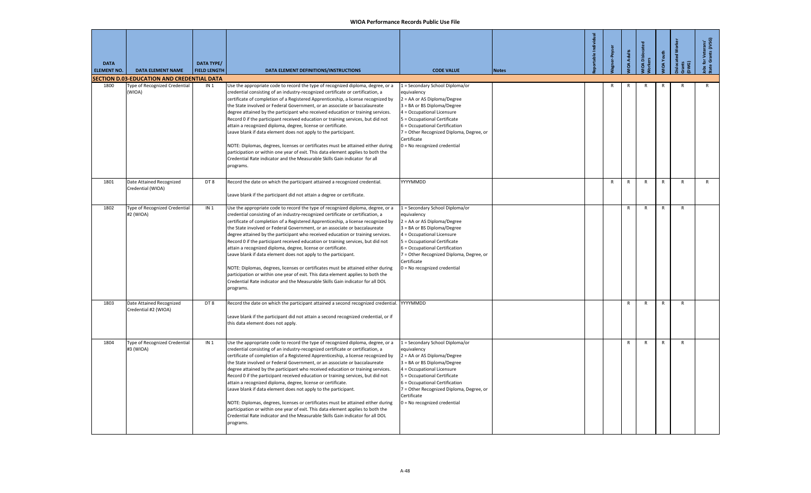| <b>DATA</b><br><b>ELEMENT NO.</b> | <b>DATA ELEMENT NAME</b><br><b>SECTION D.03-EDUCATION AND CREDENTIAL DATA</b> | <b>DATA TYPE/</b><br><b>FIELD LENGTH</b> | DATA ELEMENT DEFINITIONS/INSTRUCTIONS                                                                                                                                                                                                                                                                                                                                                                                                                                                                                                                                                                                                                                                                                                                                                                                                                                                                                | <b>CODE VALUE</b>                                                                                                                                                                                                                                                                                       | <b>Notes</b> | ortable Individua | ner-Peyser | <b>IOA Adults</b> | <b>IOA</b> Dislocat<br>kers | <b>IIOA</b> Youth | ocated Wo<br><sub>差</sub> | obs for Veterans'<br>itate Grants (JVSG) |
|-----------------------------------|-------------------------------------------------------------------------------|------------------------------------------|----------------------------------------------------------------------------------------------------------------------------------------------------------------------------------------------------------------------------------------------------------------------------------------------------------------------------------------------------------------------------------------------------------------------------------------------------------------------------------------------------------------------------------------------------------------------------------------------------------------------------------------------------------------------------------------------------------------------------------------------------------------------------------------------------------------------------------------------------------------------------------------------------------------------|---------------------------------------------------------------------------------------------------------------------------------------------------------------------------------------------------------------------------------------------------------------------------------------------------------|--------------|-------------------|------------|-------------------|-----------------------------|-------------------|---------------------------|------------------------------------------|
| 1800                              | Type of Recognized Credential                                                 | IN <sub>1</sub>                          | Use the appropriate code to record the type of recognized diploma, degree, or a                                                                                                                                                                                                                                                                                                                                                                                                                                                                                                                                                                                                                                                                                                                                                                                                                                      | 1 = Secondary School Diploma/or                                                                                                                                                                                                                                                                         |              |                   | R          | R                 | R                           | $\mathsf{R}$      | $\mathsf{R}$              | R                                        |
|                                   | (WIOA)                                                                        |                                          | credential consisting of an industry-recognized certificate or certification, a<br>certificate of completion of a Registered Apprenticeship, a license recognized by<br>the State involved or Federal Government, or an associate or baccalaureate<br>degree attained by the participant who received education or training services.<br>Record 0 if the participant received education or training services, but did not<br>attain a recognized diploma, degree, license or certificate.<br>Leave blank if data element does not apply to the participant.<br>NOTE: Diplomas, degrees, licenses or certificates must be attained either during<br>participation or within one year of exit. This data element applies to both the<br>Credential Rate indicator and the Measurable Skills Gain indicator for all<br>programs.                                                                                        | equivalency<br>2 = AA or AS Diploma/Degree<br>3 = BA or BS Diploma/Degree<br>4 = Occupational Licensure<br>5 = Occupational Certificate<br>6 = Occupational Certification<br>7 = Other Recognized Diploma, Degree, or<br>Certificate<br>0 = No recognized credential                                    |              |                   |            |                   |                             |                   |                           |                                          |
| 1801                              | Date Attained Recognized<br>Credential (WIOA)                                 | DT8                                      | Record the date on which the participant attained a recognized credential.<br>Leave blank if the participant did not attain a degree or certificate.                                                                                                                                                                                                                                                                                                                                                                                                                                                                                                                                                                                                                                                                                                                                                                 | YYYYMMDD                                                                                                                                                                                                                                                                                                |              |                   | R          | $\mathsf{R}$      | $\mathsf{R}$                | $\mathsf{R}$      | $\mathsf{R}$              | R                                        |
| 1802                              | Type of Recognized Credential<br>#2 (WIOA)                                    | IN <sub>1</sub>                          | Use the appropriate code to record the type of recognized diploma, degree, or a<br>credential consisting of an industry-recognized certificate or certification, a<br>certificate of completion of a Registered Apprenticeship, a license recognized by<br>the State involved or Federal Government, or an associate or baccalaureate<br>degree attained by the participant who received education or training services.<br>Record 0 if the participant received education or training services, but did not<br>attain a recognized diploma, degree, license or certificate.<br>Leave blank if data element does not apply to the participant.<br>NOTE: Diplomas, degrees, licenses or certificates must be attained either during<br>participation or within one year of exit. This data element applies to both the<br>Credential Rate indicator and the Measurable Skills Gain indicator for all DOL<br>programs. | 1 = Secondary School Diploma/or<br>equivalency<br>2 = AA or AS Diploma/Degree<br>3 = BA or BS Diploma/Degree<br>4 = Occupational Licensure<br>5 = Occupational Certificate<br>6 = Occupational Certification<br>7 = Other Recognized Diploma, Degree, or<br>Certificate<br>0 = No recognized credential |              |                   |            | $\mathsf{R}$      | $\mathsf{R}$                | $\mathsf{R}$      | $\mathsf{R}$              |                                          |
| 1803                              | Date Attained Recognized<br>Credential #2 (WIOA)                              | DT8                                      | Record the date on which the participant attained a second recognized credential. YYYYMMDD<br>Leave blank if the participant did not attain a second recognized credential, or if<br>this data element does not apply.                                                                                                                                                                                                                                                                                                                                                                                                                                                                                                                                                                                                                                                                                               |                                                                                                                                                                                                                                                                                                         |              |                   |            | $\mathsf{R}$      | $\mathsf{R}$                | $\mathsf{R}$      | $\mathsf{R}$              |                                          |
| 1804                              | Type of Recognized Credential<br>#3 (WIOA)                                    | IN <sub>1</sub>                          | Use the appropriate code to record the type of recognized diploma, degree, or a<br>credential consisting of an industry-recognized certificate or certification, a<br>certificate of completion of a Registered Apprenticeship, a license recognized by<br>the State involved or Federal Government, or an associate or baccalaureate<br>degree attained by the participant who received education or training services.<br>Record 0 if the participant received education or training services, but did not<br>attain a recognized diploma, degree, license or certificate.<br>Leave blank if data element does not apply to the participant.<br>NOTE: Diplomas, degrees, licenses or certificates must be attained either during<br>participation or within one year of exit. This data element applies to both the<br>Credential Rate indicator and the Measurable Skills Gain indicator for all DOL<br>programs. | 1 = Secondary School Diploma/or<br>equivalency<br>2 = AA or AS Diploma/Degree<br>3 = BA or BS Diploma/Degree<br>4 = Occupational Licensure<br>5 = Occupational Certificate<br>6 = Occupational Certification<br>7 = Other Recognized Diploma, Degree, or<br>Certificate<br>0 = No recognized credential |              |                   |            | $\mathsf{R}$      | $\mathsf{R}$                | $\mathsf{R}$      | $\mathsf{R}$              |                                          |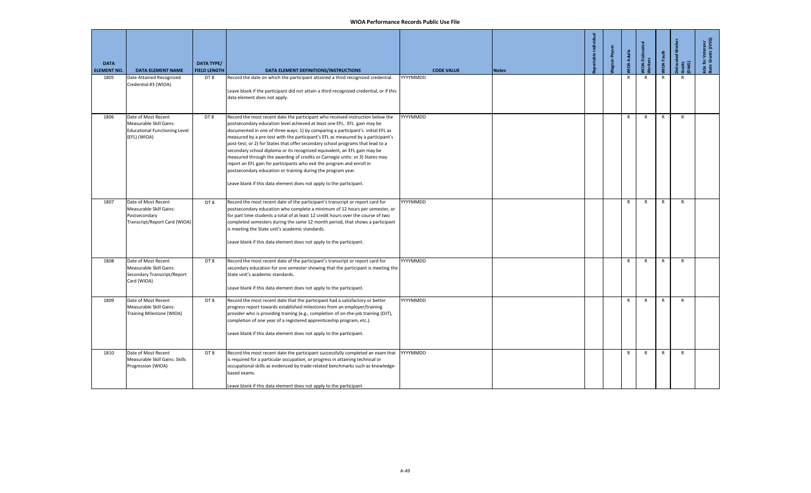| <b>DATA</b><br><b>ELEMENT NO.</b> | <b>DATA ELEMENT NAME</b>                                                                               | <b>DATA TYPE/</b><br><b>FIELD LENGTH</b> | DATA ELEMENT DEFINITIONS/INSTRUCTIONS                                                                                                                                                                                                                                                                                                                                                                                                                                                                                                                                                                                                                                                                                                                                                              | <b>CODE VALUE</b> | <b>Notes</b> | ortable Indi | er-Peyser | <b>IIOA Adults</b> | <b>IIOA</b> Dislocat<br>kers | <b>IIOA</b> Youth | slocated<br>irants<br>DWG) | Jobs for Veterans'<br>State Grants (JVSG) |
|-----------------------------------|--------------------------------------------------------------------------------------------------------|------------------------------------------|----------------------------------------------------------------------------------------------------------------------------------------------------------------------------------------------------------------------------------------------------------------------------------------------------------------------------------------------------------------------------------------------------------------------------------------------------------------------------------------------------------------------------------------------------------------------------------------------------------------------------------------------------------------------------------------------------------------------------------------------------------------------------------------------------|-------------------|--------------|--------------|-----------|--------------------|------------------------------|-------------------|----------------------------|-------------------------------------------|
| 1805                              | Date Attained Recognized<br>Credential #3 (WIOA)                                                       | DT 8                                     | Record the date on which the participant attained a third recognized credential.<br>Leave blank if the participant did not attain a third recognized credential, or if this<br>data element does not apply.                                                                                                                                                                                                                                                                                                                                                                                                                                                                                                                                                                                        | YYYYMMDD          |              |              |           | R                  | R                            | R                 | $\mathsf{R}$               |                                           |
| 1806                              | Date of Most Recent<br>Measurable Skill Gains:<br><b>Educational Functioning Level</b><br>(EFL) (WIOA) | DT8                                      | Record the most recent date the participant who received instruction below the<br>postsecondary education level achieved at least one EFL. EFL gain may be<br>documented in one of three ways: 1) by comparing a participant's initial EFL as<br>measured by a pre-test with the participant's EFL as measured by a participant's<br>post-test; or 2) for States that offer secondary school programs that lead to a<br>secondary school diploma or its recognized equivalent, an EFL gain may be<br>measured through the awarding of credits or Carnegie units: or 3) States may<br>report an EFL gain for participants who exit the program and enroll in<br>postsecondary education or training during the program year.<br>Leave blank if this data element does not apply to the participant. | YYYYMMDD          |              |              |           | $\mathsf{R}$       | $\mathsf{R}$                 | $\mathsf{R}$      | R                          |                                           |
| 1807                              | Date of Most Recent<br>Measurable Skill Gains:<br>Postsecondary<br>Transcript/Report Card (WIOA)       | DT8                                      | Record the most recent date of the participant's transcript or report card for<br>postsecondary education who complete a minimum of 12 hours per semester, or<br>for part time students a total of at least 12 credit hours over the course of two<br>completed semesters during the same 12 month period, that shows a participant<br>is meeting the State unit's academic standards.<br>Leave blank if this data element does not apply to the participant.                                                                                                                                                                                                                                                                                                                                      | YYYYMMDD          |              |              |           | R                  | $\mathsf{R}$                 | R                 | R                          |                                           |
| 1808                              | Date of Most Recent<br>Measurable Skill Gains:<br>Secondary Transcript/Report<br>Card (WIOA)           | DT8                                      | Record the most recent date of the participant's transcript or report card for<br>secondary education for one semester showing that the participant is meeting the<br>State unit's academic standards.<br>Leave blank if this data element does not apply to the participant.                                                                                                                                                                                                                                                                                                                                                                                                                                                                                                                      | YYYYMMDD          |              |              |           | R                  | $\mathsf{R}$                 | R                 | $\mathsf{R}$               |                                           |
| 1809                              | Date of Most Recent<br>Measurable Skill Gains:<br>Training Milestone (WIOA)                            | DT8                                      | Record the most recent date that the participant had a satisfactory or better<br>progress report towards established milestones from an employer/training<br>provider who is providing training (e.g., completion of on-the-job training (OJT),<br>completion of one year of a registered apprenticeship program, etc.).<br>Leave blank if this data element does not apply to the participant.                                                                                                                                                                                                                                                                                                                                                                                                    | YYYYMMDD          |              |              |           | $\mathsf{R}$       | $\mathsf{R}$                 | $\mathsf{R}$      | $\mathsf{R}$               |                                           |
| 1810                              | Date of Most Recent<br>Measurable Skill Gains: Skills<br>Progression (WIOA)                            | DT8                                      | Record the most recent date the participant successfully completed an exam that<br>is required for a particular occupation, or progress in attaining technical or<br>occupational skills as evidenced by trade-related benchmarks such as knowledge-<br>based exams.<br>Leave blank if this data element does not apply to the participant.                                                                                                                                                                                                                                                                                                                                                                                                                                                        | YYYYMMDD          |              |              |           | R                  | $\mathsf{R}$                 | R                 | $\mathsf{R}$               |                                           |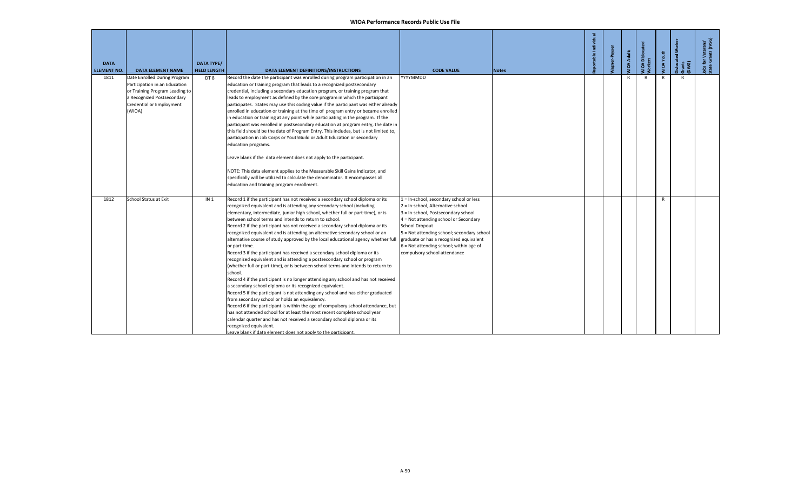| <b>DATA</b><br><b>ELEMENT NO.</b> | <b>DATA ELEMENT NAME</b>                               | <b>DATA TYPE/</b><br><b>FIELD LENGTH</b> | DATA ELEMENT DEFINITIONS/INSTRUCTIONS                                                                                                                              | <b>CODE VALUE</b>                                                         | <b>Notes</b> | able Individual | <b>IOA Adults</b> | /IOA Disloca<br>/orkers | <b>JIOA</b> Youth | š<br>ē.<br>Dislocat<br>Grants<br>[DWG] | Jobs for Veterans'<br>State Grants (JVSG) |
|-----------------------------------|--------------------------------------------------------|------------------------------------------|--------------------------------------------------------------------------------------------------------------------------------------------------------------------|---------------------------------------------------------------------------|--------------|-----------------|-------------------|-------------------------|-------------------|----------------------------------------|-------------------------------------------|
| 1811                              | Date Enrolled During Program                           | DT 8                                     | Record the date the participant was enrolled during program participation in an                                                                                    | YYYYMMDD                                                                  |              |                 | R                 | R                       | R                 | $\mathsf{R}$                           |                                           |
|                                   | Participation in an Education                          |                                          | education or training program that leads to a recognized postsecondary                                                                                             |                                                                           |              |                 |                   |                         |                   |                                        |                                           |
|                                   | or Training Program Leading to                         |                                          | credential, including a secondary education program, or training program that                                                                                      |                                                                           |              |                 |                   |                         |                   |                                        |                                           |
|                                   | a Recognized Postsecondary<br>Credential or Employment |                                          | eads to employment as defined by the core program in which the participant<br>participates. States may use this coding value if the participant was either already |                                                                           |              |                 |                   |                         |                   |                                        |                                           |
|                                   | (WIOA)                                                 |                                          | enrolled in education or training at the time of program entry or became enrolled                                                                                  |                                                                           |              |                 |                   |                         |                   |                                        |                                           |
|                                   |                                                        |                                          | n education or training at any point while participating in the program. If the                                                                                    |                                                                           |              |                 |                   |                         |                   |                                        |                                           |
|                                   |                                                        |                                          | participant was enrolled in postsecondary education at program entry, the date in                                                                                  |                                                                           |              |                 |                   |                         |                   |                                        |                                           |
|                                   |                                                        |                                          | this field should be the date of Program Entry. This includes, but is not limited to,                                                                              |                                                                           |              |                 |                   |                         |                   |                                        |                                           |
|                                   |                                                        |                                          | participation in Job Corps or YouthBuild or Adult Education or secondary                                                                                           |                                                                           |              |                 |                   |                         |                   |                                        |                                           |
|                                   |                                                        |                                          | education programs.                                                                                                                                                |                                                                           |              |                 |                   |                         |                   |                                        |                                           |
|                                   |                                                        |                                          | Leave blank if the data element does not apply to the participant.                                                                                                 |                                                                           |              |                 |                   |                         |                   |                                        |                                           |
|                                   |                                                        |                                          | NOTE: This data element applies to the Measurable Skill Gains Indicator, and                                                                                       |                                                                           |              |                 |                   |                         |                   |                                        |                                           |
|                                   |                                                        |                                          | specifically will be utilized to calculate the denominator. It encompasses all                                                                                     |                                                                           |              |                 |                   |                         |                   |                                        |                                           |
|                                   |                                                        |                                          | education and training program enrollment.                                                                                                                         |                                                                           |              |                 |                   |                         |                   |                                        |                                           |
|                                   |                                                        |                                          |                                                                                                                                                                    |                                                                           |              |                 |                   |                         |                   |                                        |                                           |
| 1812                              | School Status at Exit                                  | IN <sub>1</sub>                          | Record 1 if the participant has not received a secondary school diploma or its                                                                                     | 1 = In-school, secondary school or less                                   |              |                 |                   |                         | $\mathsf{R}$      |                                        |                                           |
|                                   |                                                        |                                          | recognized equivalent and is attending any secondary school (including<br>elementary, intermediate, junior high school, whether full or part-time), or is          | 2 = In-school, Alternative school<br>3 = In-school, Postsecondary school. |              |                 |                   |                         |                   |                                        |                                           |
|                                   |                                                        |                                          | between school terms and intends to return to school.                                                                                                              | 4 = Not attending school or Secondary                                     |              |                 |                   |                         |                   |                                        |                                           |
|                                   |                                                        |                                          | Record 2 if the participant has not received a secondary school diploma or its                                                                                     | School Dropout                                                            |              |                 |                   |                         |                   |                                        |                                           |
|                                   |                                                        |                                          | recognized equivalent and is attending an alternative secondary school or an                                                                                       | 5 = Not attending school; secondary school                                |              |                 |                   |                         |                   |                                        |                                           |
|                                   |                                                        |                                          | alternative course of study approved by the local educational agency whether full                                                                                  | graduate or has a recognized equivalent                                   |              |                 |                   |                         |                   |                                        |                                           |
|                                   |                                                        |                                          | or part-time.                                                                                                                                                      | $6$ = Not attending school; within age of                                 |              |                 |                   |                         |                   |                                        |                                           |
|                                   |                                                        |                                          | Record 3 if the participant has received a secondary school diploma or its                                                                                         | compulsory school attendance                                              |              |                 |                   |                         |                   |                                        |                                           |
|                                   |                                                        |                                          | recognized equivalent and is attending a postsecondary school or program                                                                                           |                                                                           |              |                 |                   |                         |                   |                                        |                                           |
|                                   |                                                        |                                          | (whether full or part-time), or is between school terms and intends to return to                                                                                   |                                                                           |              |                 |                   |                         |                   |                                        |                                           |
|                                   |                                                        |                                          | school.                                                                                                                                                            |                                                                           |              |                 |                   |                         |                   |                                        |                                           |
|                                   |                                                        |                                          | Record 4 if the participant is no longer attending any school and has not received<br>a secondary school diploma or its recognized equivalent.                     |                                                                           |              |                 |                   |                         |                   |                                        |                                           |
|                                   |                                                        |                                          | Record 5 if the participant is not attending any school and has either graduated                                                                                   |                                                                           |              |                 |                   |                         |                   |                                        |                                           |
|                                   |                                                        |                                          | from secondary school or holds an equivalency.                                                                                                                     |                                                                           |              |                 |                   |                         |                   |                                        |                                           |
|                                   |                                                        |                                          | Record 6 if the participant is within the age of compulsory school attendance, but                                                                                 |                                                                           |              |                 |                   |                         |                   |                                        |                                           |
|                                   |                                                        |                                          | has not attended school for at least the most recent complete school year                                                                                          |                                                                           |              |                 |                   |                         |                   |                                        |                                           |
|                                   |                                                        |                                          | calendar quarter and has not received a secondary school diploma or its                                                                                            |                                                                           |              |                 |                   |                         |                   |                                        |                                           |
|                                   |                                                        |                                          | recognized equivalent.                                                                                                                                             |                                                                           |              |                 |                   |                         |                   |                                        |                                           |
|                                   |                                                        |                                          | Leave blank if data element does not apply to the participant.                                                                                                     |                                                                           |              |                 |                   |                         |                   |                                        |                                           |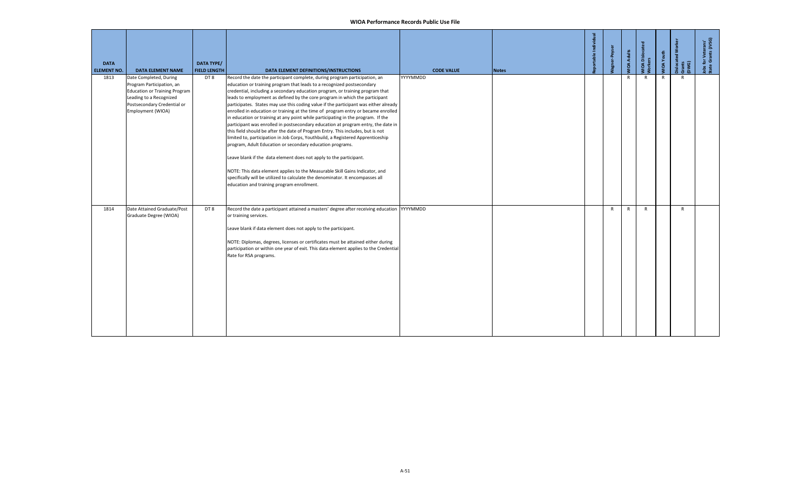| <b>DATA</b><br><b>ELEMENT NO.</b> | <b>DATA ELEMENT NAME</b>                                                                                                                                                   | <b>DATA TYPE/</b><br><b>FIELD LENGTH</b> | DATA ELEMENT DEFINITIONS/INSTRUCTIONS                                                                                                                                                                                                                                                                                                                                                                                                                                                                                                                                                                                                                                                                                                                                                                                                                                                                                                                                                                                                                                                                                                                                                               | <b>CODE VALUE</b> | <b>Notes</b> | -Peys        | <b>IIOA Adults</b> | /IOA Dislocate<br>/orkers | VIOA Youth   | Dislocated<br>Grants<br>(DWG) | Jobs for Veterans'<br>State Grants (JVSG) |
|-----------------------------------|----------------------------------------------------------------------------------------------------------------------------------------------------------------------------|------------------------------------------|-----------------------------------------------------------------------------------------------------------------------------------------------------------------------------------------------------------------------------------------------------------------------------------------------------------------------------------------------------------------------------------------------------------------------------------------------------------------------------------------------------------------------------------------------------------------------------------------------------------------------------------------------------------------------------------------------------------------------------------------------------------------------------------------------------------------------------------------------------------------------------------------------------------------------------------------------------------------------------------------------------------------------------------------------------------------------------------------------------------------------------------------------------------------------------------------------------|-------------------|--------------|--------------|--------------------|---------------------------|--------------|-------------------------------|-------------------------------------------|
| 1813                              | Date Completed, During<br>Program Participation, an<br><b>Education or Training Program</b><br>Leading to a Recognized<br>Postsecondary Credential or<br>Employment (WIOA) | DT 8                                     | Record the date the participant complete, during program participation, an<br>education or training program that leads to a recognized postsecondary<br>credential, including a secondary education program, or training program that<br>leads to employment as defined by the core program in which the participant<br>participates. States may use this coding value if the participant was either already<br>enrolled in education or training at the time of program entry or became enrolled<br>in education or training at any point while participating in the program. If the<br>participant was enrolled in postsecondary education at program entry, the date in<br>this field should be after the date of Program Entry. This includes, but is not<br>limited to, participation in Job Corps, Youthbuild, a Registered Apprenticeship<br>program, Adult Education or secondary education programs.<br>Leave blank if the data element does not apply to the participant.<br>NOTE: This data element applies to the Measurable Skill Gains Indicator, and<br>specifically will be utilized to calculate the denominator. It encompasses all<br>education and training program enrollment. | YYYYMMDD          |              |              | $\mathsf{R}$       | $\mathsf{R}$              | $\mathsf{R}$ | R                             |                                           |
| 1814                              | Date Attained Graduate/Post<br>Graduate Degree (WIOA)                                                                                                                      | DT8                                      | Record the date a participant attained a masters' degree after receiving education YYYYMMDD<br>or training services.<br>Leave blank if data element does not apply to the participant.<br>NOTE: Diplomas, degrees, licenses or certificates must be attained either during<br>participation or within one year of exit. This data element applies to the Credential<br>Rate for RSA programs.                                                                                                                                                                                                                                                                                                                                                                                                                                                                                                                                                                                                                                                                                                                                                                                                       |                   |              | $\mathsf{R}$ | R                  | $\mathsf{R}$              |              | $\mathsf{R}$                  |                                           |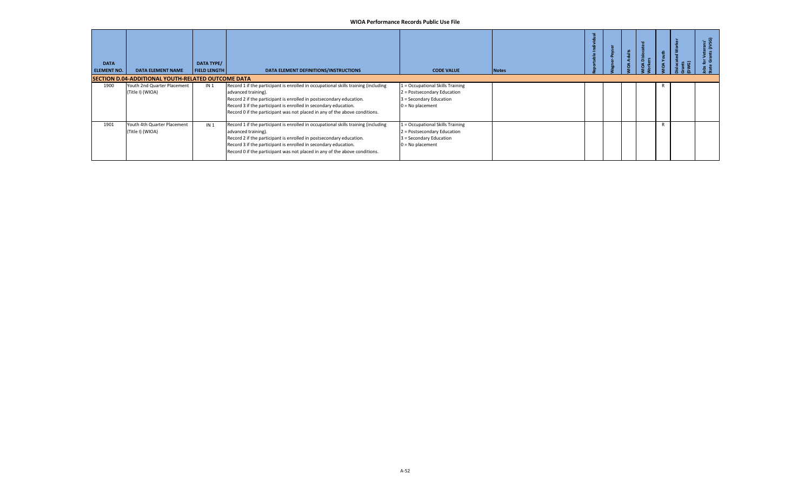| <b>DATA</b><br><b>ELEMENT NO.</b> | <b>DATA ELEMENT NAME</b>                                  | DATA TYPE/<br><b>FIELD LENGTH</b> | DATA ELEMENT DEFINITIONS/INSTRUCTIONS                                                                                                                                                                                                                                                                                             | <b>CODE VALUE</b>                                                                                                | <b>Notes</b> |  | ã<br>$\circ$ | <b>.</b> ල | . ಕೆಲ |
|-----------------------------------|-----------------------------------------------------------|-----------------------------------|-----------------------------------------------------------------------------------------------------------------------------------------------------------------------------------------------------------------------------------------------------------------------------------------------------------------------------------|------------------------------------------------------------------------------------------------------------------|--------------|--|--------------|------------|-------|
|                                   | <b>SECTION D.04-ADDITIONAL YOUTH-RELATED OUTCOME DATA</b> |                                   |                                                                                                                                                                                                                                                                                                                                   |                                                                                                                  |              |  |              |            |       |
| 1900                              | Youth 2nd Quarter Placement<br>(Title I) (WIOA)           | IN <sub>1</sub>                   | Record 1 if the participant is enrolled in occupational skills training (including<br>advanced training).<br>Record 2 if the participant is enrolled in postsecondary education.<br>Record 3 if the participant is enrolled in secondary education.<br>Record 0 if the participant was not placed in any of the above conditions. | 1 = Occupational Skills Training<br>2 = Postsecondary Education<br>3 = Secondary Education<br>$0 = No$ placement |              |  |              |            |       |
| 1901                              | Youth 4th Quarter Placement<br>(Title I) (WIOA)           | IN <sub>1</sub>                   | Record 1 if the participant is enrolled in occupational skills training (including<br>advanced training).<br>Record 2 if the participant is enrolled in postsecondary education.<br>Record 3 if the participant is enrolled in secondary education.<br>Record 0 if the participant was not placed in any of the above conditions. | 1 = Occupational Skills Training<br>2 = Postsecondary Education<br>3 = Secondary Education<br>$0 = No$ placement |              |  |              |            |       |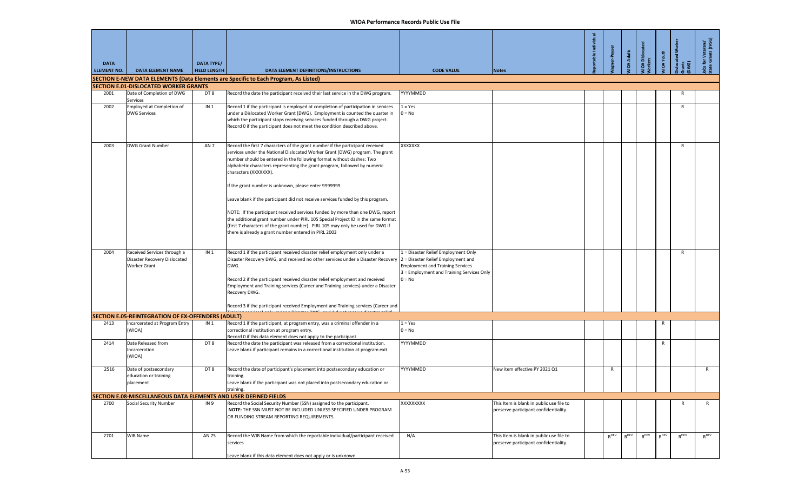| <b>DATA</b><br><b>ELEMENT NO.</b> | <b>DATA ELEMENT NAME</b>                                                           | <b>DATA TYPE/</b><br><b>FIELD LENGTH</b> | <b>DATA ELEMENT DEFINITIONS/INSTRUCTIONS</b>                                                                                                                                                                                                                                                                                                                                                                                                                                                                                                                                                                                                                                                                                                                                                            | <b>CODE VALUE</b>                                                                                                                       | <b>Notes</b>                                                                      | table Individua | er-Peyser | <b>IOA Adults</b> | <b>IOA</b> Dislocated<br>ers | <b>IOA</b> Youth | slocated Work | for Veterans'<br>e Grants (JVSG) |
|-----------------------------------|------------------------------------------------------------------------------------|------------------------------------------|---------------------------------------------------------------------------------------------------------------------------------------------------------------------------------------------------------------------------------------------------------------------------------------------------------------------------------------------------------------------------------------------------------------------------------------------------------------------------------------------------------------------------------------------------------------------------------------------------------------------------------------------------------------------------------------------------------------------------------------------------------------------------------------------------------|-----------------------------------------------------------------------------------------------------------------------------------------|-----------------------------------------------------------------------------------|-----------------|-----------|-------------------|------------------------------|------------------|---------------|----------------------------------|
|                                   |                                                                                    |                                          | SECTION E-NEW DATA ELEMENTS (Data Elements are Specific to Each Program, As Listed)                                                                                                                                                                                                                                                                                                                                                                                                                                                                                                                                                                                                                                                                                                                     |                                                                                                                                         |                                                                                   |                 |           |                   |                              |                  |               |                                  |
|                                   | <b>SECTION E.01-DISLOCATED WORKER GRANTS</b>                                       |                                          |                                                                                                                                                                                                                                                                                                                                                                                                                                                                                                                                                                                                                                                                                                                                                                                                         |                                                                                                                                         |                                                                                   |                 |           |                   |                              |                  |               |                                  |
| 2001                              | Date of Completion of DWG<br>Services                                              | DT 8                                     | Record the date the participant received their last service in the DWG program.                                                                                                                                                                                                                                                                                                                                                                                                                                                                                                                                                                                                                                                                                                                         | YYYYMMDD                                                                                                                                |                                                                                   |                 |           |                   |                              |                  | R             |                                  |
| 2002                              | Employed at Completion of<br><b>DWG Services</b>                                   | IN <sub>1</sub>                          | Record 1 if the participant is employed at completion of participation in services<br>under a Dislocated Worker Grant (DWG). Employment is counted the quarter in<br>which the participant stops receiving services funded through a DWG project.<br>Record 0 if the participant does not meet the condition described above.                                                                                                                                                                                                                                                                                                                                                                                                                                                                           | $1 = Yes$<br>$0 = No$                                                                                                                   |                                                                                   |                 |           |                   |                              |                  | $\mathsf{R}$  |                                  |
| 2003                              | <b>DWG Grant Number</b>                                                            | AN <sub>7</sub>                          | Record the first 7 characters of the grant number if the participant received<br>services under the National Dislocated Worker Grant (DWG) program. The grant<br>number should be entered in the following format without dashes: Two<br>alphabetic characters representing the grant program, followed by numeric<br>characters (XXXXXXX).<br>If the grant number is unknown, please enter 9999999.<br>Leave blank if the participant did not receive services funded by this program.<br>NOTE: If the participant received services funded by more than one DWG, report<br>the additional grant number under PIRL 105 Special Project ID in the same format<br>(first 7 characters of the grant number). PIRL 105 may only be used for DWG if<br>there is already a grant number entered in PIRL 2003 | XXXXXXX                                                                                                                                 |                                                                                   |                 |           |                   |                              |                  | R             |                                  |
| 2004                              | Received Services through a<br>Disaster Recovery Dislocated<br><b>Worker Grant</b> | IN <sub>1</sub>                          | Record 1 if the participant received disaster relief employment only under a<br>Disaster Recovery DWG, and received no other services under a Disaster Recovery  2 = Disaster Relief Employment and<br>DWG.<br>Record 2 if the participant received disaster relief employment and received<br>Employment and Training services (Career and Training services) under a Disaster<br>Recovery DWG.<br>Record 3 if the participant received Employment and Training services (Career and                                                                                                                                                                                                                                                                                                                   | 1 = Disaster Relief Employment Only<br><b>Employment and Training Services</b><br>3 = Employment and Training Services Only<br>$0 = No$ |                                                                                   |                 |           |                   |                              |                  | R             |                                  |
|                                   | SECTION E.05-REINTEGRATION OF EX-OFFENDERS (ADULT)                                 |                                          |                                                                                                                                                                                                                                                                                                                                                                                                                                                                                                                                                                                                                                                                                                                                                                                                         |                                                                                                                                         |                                                                                   |                 |           |                   |                              |                  |               |                                  |
| 2413                              | Incarcerated at Program Entry<br>(WIOA)                                            | IN <sub>1</sub>                          | Record 1 if the participant, at program entry, was a criminal offender in a<br>correctional institution at program entry.<br>Record 0 if this data element does not apply to the participant.                                                                                                                                                                                                                                                                                                                                                                                                                                                                                                                                                                                                           | $1 = Yes$<br>$0 = No$                                                                                                                   |                                                                                   |                 |           |                   |                              | R                |               |                                  |
| 2414                              | Date Released from<br>Incarceration<br>(WIOA)                                      | DT8                                      | Record the date the participant was released from a correctional institution.<br>Leave blank if participant remains in a correctional institution at program exit.                                                                                                                                                                                                                                                                                                                                                                                                                                                                                                                                                                                                                                      | YYYYMMDD                                                                                                                                |                                                                                   |                 |           |                   |                              | R                |               |                                  |
| 2516                              | Date of postsecondary<br>education or training<br>placement                        | DT8                                      | Record the date of participant's placement into postsecondary education or<br>training.<br>Leave blank if the participant was not placed into postsecondary education or<br>training.                                                                                                                                                                                                                                                                                                                                                                                                                                                                                                                                                                                                                   | YYYYMMDD                                                                                                                                | New item effective PY 2021 Q1                                                     |                 | R         |                   |                              |                  |               | R                                |
|                                   | <b>SECTION E.08-MISCELLANEOUS DATA ELEMENTS AND USER DEFINED FIELDS</b>            |                                          |                                                                                                                                                                                                                                                                                                                                                                                                                                                                                                                                                                                                                                                                                                                                                                                                         |                                                                                                                                         |                                                                                   |                 |           |                   |                              |                  |               |                                  |
| 2700                              | <b>Social Security Number</b>                                                      | IN <sub>9</sub>                          | Record the Social Security Number (SSN) assigned to the participant.<br>NOTE: THE SSN MUST NOT BE INCLUDED UNLESS SPECIFIED UNDER PROGRAM<br>OR FUNDING STREAM REPORTING REQUIREMENTS.                                                                                                                                                                                                                                                                                                                                                                                                                                                                                                                                                                                                                  | XXXXXXXXX                                                                                                                               | This Item is blank in public use file to<br>preserve participant confidentiality. |                 |           |                   |                              |                  | R             | R                                |
| 2701                              | WIB Name                                                                           | AN 75                                    | Record the WIB Name from which the reportable individual/participant received<br>services<br>eave blank if this data element does not apply or is unknown                                                                                                                                                                                                                                                                                                                                                                                                                                                                                                                                                                                                                                               | N/A                                                                                                                                     | This Item is blank in public use file to<br>preserve participant confidentiality. |                 | $R^{DEV}$ | $R^{DEV}$         | $R^{DEV}$                    | $R^{DEFV}$       | $R^{DEFV}$    | $R^{DEFV}$                       |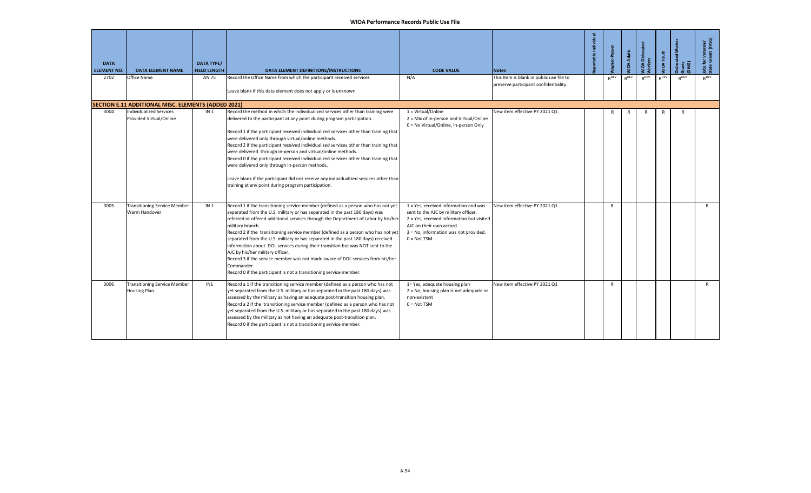| <b>DATA</b><br><b>ELEMENT NO.</b> | <b>DATA ELEMENT NAME</b>                                  | <b>DATA TYPE/</b><br><b>FIELD LENGTH</b> | DATA ELEMENT DEFINITIONS/INSTRUCTIONS                                                                                                                                                                                                                                                                                                                                                                                                                                                                                                                                                                                                                                                                                                                          | <b>CODE VALUE</b>                                                                                                                                                                                                | <b>Notes</b>                                                                      | portable Individual | <b>Vagner-Peyser</b> | <b>MOA Adults</b> | NIOA Dislocat<br>Vorkers | <b>MOA Youth</b> | <b>S</b><br>islocated<br>Grants<br>DWG) | Jobs for Veterans'<br>State Grants (JVSG) |
|-----------------------------------|-----------------------------------------------------------|------------------------------------------|----------------------------------------------------------------------------------------------------------------------------------------------------------------------------------------------------------------------------------------------------------------------------------------------------------------------------------------------------------------------------------------------------------------------------------------------------------------------------------------------------------------------------------------------------------------------------------------------------------------------------------------------------------------------------------------------------------------------------------------------------------------|------------------------------------------------------------------------------------------------------------------------------------------------------------------------------------------------------------------|-----------------------------------------------------------------------------------|---------------------|----------------------|-------------------|--------------------------|------------------|-----------------------------------------|-------------------------------------------|
| 2702                              | Office Name                                               | AN 75                                    | Record the Office Name from which the participant received services<br>Leave blank if this data element does not apply or is unknown                                                                                                                                                                                                                                                                                                                                                                                                                                                                                                                                                                                                                           | N/A                                                                                                                                                                                                              | This Item is blank in public use file to<br>preserve participant confidentiality. |                     | $R^{DEV}$            | $R^{DEFV}$        | $R^{DEV}$                | RDEV             | RDEV                                    | $R^{DEV}$                                 |
|                                   | SECTION E.11 ADDITIONAL MISC. ELEMENTS (ADDED 2021)       |                                          |                                                                                                                                                                                                                                                                                                                                                                                                                                                                                                                                                                                                                                                                                                                                                                |                                                                                                                                                                                                                  |                                                                                   |                     |                      |                   |                          |                  |                                         |                                           |
| 3004                              | <b>Individualized Services</b><br>Provided Virtual/Online | IN <sub>1</sub>                          | Record the method in which the individualized services other than training were<br>delivered to the participant at any point during program participation.<br>Record 1 if the participant received individualized services other than training that<br>were delivered only through virtual/online methods.<br>Record 2 if the participant received individualized services other than training that<br>were delivered through in-person and virtual/online methods.<br>Record 0 if the participant received individualized services other than training that<br>were delivered only through in-person methods.<br>Leave blank if the participant did not receive any individualized services other than<br>training at any point during program participation. | 1 = Virtual/Online<br>2 = Mix of In-person and Virtual/Online<br>0 = No Virtual/Online, In-person Only                                                                                                           | New item effective PY 2021 Q1                                                     |                     | R                    | R                 | R                        | R                | R                                       |                                           |
| 3005                              | <b>Transitioning Service Member</b><br>Warm Handover      | IN <sub>1</sub>                          | Record 1 if the transitioning service member (defined as a person who has not yet<br>separated from the U.S. military or has separated in the past 180 days) was<br>referred or offered additional services through the Department of Labor by his/her<br>military branch.<br>Record 2 if the transitioning service member (defined as a person who has not yet<br>separated from the U.S. military or has separated in the past 180 days) received<br>information about DOL services during their transition but was NOT sent to the<br>AJC by his/her military officer.<br>Record 3 if the service member was not made aware of DOL services from his/her<br>Commander.<br>Record 0 if the participant is not a transitioning service member.                | 1 = Yes, received information and was<br>sent to the AJC by military officer.<br>2 = Yes, received information but visited<br>AJC on their own accord.<br>3 = No, information was not provided.<br>$0 = Not TSM$ | New item effective PY 2021 Q1                                                     |                     | $\mathsf{R}$         |                   |                          |                  |                                         | $\mathsf{R}$                              |
| 3006                              | <b>Transitioning Service Member</b><br>Housing Plan       | IN1                                      | Record a 1 if the transitioning service member (defined as a person who has not<br>yet separated from the U.S. military or has separated in the past 180 days) was<br>assessed by the military as having an adequate post-transition housing plan.<br>Record a 2 if the transitioning service member (defined as a person who has not<br>yet separated from the U.S. military or has separated in the past 180 days) was<br>assessed by the military as not having an adequate post-transition plan.<br>Record 0 if the participant is not a transitioning service member.                                                                                                                                                                                     | 1= Yes, adequate housing plan<br>$2 = No$ , housing plan is not adequate or<br>non-existent<br>$0 = Not TSM$                                                                                                     | New item effective PY 2021 Q1                                                     |                     | $\mathsf{R}$         |                   |                          |                  |                                         | $\mathsf{R}$                              |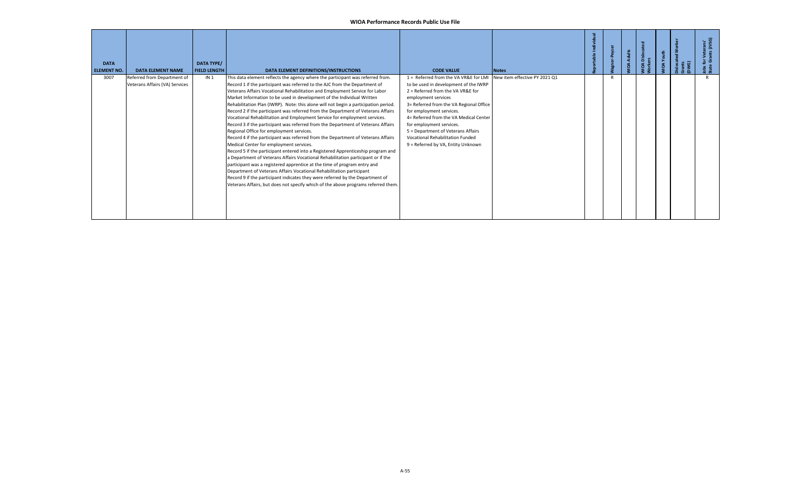| <b>DATA</b><br><b>ELEMENT NO.</b> | <b>DATA ELEMENT NAME</b>                                      | <b>DATA TYPE/</b><br><b>FIELD LENGTH</b> | DATA ELEMENT DEFINITIONS/INSTRUCTIONS                                                                                                                                                                                                                                                                                                                                                                                                                                                                                                                                                                                                                                                                                                                                                                                                                                                                                                                                                                                                                                                                                                                                                                                                                                                                                                        | <b>CODE VALUE</b>                                                                                                                                                                                                                                                                                                                                                                                              | <b>Notes</b>                  |  | Adults<br>$\mathbf{o}$ | A Disk<br>ers<br>ഉ | ્રિ<br>$\mathbf{a}$ | Gwants<br>DWG) | ့် ဖြ |
|-----------------------------------|---------------------------------------------------------------|------------------------------------------|----------------------------------------------------------------------------------------------------------------------------------------------------------------------------------------------------------------------------------------------------------------------------------------------------------------------------------------------------------------------------------------------------------------------------------------------------------------------------------------------------------------------------------------------------------------------------------------------------------------------------------------------------------------------------------------------------------------------------------------------------------------------------------------------------------------------------------------------------------------------------------------------------------------------------------------------------------------------------------------------------------------------------------------------------------------------------------------------------------------------------------------------------------------------------------------------------------------------------------------------------------------------------------------------------------------------------------------------|----------------------------------------------------------------------------------------------------------------------------------------------------------------------------------------------------------------------------------------------------------------------------------------------------------------------------------------------------------------------------------------------------------------|-------------------------------|--|------------------------|--------------------|---------------------|----------------|-------|
| 3007                              | Referred from Department of<br>Veterans Affairs (VA) Services | IN <sub>1</sub>                          | This data element reflects the agency where the participant was referred from.<br>Record 1 if the participant was referred to the AJC from the Department of<br>Veterans Affairs Vocational Rehabilitation and Employment Service for Labor<br>Market Information to be used in development of the Individual Written<br>Rehabilitation Plan (IWRP). Note: this alone will not begin a participation period.<br>Record 2 if the participant was referred from the Department of Veterans Affairs<br>Vocational Rehabilitation and Employment Service for employment services.<br>Record 3 if the participant was referred from the Department of Veterans Affairs<br>Regional Office for employment services.<br>Record 4 if the participant was referred from the Department of Veterans Affairs<br>Medical Center for employment services.<br>Record 5 if the participant entered into a Registered Apprenticeship program and<br>Department of Veterans Affairs Vocational Rehabilitation participant or if the<br>participant was a registered apprentice at the time of program entry and<br>Department of Veterans Affairs Vocational Rehabilitation participant<br>Record 9 if the participant indicates they were referred by the Department of<br>Veterans Affairs, but does not specify which of the above programs referred them. | 1 = Referred from the VA VR&E for LMI<br>to be used in development of the IWRP<br>2 = Referred from the VA VR&E for<br>employment services<br>3= Referred from the VA Regional Office<br>for employment services.<br>4= Referred from the VA Medical Center<br>for employment services.<br>5 = Department of Veterans Affairs<br><b>Vocational Rehabilitation Funded</b><br>9 = Referred by VA, Entity Unknown | New item effective PY 2021 Q1 |  |                        |                    |                     |                |       |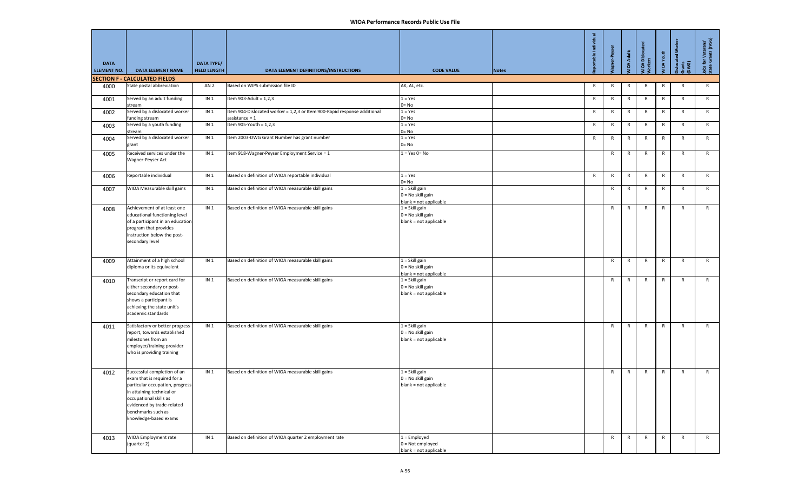| <b>DATA</b><br><b>ELEMENT NO.</b> | <b>DATA ELEMENT NAME</b>                                                                                                                                                                                                          | DATA TYPE/<br><b>FIELD LENGTH</b> | DATA ELEMENT DEFINITIONS/INSTRUCTIONS                                                        | <b>CODE VALUE</b>                                                 | <b>Notes</b> | table Indi   | er-Peyser    | <b>VIOA Adults</b> | IOA Disloca<br>orkers | <b>JIOA</b> Youth | slocated Wo<br>ants<br>WG) | Jobs for Veterans'<br>State Grants (JVSG) |
|-----------------------------------|-----------------------------------------------------------------------------------------------------------------------------------------------------------------------------------------------------------------------------------|-----------------------------------|----------------------------------------------------------------------------------------------|-------------------------------------------------------------------|--------------|--------------|--------------|--------------------|-----------------------|-------------------|----------------------------|-------------------------------------------|
|                                   | <b>SECTION F - CALCULATED FIELDS</b>                                                                                                                                                                                              |                                   |                                                                                              |                                                                   |              |              |              |                    |                       |                   |                            |                                           |
| 4000                              | State postal abbreviation                                                                                                                                                                                                         | AN <sub>2</sub>                   | Based on WIPS submission file ID                                                             | AK, AL, etc.                                                      |              | $\mathsf{R}$ | $\mathsf{R}$ | $\mathsf R$        | $\mathsf{R}$          | $\mathsf{R}$      | R                          | R                                         |
| 4001                              | Served by an adult funding<br>stream                                                                                                                                                                                              | IN <sub>1</sub>                   | Item 903-Adult = $1,2,3$                                                                     | $1 = Yes$<br>$0 = No$                                             |              | $\mathsf{R}$ | $\mathsf{R}$ | $\mathsf{R}$       | $\mathsf{R}$          | $\mathsf{R}$      | R                          | R                                         |
| 4002                              | Served by a dislocated worker<br>funding stream                                                                                                                                                                                   | IN <sub>1</sub>                   | Item 904-Dislocated worker = 1,2,3 or Item 900-Rapid response additional<br>$assistance = 1$ | $1 = Yes$<br>$0 = No$                                             |              | $\mathsf{R}$ | $\mathsf{R}$ | $\mathsf{R}$       | $\mathsf{R}$          | $\mathsf{R}$      | $\mathsf{R}$               | R                                         |
| 4003                              | Served by a youth funding<br>stream                                                                                                                                                                                               | IN <sub>1</sub>                   | Item 905-Youth = $1,2,3$                                                                     | $1 = Yes$<br>$0 = No$                                             |              | $\mathsf{R}$ | $\mathsf{R}$ | $\mathsf R$        | $\mathsf{R}$          | R                 | $\mathsf{R}$               | R                                         |
| 4004                              | Served by a dislocated worker<br>grant                                                                                                                                                                                            | IN <sub>1</sub>                   | Item 2003-DWG Grant Number has grant number                                                  | $1 = Yes$<br>$0 = No$                                             |              | $\mathsf{R}$ | R            | R                  | $\mathsf{R}$          | R                 | R                          | R                                         |
| 4005                              | Received services under the<br>Wagner-Peyser Act                                                                                                                                                                                  | IN <sub>1</sub>                   | Item 918-Wagner-Peyser Employment Service = 1                                                | $1 = Yes$ 0 = No                                                  |              |              | R            | R                  | $\mathsf{R}$          | R                 | R                          | R                                         |
| 4006                              | Reportable individual                                                                                                                                                                                                             | IN <sub>1</sub>                   | Based on definition of WIOA reportable individual                                            | $1 = Yes$<br>0= No                                                |              | $\mathsf{R}$ | R            | $\mathsf{R}$       | $\mathsf{R}$          | $\mathsf{R}$      | R                          | R                                         |
| 4007                              | WIOA Measurable skill gains                                                                                                                                                                                                       | IN <sub>1</sub>                   | Based on definition of WIOA measurable skill gains                                           | $1 =$ Skill gain<br>0 = No skill gain<br>blank = not applicable   |              |              | $\mathsf{R}$ | $\mathsf R$        | $\mathsf{R}$          | $\mathsf{R}$      | $\mathsf{R}$               | R                                         |
| 4008                              | Achievement of at least one<br>educational functioning level<br>of a participant in an education<br>program that provides<br>instruction below the post-<br>secondary level                                                       | IN <sub>1</sub>                   | Based on definition of WIOA measurable skill gains                                           | $1 =$ Skill gain<br>$0 = No$ skill gain<br>blank = not applicable |              |              | R            | R                  | $\mathsf{R}$          | R                 | $\mathsf{R}$               | R                                         |
| 4009                              | Attainment of a high school<br>diploma or its equivalent                                                                                                                                                                          | IN <sub>1</sub>                   | Based on definition of WIOA measurable skill gains                                           | $1 =$ Skill gain<br>$0 = No$ skill gain<br>blank = not applicable |              |              | $\mathsf{R}$ | $\mathsf{R}$       | $\mathsf{R}$          | R                 | $\mathsf{R}$               | R                                         |
| 4010                              | Transcript or report card for<br>either secondary or post-<br>secondary education that<br>shows a participant is<br>achieving the state unit's<br>academic standards                                                              | IN <sub>1</sub>                   | Based on definition of WIOA measurable skill gains                                           | $1 =$ Skill gain<br>0 = No skill gain<br>blank = not applicable   |              |              | $\mathsf{R}$ | R                  | $\mathsf{R}$          | $\mathsf{R}$      | $\mathsf{R}$               | R                                         |
| 4011                              | Satisfactory or better progress<br>report, towards established<br>milestones from an<br>employer/training provider<br>who is providing training                                                                                   | IN <sub>1</sub>                   | Based on definition of WIOA measurable skill gains                                           | $1 =$ Skill gain<br>$0 = No$ skill gain<br>blank = not applicable |              |              | $\mathsf{R}$ | R                  | $\mathsf{R}$          | $\mathsf{R}$      | $\mathsf{R}$               | R                                         |
| 4012                              | Successful completion of an<br>exam that is required for a<br>particular occupation, progress<br>in attaining technical or<br>occupational skills as<br>evidenced by trade-related<br>benchmarks such as<br>knowledge-based exams | IN <sub>1</sub>                   | Based on definition of WIOA measurable skill gains                                           | $1 =$ Skill gain<br>$0 = No$ skill gain<br>blank = not applicable |              |              | $\mathsf{R}$ | R                  | $\mathsf{R}$          | R                 | $\mathsf{R}$               | R                                         |
| 4013                              | WIOA Employment rate<br>(quarter 2)                                                                                                                                                                                               | IN <sub>1</sub>                   | Based on definition of WIOA quarter 2 employment rate                                        | $1 =$ Employed<br>$0 = Not$ employed<br>blank = not applicable    |              |              | R            | R                  | $\mathsf{R}$          | R                 | R                          | R                                         |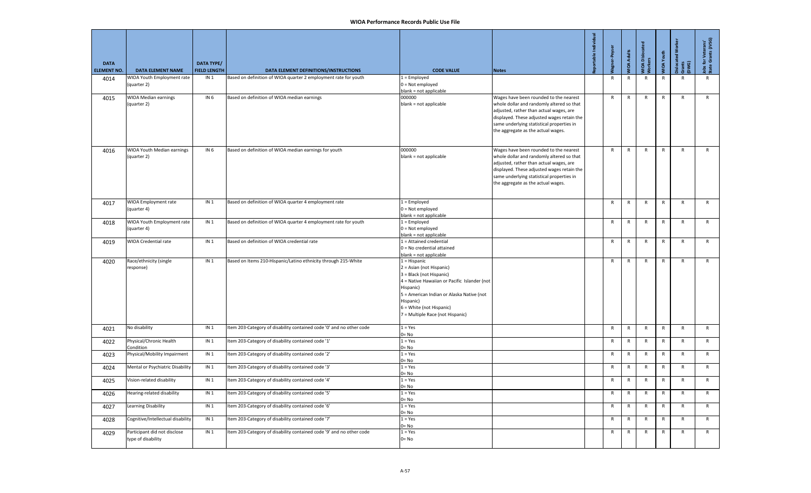| <b>DATA</b><br><b>ELEMENT NO.</b> | <b>DATA ELEMENT NAME</b>                           | <b>DATA TYPE/</b><br><b>FIELD LENGTH</b> | DATA ELEMENT DEFINITIONS/INSTRUCTIONS                                | <b>CODE VALUE</b>                                                                                                                                                                                                                                             | <b>Notes</b>                                                                                                                                                                                                                                                    | oortable Individual | gner-Peyse   | <b>JIDA Adults</b> | <b>MOA Disloc</b> | VIOA Youth   | $\overline{\mathsf{s}}$<br>islocated<br>Gwa<br>Dwa | Jobs for Veterans'<br>State Grants (JVSG) |
|-----------------------------------|----------------------------------------------------|------------------------------------------|----------------------------------------------------------------------|---------------------------------------------------------------------------------------------------------------------------------------------------------------------------------------------------------------------------------------------------------------|-----------------------------------------------------------------------------------------------------------------------------------------------------------------------------------------------------------------------------------------------------------------|---------------------|--------------|--------------------|-------------------|--------------|----------------------------------------------------|-------------------------------------------|
| 4014                              | WIOA Youth Employment rate<br>(quarter 2)          | IN <sub>1</sub>                          | Based on definition of WIOA quarter 2 employment rate for youth      | $1 =$ Employed<br>$0 = Not$ employed<br>blank = not applicable                                                                                                                                                                                                |                                                                                                                                                                                                                                                                 |                     | R            | R                  | $\mathsf{R}$      | R            |                                                    | R                                         |
| 4015                              | WIOA Median earnings<br>(quarter 2)                | IN <sub>6</sub>                          | Based on definition of WIOA median earnings                          | 000000<br>blank = not applicable                                                                                                                                                                                                                              | Wages have been rounded to the nearest<br>whole dollar and randomly altered so that<br>adjusted, rather than actual wages, are<br>displayed. These adjusted wages retain the<br>same underlying statistical properties in<br>the aggregate as the actual wages. |                     | $\mathsf{R}$ | $\mathsf{R}$       | $\mathsf{R}$      | $\mathsf{R}$ | $\mathsf{R}$                                       | $\mathsf{R}$                              |
| 4016                              | WIOA Youth Median earnings<br>(quarter 2)          | IN <sub>6</sub>                          | Based on definition of WIOA median earnings for youth                | 000000<br>blank = not applicable                                                                                                                                                                                                                              | Wages have been rounded to the nearest<br>whole dollar and randomly altered so that<br>adjusted, rather than actual wages, are<br>displayed. These adjusted wages retain the<br>same underlying statistical properties in<br>the aggregate as the actual wages. |                     | R            | $\mathsf{R}$       | $\mathsf{R}$      | R            | $\mathsf{R}$                                       | $\mathsf{R}$                              |
| 4017                              | WIOA Employment rate<br>(quarter 4)                | IN <sub>1</sub>                          | Based on definition of WIOA quarter 4 employment rate                | $1 =$ Employed<br>$0 = Not$ employed<br>blank = not applicable                                                                                                                                                                                                |                                                                                                                                                                                                                                                                 |                     | R            | $\mathsf{R}$       | $\mathsf{R}$      | $\mathsf{R}$ | $\mathsf{R}$                                       | $\mathsf{R}$                              |
| 4018                              | WIOA Youth Employment rate<br>(quarter 4)          | IN <sub>1</sub>                          | Based on definition of WIOA quarter 4 employment rate for youth      | $1 =$ Employed<br>$0 = Not employed$<br>blank = not applicable                                                                                                                                                                                                |                                                                                                                                                                                                                                                                 |                     | $\mathsf{R}$ | $\mathsf R$        | $\mathsf{R}$      | $\mathsf{R}$ | $\mathsf{R}$                                       | $\mathsf{R}$                              |
| 4019                              | WIOA Credential rate                               | IN <sub>1</sub>                          | Based on definition of WIOA credential rate                          | $1$ = Attained credential<br>$0 = No$ credential attained<br>blank = not applicable                                                                                                                                                                           |                                                                                                                                                                                                                                                                 |                     | R            | $\mathsf{R}$       | R                 | R            | $\mathsf{R}$                                       | $\mathsf{R}$                              |
| 4020                              | Race/ethnicity (single<br>response)                | IN <sub>1</sub>                          | Based on Items 210-Hispanic/Latino ethnicity through 215-White       | $1 = Hispanic$<br>2 = Asian (not Hispanic)<br>3 = Black (not Hispanic)<br>4 = Native Hawaiian or Pacific Islander (not<br>Hispanic)<br>5 = American Indian or Alaska Native (not<br>Hispanic)<br>6 = White (not Hispanic)<br>7 = Multiple Race (not Hispanic) |                                                                                                                                                                                                                                                                 |                     | R            | $\mathsf{R}$       | R                 | $\mathsf{R}$ | $\mathsf{R}$                                       | $\mathsf{R}$                              |
| 4021                              | No disability                                      | IN <sub>1</sub>                          | Item 203-Category of disability contained code '0' and no other code | $1 = Yes$<br>$0 = No$                                                                                                                                                                                                                                         |                                                                                                                                                                                                                                                                 |                     | $\mathsf{R}$ | $\mathsf R$        | $\mathsf{R}$      | $\mathsf{R}$ | $\mathsf{R}$                                       | $\mathsf{R}$                              |
| 4022                              | Physical/Chronic Health<br>Condition               | IN <sub>1</sub>                          | Item 203-Category of disability contained code '1'                   | $1 = Yes$<br>$0 = No$                                                                                                                                                                                                                                         |                                                                                                                                                                                                                                                                 |                     | R            | $\mathsf{R}$       | $\mathsf{R}$      | $\mathsf{R}$ | $\mathsf{R}$                                       | $\mathsf{R}$                              |
| 4023                              | Physical/Mobility Impairment                       | IN <sub>1</sub>                          | Item 203-Category of disability contained code '2'                   | $1 = Yes$<br>$0 = No$                                                                                                                                                                                                                                         |                                                                                                                                                                                                                                                                 |                     | R            | $\mathsf{R}$       | R                 | R            | $\mathsf{R}$                                       | $\mathsf{R}$                              |
| 4024                              | Mental or Psychiatric Disability                   | IN <sub>1</sub>                          | Item 203-Category of disability contained code '3'                   | $1 = Yes$<br>$0 = No$                                                                                                                                                                                                                                         |                                                                                                                                                                                                                                                                 |                     | $\mathsf{R}$ | ${\sf R}$          | ${\sf R}$         | $\mathsf{R}$ | $\mathsf{R}$                                       | $\mathsf{R}$                              |
| 4025                              | Vision-related disability                          | IN <sub>1</sub>                          | Item 203-Category of disability contained code '4'                   | $1 = Yes$<br>$0 = No$                                                                                                                                                                                                                                         |                                                                                                                                                                                                                                                                 |                     | R            | R                  | $\mathsf{R}$      | $\mathsf{R}$ | ${\sf R}$                                          | $\mathsf{R}$                              |
| 4026                              | Hearing-related disability                         | IN <sub>1</sub>                          | Item 203-Category of disability contained code '5'                   | $1 = Yes$<br>$0 = No$                                                                                                                                                                                                                                         |                                                                                                                                                                                                                                                                 |                     | R            | $\mathsf{R}$       | R                 | R            | $\mathsf{R}$                                       | $\mathsf{R}$                              |
| 4027                              | Learning Disability                                | IN <sub>1</sub>                          | Item 203-Category of disability contained code '6'                   | $1 = Yes$<br>$0 = No$                                                                                                                                                                                                                                         |                                                                                                                                                                                                                                                                 |                     | $\mathsf{R}$ | ${\sf R}$          | $\mathsf{R}$      | ${\sf R}$    | ${\sf R}$                                          | $\mathsf{R}$                              |
| 4028                              | Cognitive/Intellectual disability                  | IN <sub>1</sub>                          | Item 203-Category of disability contained code '7'                   | $1 = Yes$<br>$0 = No$                                                                                                                                                                                                                                         |                                                                                                                                                                                                                                                                 |                     | R            | $\mathsf{R}$       | R                 | $\mathsf{R}$ | R                                                  | R                                         |
| 4029                              | Participant did not disclose<br>type of disability | IN <sub>1</sub>                          | Item 203-Category of disability contained code '9' and no other code | $1 = Yes$<br>$0 = No$                                                                                                                                                                                                                                         |                                                                                                                                                                                                                                                                 |                     | R            | R                  | $\mathsf{R}$      | R            | R                                                  | $\mathsf{R}$                              |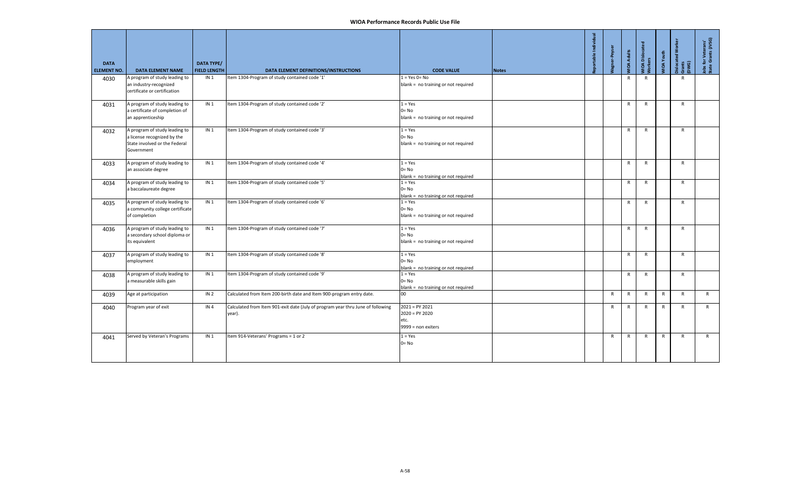| <b>DATA</b><br><b>ELEMENT NO.</b> | <b>DATA ELEMENT NAME</b>                                                                                    | <b>DATA TYPE/</b><br><b>FIELD LENGTH</b> | DATA ELEMENT DEFINITIONS/INSTRUCTIONS                                                     | <b>CODE VALUE</b>                                                  | <b>Notes</b> | portable Indi | gner-Peyse   | <b>JIDA Adults</b> | MIOA Dislocate<br>Morkers | <b>JIOA</b> Youth | <b>Dislocated Wor</b><br>Gwants<br>DWG) | Jobs for Veterans'<br>State Grants (JVSG) |
|-----------------------------------|-------------------------------------------------------------------------------------------------------------|------------------------------------------|-------------------------------------------------------------------------------------------|--------------------------------------------------------------------|--------------|---------------|--------------|--------------------|---------------------------|-------------------|-----------------------------------------|-------------------------------------------|
| 4030                              | A program of study leading to<br>an industry-recognized<br>certificate or certification                     | IN <sub>1</sub>                          | Item 1304-Program of study contained code '1'                                             | $1 = Yes$ 0= No<br>blank = no training or not required             |              |               |              | $\mathsf{R}$       | $\mathsf{R}$              |                   | $\mathsf{R}$                            |                                           |
| 4031                              | A program of study leading to<br>a certificate of completion of<br>an apprenticeship                        | IN <sub>1</sub>                          | Item 1304-Program of study contained code '2'                                             | $1 = Yes$<br>$0 = No$<br>blank = no training or not required       |              |               |              | $\mathsf{R}$       | $\mathsf{R}$              |                   | $\mathsf{R}$                            |                                           |
| 4032                              | A program of study leading to<br>a license recognized by the<br>State involved or the Federal<br>Government | IN <sub>1</sub>                          | Item 1304-Program of study contained code '3'                                             | $1 = Yes$<br>$0 = No$<br>blank = no training or not required       |              |               |              | $\mathsf{R}$       | $\mathsf{R}$              |                   | $\mathsf{R}$                            |                                           |
| 4033                              | A program of study leading to<br>an associate degree                                                        | IN <sub>1</sub>                          | Item 1304-Program of study contained code '4'                                             | $1 = Yes$<br>$0 = No$<br>blank = no training or not required       |              |               |              | $\mathsf{R}$       | $\mathsf{R}$              |                   | $\mathsf{R}$                            |                                           |
| 4034                              | A program of study leading to<br>a baccalaureate degree                                                     | IN <sub>1</sub>                          | Item 1304-Program of study contained code '5'                                             | $1 = Yes$<br>$0 = No$<br>blank = no training or not required       |              |               |              | $\mathsf{R}$       | $\mathsf{R}$              |                   | $\mathsf{R}$                            |                                           |
| 4035                              | A program of study leading to<br>a community college certificate<br>of completion                           | IN <sub>1</sub>                          | Item 1304-Program of study contained code '6'                                             | $1 = Yes$<br>$0 = No$<br>blank = no training or not required       |              |               |              | R                  | R                         |                   | $\mathsf{R}$                            |                                           |
| 4036                              | A program of study leading to<br>a secondary school diploma or<br>its equivalent                            | IN <sub>1</sub>                          | Item 1304-Program of study contained code '7'                                             | $1 = Yes$<br>$0 = No$<br>blank = no training or not required       |              |               |              | $\mathsf{R}$       | R                         |                   | R                                       |                                           |
| 4037                              | A program of study leading to<br>employment                                                                 | IN <sub>1</sub>                          | Item 1304-Program of study contained code '8'                                             | $1 = Yes$<br>$0 = No$<br>blank = no training or not required       |              |               |              | $\mathsf{R}$       | $\mathsf{R}$              |                   | $\mathsf{R}$                            |                                           |
| 4038                              | A program of study leading to<br>a measurable skills gain                                                   | IN <sub>1</sub>                          | Item 1304-Program of study contained code '9'                                             | $1 = Yes$<br>$0 = No$<br>blank = no training or not required       |              |               |              | $\mathsf{R}$       | $\mathsf{R}$              |                   | $\mathsf{R}$                            |                                           |
| 4039                              | Age at participation                                                                                        | IN <sub>2</sub>                          | Calculated from Item 200-birth date and Item 900-program entry date.                      | 00                                                                 |              |               | $\mathsf{R}$ | $\mathsf{R}$       | $\mathsf{R}$              | $\mathsf{R}$      | $\mathsf{R}$                            | R                                         |
| 4040                              | Program year of exit                                                                                        | IN <sub>4</sub>                          | Calculated from Item 901-exit date (July of program year thru June of following<br>year). | $2021 = PY 2021$<br>$2020 = PY 2020$<br>etc.<br>9999 = non exiters |              |               | $\mathsf{R}$ | $\mathsf{R}$       | R                         | $\mathsf{R}$      | $\mathsf{R}$                            | $\mathsf{R}$                              |
| 4041                              | Served by Veteran's Programs                                                                                | IN <sub>1</sub>                          | Item 914-Veterans' Programs = 1 or 2                                                      | $1 = Yes$<br>$0 = No$                                              |              |               | R            | $\mathsf{R}$       | $\mathsf{R}$              | $\mathsf{R}$      | $\mathsf{R}$                            | R                                         |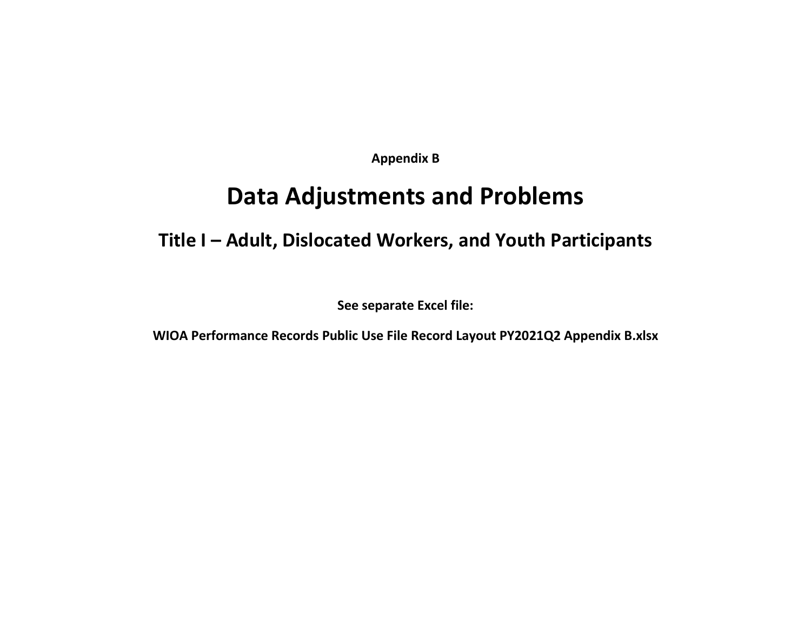**Appendix B**

# **Data Adjustments and Problems**

### **Title I – Adult, Dislocated Workers, and Youth Participants**

**See separate Excel file:**

**WIOA Performance Records Public Use File Record Layout PY2021Q2 Appendix B.xlsx**